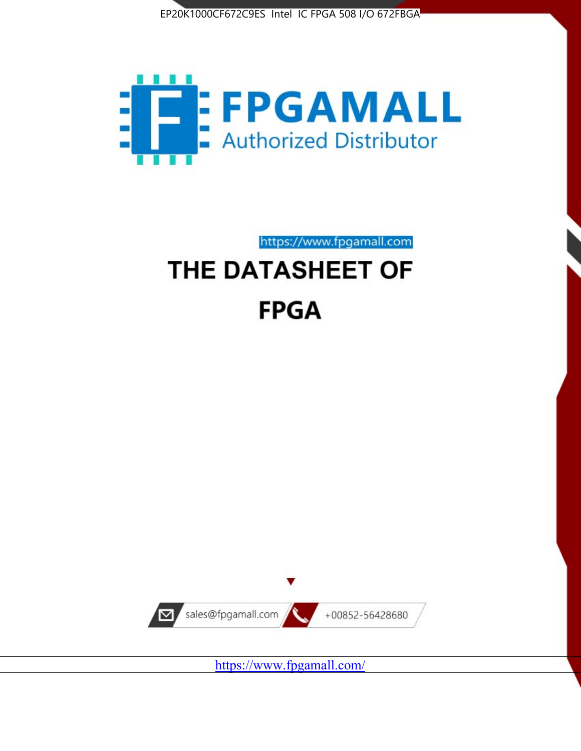



https://www.fpgamall.com THE DATASHEET OF

# **FPGA**



<https://www.fpgamall.com/>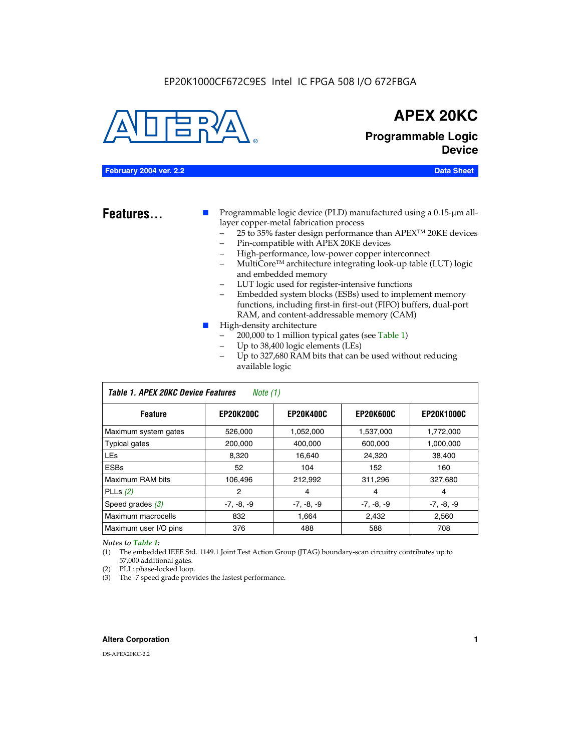#### EP20K1000CF672C9ES Intel IC FPGA 508 I/O 672FBGA



## **APEX 20KC**

**Programmable Logic Device**

#### **February 2004 ver. 2.2 Data Sheet**

**Features...** ■ Programmable logic device (PLD) manufactured using a 0.15-µm alllayer copper-metal fabrication process

- 25 to 35% faster design performance than APEX<sup>™</sup> 20KE devices
- Pin-compatible with APEX 20KE devices
- High-performance, low-power copper interconnect
- MultiCoreTM architecture integrating look-up table (LUT) logic and embedded memory
- LUT logic used for register-intensive functions
- Embedded system blocks (ESBs) used to implement memory functions, including first-in first-out (FIFO) buffers, dual-port RAM, and content-addressable memory (CAM)
- High-density architecture
	- 200,000 to 1 million typical gates (see Table 1)
	- Up to 38,400 logic elements (LEs)
	- Up to 327,680 RAM bits that can be used without reducing available logic

| Table 1. APEX 20KC Device Features<br>Note (1) |                  |                  |                  |                   |  |  |  |
|------------------------------------------------|------------------|------------------|------------------|-------------------|--|--|--|
| <b>Feature</b>                                 | <b>EP20K200C</b> | <b>EP20K400C</b> | <b>EP20K600C</b> | <b>EP20K1000C</b> |  |  |  |
| Maximum system gates                           | 526,000          | 1,052,000        | 1,537,000        | 1,772,000         |  |  |  |
| <b>Typical gates</b>                           | 200,000          | 400,000          | 600,000          | 1,000,000         |  |  |  |
| <b>LEs</b>                                     | 8,320            | 16,640           | 24,320           | 38,400            |  |  |  |
| <b>ESBs</b>                                    | 52               | 104              | 152              | 160               |  |  |  |
| Maximum RAM bits                               | 106,496          | 212,992          | 311,296          | 327,680           |  |  |  |
| PLLs $(2)$                                     | 2                | 4                | 4                | 4                 |  |  |  |
| Speed grades $(3)$                             | $-7, -8, -9$     | $-7, -8, -9$     | $-7, -8, -9$     | $-7, -8, -9$      |  |  |  |
| Maximum macrocells                             | 832              | 1,664            | 2,432            | 2,560             |  |  |  |
| Maximum user I/O pins                          | 376              | 488              | 588              | 708               |  |  |  |

#### *Notes to Table 1:*

(1) The embedded IEEE Std. 1149.1 Joint Test Action Group (JTAG) boundary-scan circuitry contributes up to 57,000 additional gates.

- (2) PLL: phase-locked loop.
- (3) The -7 speed grade provides the fastest performance.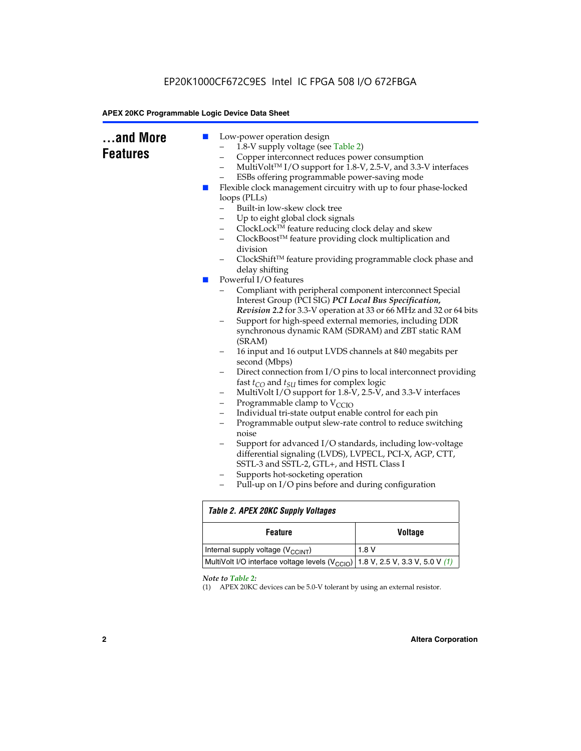|  | Copper interconnect reduces power consumption<br>-<br>ESBs offering programmable power-saving mode<br>Flexible clock management circuitry with up to four phase-locked<br>a a s<br>loops (PLLs)<br>Built-in low-skew clock tree<br>Up to eight global clock signals<br>ClockLock™ feature reducing clock delay and skew<br>-<br>ClockBoost™ feature providing clock multiplication and<br>division<br>delay shifting<br>Powerful I/O features<br>$\mathbb{R}^n$<br>Interest Group (PCI SIG) PCI Local Bus Specification,<br>(SRAM)<br>second (Mbps)<br>fast $t_{CO}$ and $t_{SU}$ times for complex logic<br>-<br>Programmable clamp to $V_{\text{CCIO}}$<br>-<br>Individual tri-state output enable control for each pin<br>$\overline{\phantom{0}}$<br>-<br>noise<br>differential signaling (LVDS), LVPECL, PCI-X, AGP, CTT,<br>SSTL-3 and SSTL-2, GTL+, and HSTL Class I<br>Supports hot-socketing operation<br>-<br>Pull-up on I/O pins before and during configuration | MultiVolt™ I/O support for 1.8-V, 2.5-V, and 3.3-V interfaces<br>ClockShift™ feature providing programmable clock phase and<br>Compliant with peripheral component interconnect Special<br>Revision 2.2 for 3.3-V operation at 33 or 66 MHz and 32 or 64 bits<br>Support for high-speed external memories, including DDR<br>synchronous dynamic RAM (SDRAM) and ZBT static RAM<br>16 input and 16 output LVDS channels at 840 megabits per<br>Direct connection from I/O pins to local interconnect providing<br>MultiVolt I/O support for 1.8-V, 2.5-V, and 3.3-V interfaces<br>Programmable output slew-rate control to reduce switching<br>Support for advanced I/O standards, including low-voltage |  |  |  |  |
|--|-----------------------------------------------------------------------------------------------------------------------------------------------------------------------------------------------------------------------------------------------------------------------------------------------------------------------------------------------------------------------------------------------------------------------------------------------------------------------------------------------------------------------------------------------------------------------------------------------------------------------------------------------------------------------------------------------------------------------------------------------------------------------------------------------------------------------------------------------------------------------------------------------------------------------------------------------------------------------------|---------------------------------------------------------------------------------------------------------------------------------------------------------------------------------------------------------------------------------------------------------------------------------------------------------------------------------------------------------------------------------------------------------------------------------------------------------------------------------------------------------------------------------------------------------------------------------------------------------------------------------------------------------------------------------------------------------|--|--|--|--|
|  | <b>Table 2. APEX 20KC Supply Voltages</b>                                                                                                                                                                                                                                                                                                                                                                                                                                                                                                                                                                                                                                                                                                                                                                                                                                                                                                                                   |                                                                                                                                                                                                                                                                                                                                                                                                                                                                                                                                                                                                                                                                                                         |  |  |  |  |
|  | <b>Feature</b>                                                                                                                                                                                                                                                                                                                                                                                                                                                                                                                                                                                                                                                                                                                                                                                                                                                                                                                                                              | <b>Voltage</b>                                                                                                                                                                                                                                                                                                                                                                                                                                                                                                                                                                                                                                                                                          |  |  |  |  |
|  | Internal supply voltage (V <sub>CCINT</sub> )                                                                                                                                                                                                                                                                                                                                                                                                                                                                                                                                                                                                                                                                                                                                                                                                                                                                                                                               | 1.8V                                                                                                                                                                                                                                                                                                                                                                                                                                                                                                                                                                                                                                                                                                    |  |  |  |  |
|  | MultiVolt I/O interface voltage levels (V <sub>CCIO</sub> )<br>1.8 V, 2.5 V, 3.3 V, 5.0 V (1)                                                                                                                                                                                                                                                                                                                                                                                                                                                                                                                                                                                                                                                                                                                                                                                                                                                                               |                                                                                                                                                                                                                                                                                                                                                                                                                                                                                                                                                                                                                                                                                                         |  |  |  |  |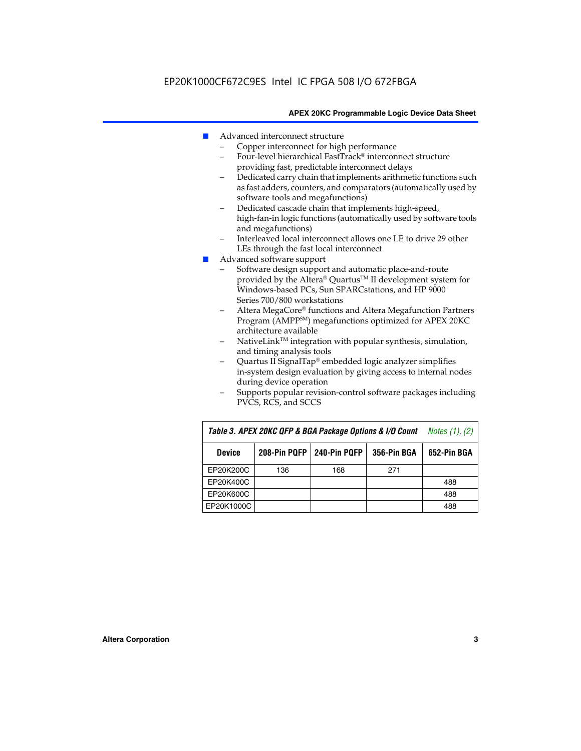- Advanced interconnect structure
	- Copper interconnect for high performance
	- Four-level hierarchical FastTrack® interconnect structure providing fast, predictable interconnect delays
	- Dedicated carry chain that implements arithmetic functions such as fast adders, counters, and comparators (automatically used by software tools and megafunctions)
	- Dedicated cascade chain that implements high-speed, high-fan-in logic functions (automatically used by software tools and megafunctions)
	- Interleaved local interconnect allows one LE to drive 29 other LEs through the fast local interconnect
- Advanced software support
	- Software design support and automatic place-and-route provided by the Altera® Quartus™ II development system for Windows-based PCs, Sun SPARCstations, and HP 9000 Series 700/800 workstations
	- Altera MegaCore® functions and Altera Megafunction Partners Program (AMPPSM) megafunctions optimized for APEX 20KC architecture available
	- $N$ ativeLink<sup>TM</sup> integration with popular synthesis, simulation, and timing analysis tools
	- Quartus II SignalTap® embedded logic analyzer simplifies in-system design evaluation by giving access to internal nodes during device operation
	- Supports popular revision-control software packages including PVCS, RCS, and SCCS

| Table 3. APEX 20KC QFP & BGA Package Options & I/O Count | <i>Notes <math>(1)</math>, <math>(2)</math></i> |     |     |     |
|----------------------------------------------------------|-------------------------------------------------|-----|-----|-----|
| <b>Device</b>                                            | 240-Pin PQFP<br>208-Pin PQFP<br>356-Pin BGA     |     |     |     |
| EP20K200C                                                | 136                                             | 168 | 271 |     |
| EP20K400C                                                |                                                 |     |     | 488 |
| EP20K600C                                                |                                                 |     |     | 488 |
| EP20K1000C                                               |                                                 |     |     | 488 |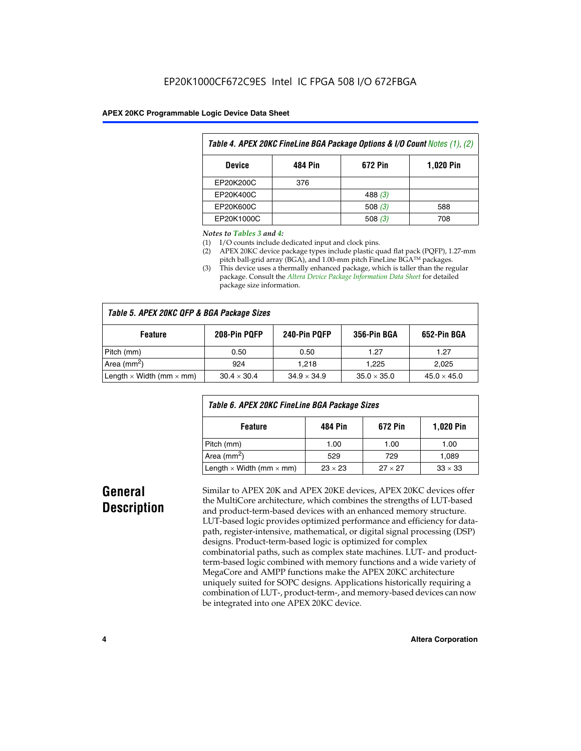| Table 4. APEX 20KC FineLine BGA Package Options & I/O Count Notes (1), (2) |     |           |     |  |  |  |
|----------------------------------------------------------------------------|-----|-----------|-----|--|--|--|
| 672 Pin<br>484 Pin<br><b>1,020 Pin</b><br><b>Device</b>                    |     |           |     |  |  |  |
| EP20K200C                                                                  | 376 |           |     |  |  |  |
| EP20K400C                                                                  |     | 488 $(3)$ |     |  |  |  |
| EP20K600C                                                                  |     | 508 $(3)$ | 588 |  |  |  |
| EP20K1000C                                                                 |     | 508(3)    | 708 |  |  |  |

#### *Notes to Tables 3 and 4:*

- (1) I/O counts include dedicated input and clock pins.
- (2) APEX 20KC device package types include plastic quad flat pack (PQFP), 1.27-mm pitch ball-grid array (BGA), and 1.00-mm pitch FineLine BGA™ packages.
- (3) This device uses a thermally enhanced package, which is taller than the regular package. Consult the *Altera Device Package Information Data Sheet* for detailed package size information.

| Table 5. APEX 20KC QFP & BGA Package Sizes |                    |                    |                    |                    |  |  |  |
|--------------------------------------------|--------------------|--------------------|--------------------|--------------------|--|--|--|
| <b>Feature</b>                             | 356-Pin BGA        | 652-Pin BGA        |                    |                    |  |  |  |
| Pitch (mm)                                 | 0.50               | 0.50               | 1.27               | 1.27               |  |  |  |
| Area ( $mm2$ )                             | 924                | 1.218              | 1.225              | 2,025              |  |  |  |
| Length $\times$ Width (mm $\times$ mm)     | $30.4 \times 30.4$ | $34.9 \times 34.9$ | $35.0 \times 35.0$ | $45.0 \times 45.0$ |  |  |  |

| Table 6. APEX 20KC FineLine BGA Package Sizes            |                |                |                |  |  |  |
|----------------------------------------------------------|----------------|----------------|----------------|--|--|--|
| <b>1,020 Pin</b><br>672 Pin<br><b>Feature</b><br>484 Pin |                |                |                |  |  |  |
| Pitch (mm)                                               | 1.00           | 1.00           | 1.00           |  |  |  |
| Area ( $mm2$ )                                           | 529            | 729            | 1,089          |  |  |  |
| Length $\times$ Width (mm $\times$ mm)                   | $23 \times 23$ | $27 \times 27$ | $33 \times 33$ |  |  |  |

## **General Description**

Similar to APEX 20K and APEX 20KE devices, APEX 20KC devices offer the MultiCore architecture, which combines the strengths of LUT-based and product-term-based devices with an enhanced memory structure. LUT-based logic provides optimized performance and efficiency for datapath, register-intensive, mathematical, or digital signal processing (DSP) designs. Product-term-based logic is optimized for complex combinatorial paths, such as complex state machines. LUT- and productterm-based logic combined with memory functions and a wide variety of MegaCore and AMPP functions make the APEX 20KC architecture uniquely suited for SOPC designs. Applications historically requiring a combination of LUT-, product-term-, and memory-based devices can now be integrated into one APEX 20KC device.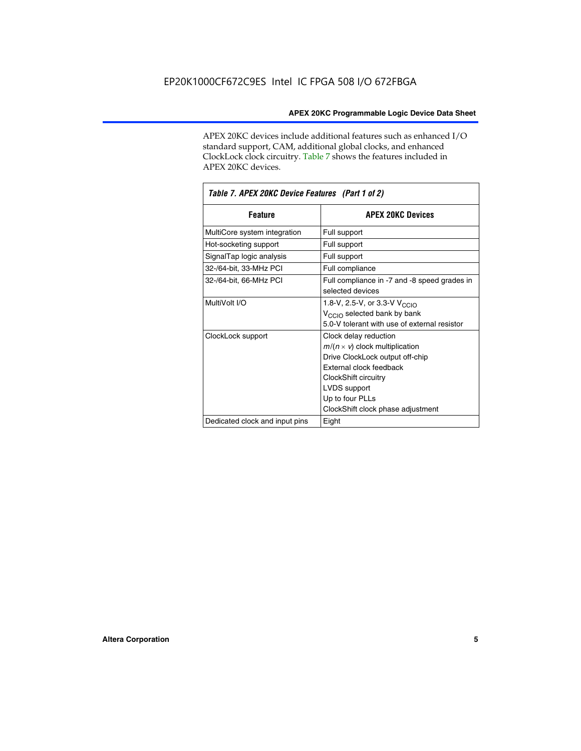APEX 20KC devices include additional features such as enhanced I/O standard support, CAM, additional global clocks, and enhanced ClockLock clock circuitry. Table 7 shows the features included in APEX 20KC devices.

| Table 7. APEX 20KC Device Features (Part 1 of 2) |                                                                                                                                                                                                                              |  |  |  |  |
|--------------------------------------------------|------------------------------------------------------------------------------------------------------------------------------------------------------------------------------------------------------------------------------|--|--|--|--|
| <b>Feature</b>                                   | <b>APEX 20KC Devices</b>                                                                                                                                                                                                     |  |  |  |  |
| MultiCore system integration                     | Full support                                                                                                                                                                                                                 |  |  |  |  |
| Hot-socketing support                            | Full support                                                                                                                                                                                                                 |  |  |  |  |
| SignalTap logic analysis                         | Full support                                                                                                                                                                                                                 |  |  |  |  |
| 32-/64-bit, 33-MHz PCI                           | Full compliance                                                                                                                                                                                                              |  |  |  |  |
| 32-/64-bit, 66-MHz PCI                           | Full compliance in -7 and -8 speed grades in<br>selected devices                                                                                                                                                             |  |  |  |  |
| MultiVolt I/O                                    | 1.8-V, 2.5-V, or 3.3-V V <sub>CCIO</sub><br>V <sub>CCIO</sub> selected bank by bank<br>5.0-V tolerant with use of external resistor                                                                                          |  |  |  |  |
| ClockLock support                                | Clock delay reduction<br>$m/(n \times v)$ clock multiplication<br>Drive ClockLock output off-chip<br>External clock feedback<br>ClockShift circuitry<br>LVDS support<br>Up to four PLLs<br>ClockShift clock phase adjustment |  |  |  |  |
| Dedicated clock and input pins                   | Eight                                                                                                                                                                                                                        |  |  |  |  |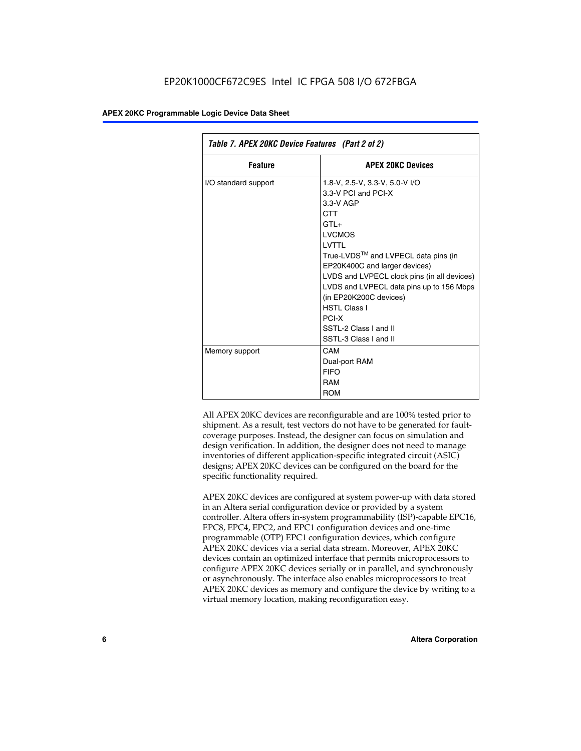| Table 7. APEX 20KC Device Features (Part 2 of 2) |                                                                                                                                                                                                                                                                                                                                                                                                 |  |  |  |  |
|--------------------------------------------------|-------------------------------------------------------------------------------------------------------------------------------------------------------------------------------------------------------------------------------------------------------------------------------------------------------------------------------------------------------------------------------------------------|--|--|--|--|
| <b>Feature</b>                                   | <b>APEX 20KC Devices</b>                                                                                                                                                                                                                                                                                                                                                                        |  |  |  |  |
| I/O standard support                             | 1.8-V, 2.5-V, 3.3-V, 5.0-V I/O<br>3.3-V PCI and PCI-X<br>$3.3-V$ AGP<br>CTT<br>$GTI +$<br><b>LVCMOS</b><br>I VTTI<br>True-LVDS™ and LVPECL data pins (in<br>EP20K400C and larger devices)<br>LVDS and LVPECL clock pins (in all devices)<br>LVDS and LVPECL data pins up to 156 Mbps<br>(in EP20K200C devices)<br><b>HSTL Class I</b><br>PCI-X<br>SSTI-2 Class Land II<br>SSTL-3 Class I and II |  |  |  |  |
| Memory support                                   | CAM<br>Dual-port RAM<br><b>FIFO</b><br>RAM<br><b>ROM</b>                                                                                                                                                                                                                                                                                                                                        |  |  |  |  |

All APEX 20KC devices are reconfigurable and are 100% tested prior to shipment. As a result, test vectors do not have to be generated for faultcoverage purposes. Instead, the designer can focus on simulation and design verification. In addition, the designer does not need to manage inventories of different application-specific integrated circuit (ASIC) designs; APEX 20KC devices can be configured on the board for the specific functionality required.

APEX 20KC devices are configured at system power-up with data stored in an Altera serial configuration device or provided by a system controller. Altera offers in-system programmability (ISP)-capable EPC16, EPC8, EPC4, EPC2, and EPC1 configuration devices and one-time programmable (OTP) EPC1 configuration devices, which configure APEX 20KC devices via a serial data stream. Moreover, APEX 20KC devices contain an optimized interface that permits microprocessors to configure APEX 20KC devices serially or in parallel, and synchronously or asynchronously. The interface also enables microprocessors to treat APEX 20KC devices as memory and configure the device by writing to a virtual memory location, making reconfiguration easy.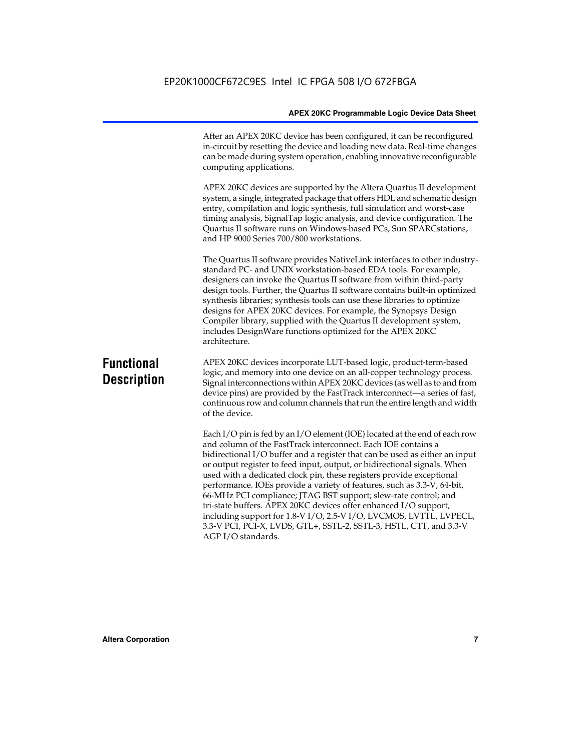After an APEX 20KC device has been configured, it can be reconfigured in-circuit by resetting the device and loading new data. Real-time changes can be made during system operation, enabling innovative reconfigurable computing applications.

APEX 20KC devices are supported by the Altera Quartus II development system, a single, integrated package that offers HDL and schematic design entry, compilation and logic synthesis, full simulation and worst-case timing analysis, SignalTap logic analysis, and device configuration. The Quartus II software runs on Windows-based PCs, Sun SPARCstations, and HP 9000 Series 700/800 workstations.

The Quartus II software provides NativeLink interfaces to other industrystandard PC- and UNIX workstation-based EDA tools. For example, designers can invoke the Quartus II software from within third-party design tools. Further, the Quartus II software contains built-in optimized synthesis libraries; synthesis tools can use these libraries to optimize designs for APEX 20KC devices. For example, the Synopsys Design Compiler library, supplied with the Quartus II development system, includes DesignWare functions optimized for the APEX 20KC architecture.

## **Functional Description**

APEX 20KC devices incorporate LUT-based logic, product-term-based logic, and memory into one device on an all-copper technology process. Signal interconnections within APEX 20KC devices (as well as to and from device pins) are provided by the FastTrack interconnect—a series of fast, continuous row and column channels that run the entire length and width of the device.

Each I/O pin is fed by an I/O element (IOE) located at the end of each row and column of the FastTrack interconnect. Each IOE contains a bidirectional I/O buffer and a register that can be used as either an input or output register to feed input, output, or bidirectional signals. When used with a dedicated clock pin, these registers provide exceptional performance. IOEs provide a variety of features, such as 3.3-V, 64-bit, 66-MHz PCI compliance; JTAG BST support; slew-rate control; and tri-state buffers. APEX 20KC devices offer enhanced I/O support, including support for 1.8-V I/O, 2.5-V I/O, LVCMOS, LVTTL, LVPECL, 3.3-V PCI, PCI-X, LVDS, GTL+, SSTL-2, SSTL-3, HSTL, CTT, and 3.3-V AGP I/O standards.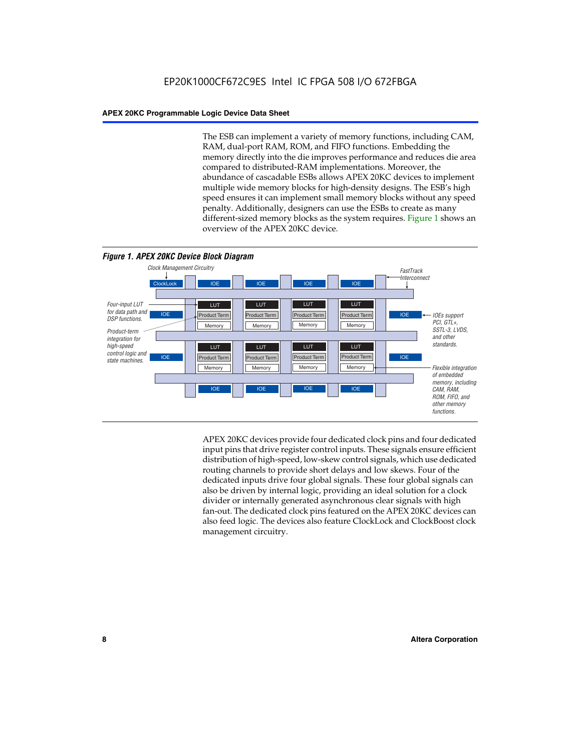The ESB can implement a variety of memory functions, including CAM, RAM, dual-port RAM, ROM, and FIFO functions. Embedding the memory directly into the die improves performance and reduces die area compared to distributed-RAM implementations. Moreover, the abundance of cascadable ESBs allows APEX 20KC devices to implement multiple wide memory blocks for high-density designs. The ESB's high speed ensures it can implement small memory blocks without any speed penalty. Additionally, designers can use the ESBs to create as many different-sized memory blocks as the system requires. Figure 1 shows an overview of the APEX 20KC device.



APEX 20KC devices provide four dedicated clock pins and four dedicated input pins that drive register control inputs. These signals ensure efficient distribution of high-speed, low-skew control signals, which use dedicated routing channels to provide short delays and low skews. Four of the dedicated inputs drive four global signals. These four global signals can also be driven by internal logic, providing an ideal solution for a clock divider or internally generated asynchronous clear signals with high fan-out. The dedicated clock pins featured on the APEX 20KC devices can also feed logic. The devices also feature ClockLock and ClockBoost clock management circuitry.

#### **8 Altera Corporation**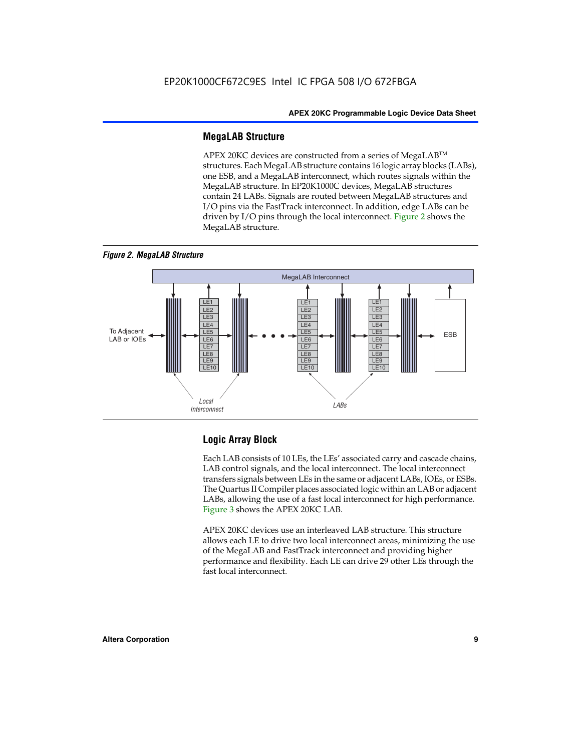#### **MegaLAB Structure**

APEX 20KC devices are constructed from a series of MegaLAB™ structures. Each MegaLAB structure contains 16 logic array blocks (LABs), one ESB, and a MegaLAB interconnect, which routes signals within the MegaLAB structure. In EP20K1000C devices, MegaLAB structures contain 24 LABs. Signals are routed between MegaLAB structures and I/O pins via the FastTrack interconnect. In addition, edge LABs can be driven by I/O pins through the local interconnect. Figure 2 shows the MegaLAB structure.

*Figure 2. MegaLAB Structure*



### **Logic Array Block**

Each LAB consists of 10 LEs, the LEs' associated carry and cascade chains, LAB control signals, and the local interconnect. The local interconnect transfers signals between LEs in the same or adjacent LABs, IOEs, or ESBs. The Quartus II Compiler places associated logic within an LAB or adjacent LABs, allowing the use of a fast local interconnect for high performance. Figure 3 shows the APEX 20KC LAB.

APEX 20KC devices use an interleaved LAB structure. This structure allows each LE to drive two local interconnect areas, minimizing the use of the MegaLAB and FastTrack interconnect and providing higher performance and flexibility. Each LE can drive 29 other LEs through the fast local interconnect.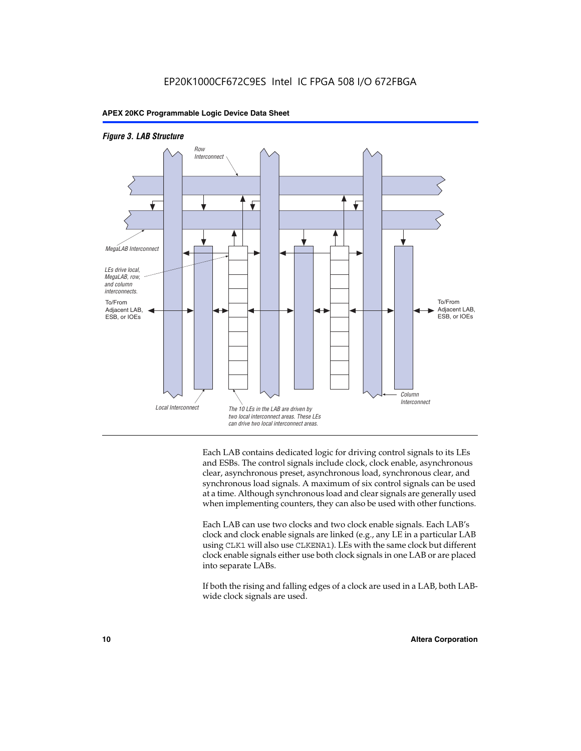



Each LAB contains dedicated logic for driving control signals to its LEs and ESBs. The control signals include clock, clock enable, asynchronous clear, asynchronous preset, asynchronous load, synchronous clear, and synchronous load signals. A maximum of six control signals can be used at a time. Although synchronous load and clear signals are generally used when implementing counters, they can also be used with other functions.

Each LAB can use two clocks and two clock enable signals. Each LAB's clock and clock enable signals are linked (e.g., any LE in a particular LAB using CLK1 will also use CLKENA1). LEs with the same clock but different clock enable signals either use both clock signals in one LAB or are placed into separate LABs.

If both the rising and falling edges of a clock are used in a LAB, both LABwide clock signals are used.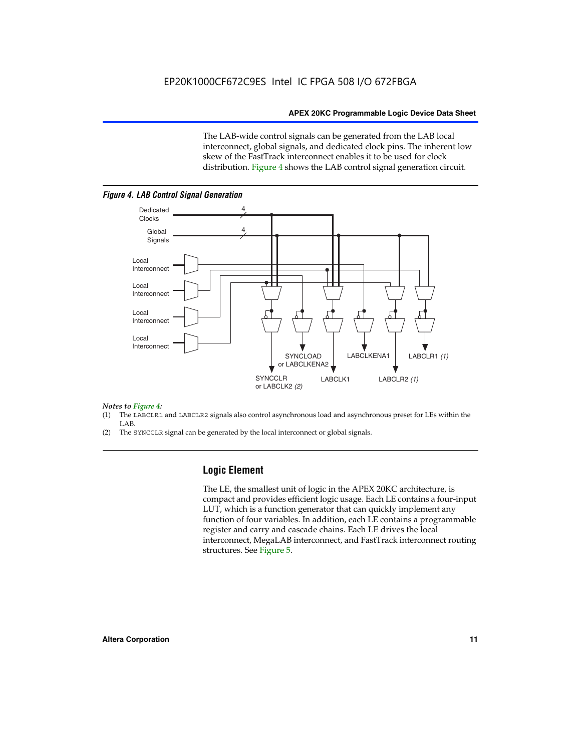The LAB-wide control signals can be generated from the LAB local interconnect, global signals, and dedicated clock pins. The inherent low skew of the FastTrack interconnect enables it to be used for clock distribution. Figure 4 shows the LAB control signal generation circuit.



#### *Figure 4. LAB Control Signal Generation*

#### *Notes to Figure 4:*

- (1) The LABCLR1 and LABCLR2 signals also control asynchronous load and asynchronous preset for LEs within the LAB.
- (2) The SYNCCLR signal can be generated by the local interconnect or global signals.

#### **Logic Element**

The LE, the smallest unit of logic in the APEX 20KC architecture, is compact and provides efficient logic usage. Each LE contains a four-input LUT, which is a function generator that can quickly implement any function of four variables. In addition, each LE contains a programmable register and carry and cascade chains. Each LE drives the local interconnect, MegaLAB interconnect, and FastTrack interconnect routing structures. See Figure 5.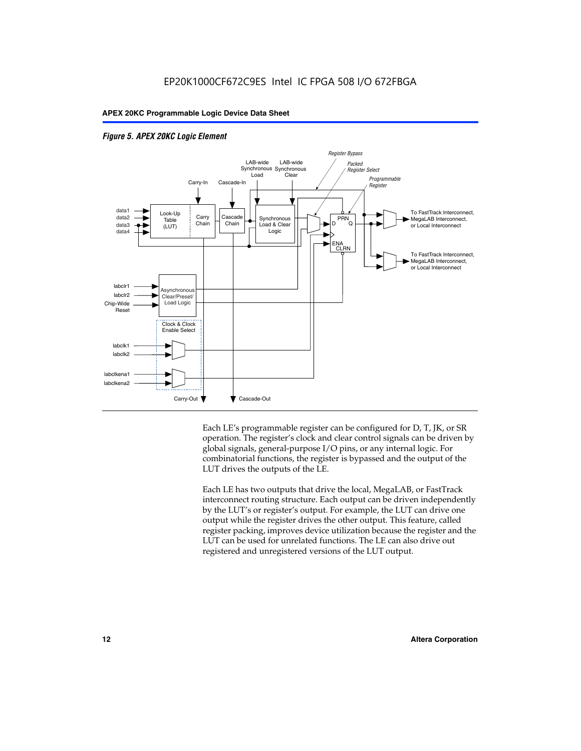

#### *Figure 5. APEX 20KC Logic Element*

Each LE's programmable register can be configured for D, T, JK, or SR operation. The register's clock and clear control signals can be driven by global signals, general-purpose I/O pins, or any internal logic. For combinatorial functions, the register is bypassed and the output of the LUT drives the outputs of the LE.

Each LE has two outputs that drive the local, MegaLAB, or FastTrack interconnect routing structure. Each output can be driven independently by the LUT's or register's output. For example, the LUT can drive one output while the register drives the other output. This feature, called register packing, improves device utilization because the register and the LUT can be used for unrelated functions. The LE can also drive out registered and unregistered versions of the LUT output.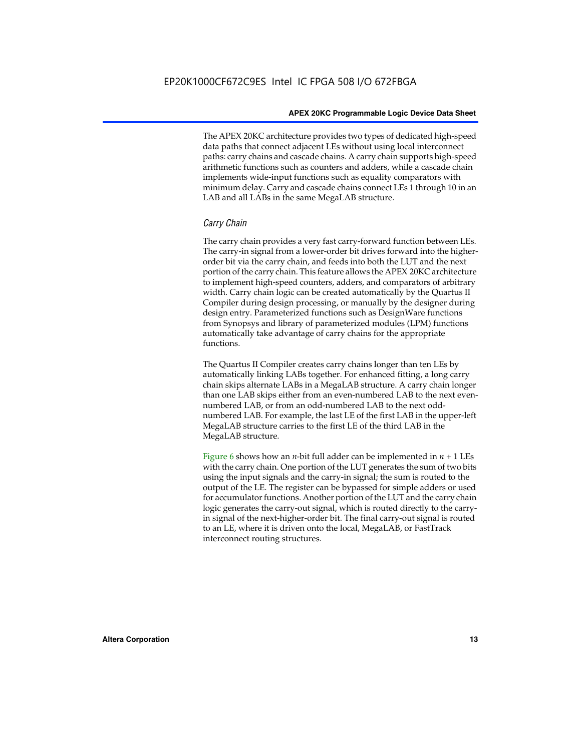The APEX 20KC architecture provides two types of dedicated high-speed data paths that connect adjacent LEs without using local interconnect paths: carry chains and cascade chains. A carry chain supports high-speed arithmetic functions such as counters and adders, while a cascade chain implements wide-input functions such as equality comparators with minimum delay. Carry and cascade chains connect LEs 1 through 10 in an LAB and all LABs in the same MegaLAB structure.

#### *Carry Chain*

The carry chain provides a very fast carry-forward function between LEs. The carry-in signal from a lower-order bit drives forward into the higherorder bit via the carry chain, and feeds into both the LUT and the next portion of the carry chain. This feature allows the APEX 20KC architecture to implement high-speed counters, adders, and comparators of arbitrary width. Carry chain logic can be created automatically by the Quartus II Compiler during design processing, or manually by the designer during design entry. Parameterized functions such as DesignWare functions from Synopsys and library of parameterized modules (LPM) functions automatically take advantage of carry chains for the appropriate functions.

The Quartus II Compiler creates carry chains longer than ten LEs by automatically linking LABs together. For enhanced fitting, a long carry chain skips alternate LABs in a MegaLAB structure. A carry chain longer than one LAB skips either from an even-numbered LAB to the next evennumbered LAB, or from an odd-numbered LAB to the next oddnumbered LAB. For example, the last LE of the first LAB in the upper-left MegaLAB structure carries to the first LE of the third LAB in the MegaLAB structure.

Figure 6 shows how an *n*-bit full adder can be implemented in  $n + 1$  LEs with the carry chain. One portion of the LUT generates the sum of two bits using the input signals and the carry-in signal; the sum is routed to the output of the LE. The register can be bypassed for simple adders or used for accumulator functions. Another portion of the LUT and the carry chain logic generates the carry-out signal, which is routed directly to the carryin signal of the next-higher-order bit. The final carry-out signal is routed to an LE, where it is driven onto the local, MegaLAB, or FastTrack interconnect routing structures.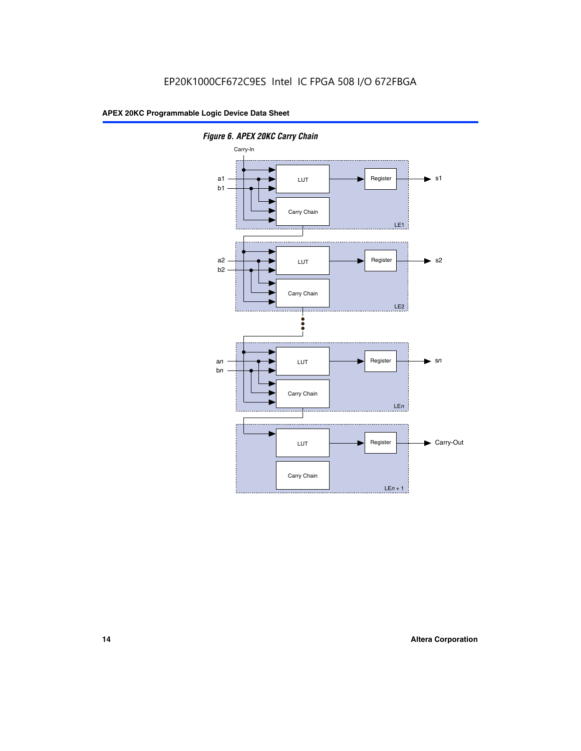

*Figure 6. APEX 20KC Carry Chain*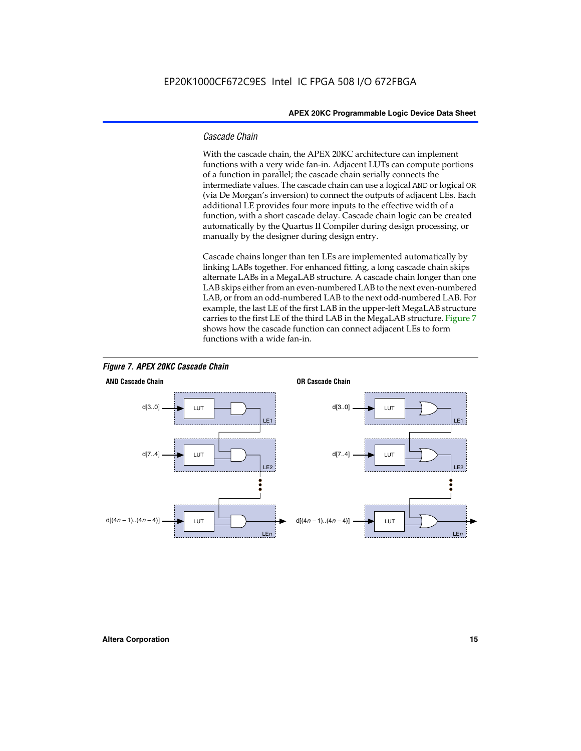#### *Cascade Chain*

With the cascade chain, the APEX 20KC architecture can implement functions with a very wide fan-in. Adjacent LUTs can compute portions of a function in parallel; the cascade chain serially connects the intermediate values. The cascade chain can use a logical AND or logical OR (via De Morgan's inversion) to connect the outputs of adjacent LEs. Each additional LE provides four more inputs to the effective width of a function, with a short cascade delay. Cascade chain logic can be created automatically by the Quartus II Compiler during design processing, or manually by the designer during design entry.

Cascade chains longer than ten LEs are implemented automatically by linking LABs together. For enhanced fitting, a long cascade chain skips alternate LABs in a MegaLAB structure. A cascade chain longer than one LAB skips either from an even-numbered LAB to the next even-numbered LAB, or from an odd-numbered LAB to the next odd-numbered LAB. For example, the last LE of the first LAB in the upper-left MegaLAB structure carries to the first LE of the third LAB in the MegaLAB structure. Figure 7 shows how the cascade function can connect adjacent LEs to form functions with a wide fan-in.



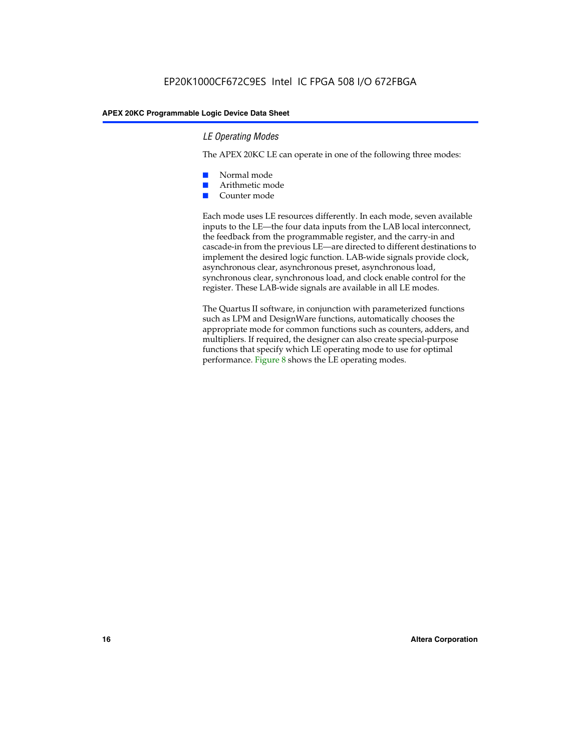#### *LE Operating Modes*

The APEX 20KC LE can operate in one of the following three modes:

- Normal mode
- Arithmetic mode
- Counter mode

Each mode uses LE resources differently. In each mode, seven available inputs to the LE—the four data inputs from the LAB local interconnect, the feedback from the programmable register, and the carry-in and cascade-in from the previous LE—are directed to different destinations to implement the desired logic function. LAB-wide signals provide clock, asynchronous clear, asynchronous preset, asynchronous load, synchronous clear, synchronous load, and clock enable control for the register. These LAB-wide signals are available in all LE modes.

The Quartus II software, in conjunction with parameterized functions such as LPM and DesignWare functions, automatically chooses the appropriate mode for common functions such as counters, adders, and multipliers. If required, the designer can also create special-purpose functions that specify which LE operating mode to use for optimal performance. Figure 8 shows the LE operating modes.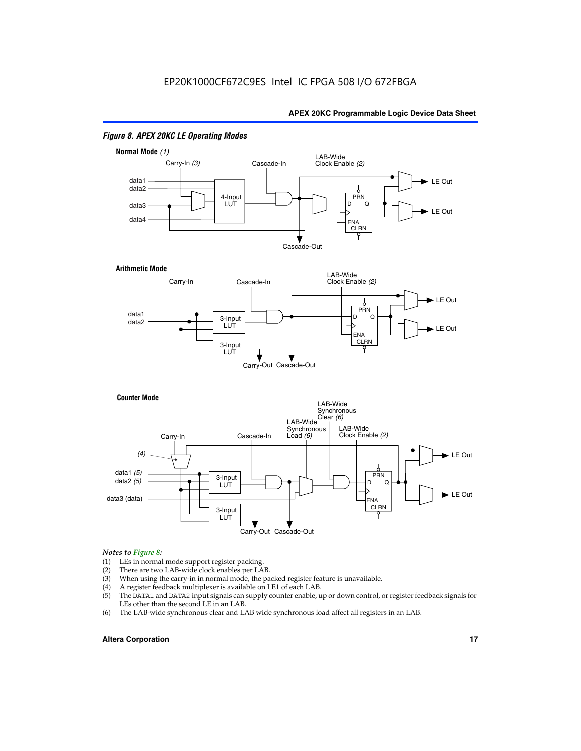

#### *Figure 8. APEX 20KC LE Operating Modes*

## *Notes to Figure 8:*

- (1) LEs in normal mode support register packing.<br>(2) There are two LAB-wide clock enables per LA
- (2) There are two LAB-wide clock enables per LAB.<br>(3) When using the carry-in in normal mode, the pa
- When using the carry-in in normal mode, the packed register feature is unavailable.
- (4) A register feedback multiplexer is available on LE1 of each LAB.
- (5) The DATA1 and DATA2 input signals can supply counter enable, up or down control, or register feedback signals for LEs other than the second LE in an LAB.
- (6) The LAB-wide synchronous clear and LAB wide synchronous load affect all registers in an LAB.

#### **Altera Corporation 17 17**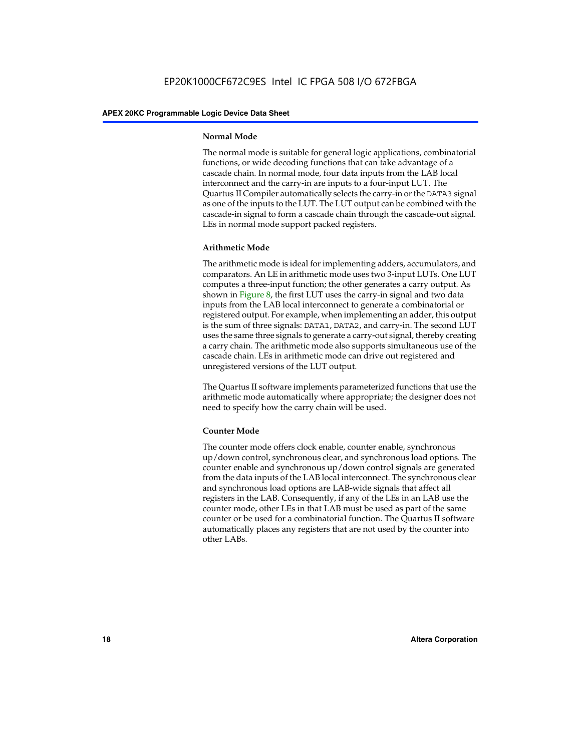#### **Normal Mode**

The normal mode is suitable for general logic applications, combinatorial functions, or wide decoding functions that can take advantage of a cascade chain. In normal mode, four data inputs from the LAB local interconnect and the carry-in are inputs to a four-input LUT. The Quartus II Compiler automatically selects the carry-in or the DATA3 signal as one of the inputs to the LUT. The LUT output can be combined with the cascade-in signal to form a cascade chain through the cascade-out signal. LEs in normal mode support packed registers.

#### **Arithmetic Mode**

The arithmetic mode is ideal for implementing adders, accumulators, and comparators. An LE in arithmetic mode uses two 3-input LUTs. One LUT computes a three-input function; the other generates a carry output. As shown in Figure 8, the first LUT uses the carry-in signal and two data inputs from the LAB local interconnect to generate a combinatorial or registered output. For example, when implementing an adder, this output is the sum of three signals: DATA1, DATA2, and carry-in. The second LUT uses the same three signals to generate a carry-out signal, thereby creating a carry chain. The arithmetic mode also supports simultaneous use of the cascade chain. LEs in arithmetic mode can drive out registered and unregistered versions of the LUT output.

The Quartus II software implements parameterized functions that use the arithmetic mode automatically where appropriate; the designer does not need to specify how the carry chain will be used.

#### **Counter Mode**

The counter mode offers clock enable, counter enable, synchronous up/down control, synchronous clear, and synchronous load options. The counter enable and synchronous up/down control signals are generated from the data inputs of the LAB local interconnect. The synchronous clear and synchronous load options are LAB-wide signals that affect all registers in the LAB. Consequently, if any of the LEs in an LAB use the counter mode, other LEs in that LAB must be used as part of the same counter or be used for a combinatorial function. The Quartus II software automatically places any registers that are not used by the counter into other LABs.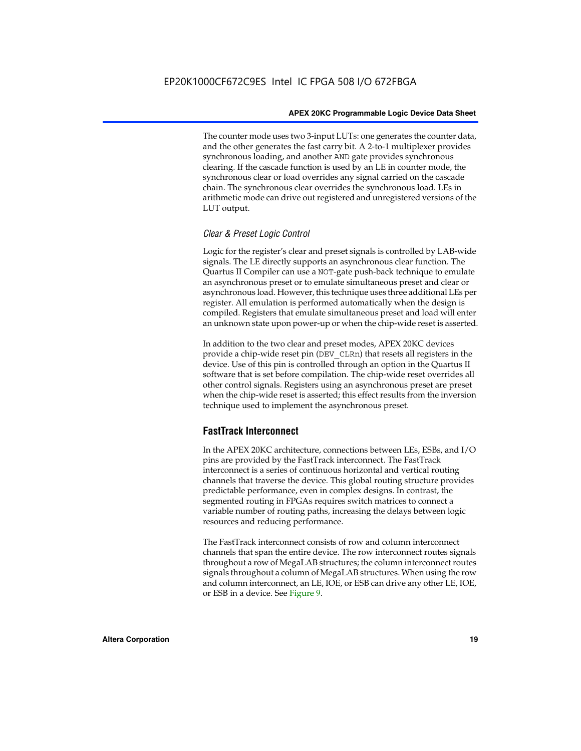The counter mode uses two 3-input LUTs: one generates the counter data, and the other generates the fast carry bit. A 2-to-1 multiplexer provides synchronous loading, and another AND gate provides synchronous clearing. If the cascade function is used by an LE in counter mode, the synchronous clear or load overrides any signal carried on the cascade chain. The synchronous clear overrides the synchronous load. LEs in arithmetic mode can drive out registered and unregistered versions of the LUT output.

#### *Clear & Preset Logic Control*

Logic for the register's clear and preset signals is controlled by LAB-wide signals. The LE directly supports an asynchronous clear function. The Quartus II Compiler can use a NOT-gate push-back technique to emulate an asynchronous preset or to emulate simultaneous preset and clear or asynchronous load. However, this technique uses three additional LEs per register. All emulation is performed automatically when the design is compiled. Registers that emulate simultaneous preset and load will enter an unknown state upon power-up or when the chip-wide reset is asserted.

In addition to the two clear and preset modes, APEX 20KC devices provide a chip-wide reset pin (DEV\_CLRn) that resets all registers in the device. Use of this pin is controlled through an option in the Quartus II software that is set before compilation. The chip-wide reset overrides all other control signals. Registers using an asynchronous preset are preset when the chip-wide reset is asserted; this effect results from the inversion technique used to implement the asynchronous preset.

#### **FastTrack Interconnect**

In the APEX 20KC architecture, connections between LEs, ESBs, and I/O pins are provided by the FastTrack interconnect. The FastTrack interconnect is a series of continuous horizontal and vertical routing channels that traverse the device. This global routing structure provides predictable performance, even in complex designs. In contrast, the segmented routing in FPGAs requires switch matrices to connect a variable number of routing paths, increasing the delays between logic resources and reducing performance.

The FastTrack interconnect consists of row and column interconnect channels that span the entire device. The row interconnect routes signals throughout a row of MegaLAB structures; the column interconnect routes signals throughout a column of MegaLAB structures. When using the row and column interconnect, an LE, IOE, or ESB can drive any other LE, IOE, or ESB in a device. See Figure 9.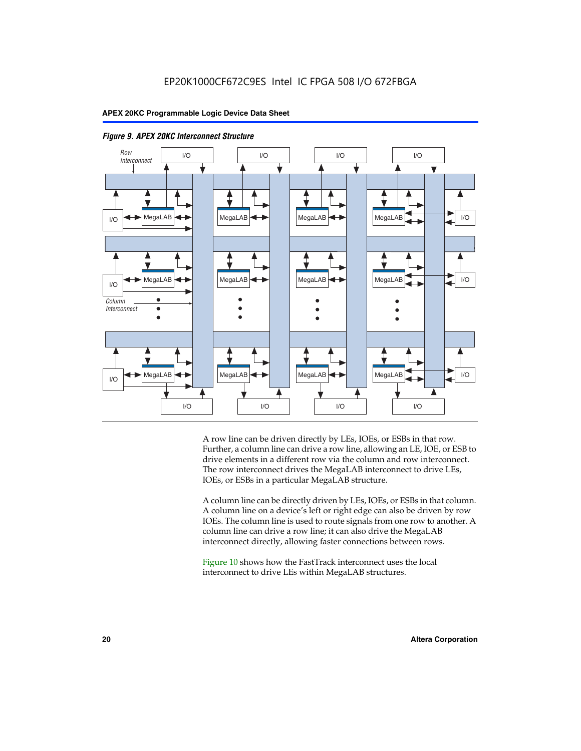



A row line can be driven directly by LEs, IOEs, or ESBs in that row. Further, a column line can drive a row line, allowing an LE, IOE, or ESB to drive elements in a different row via the column and row interconnect. The row interconnect drives the MegaLAB interconnect to drive LEs, IOEs, or ESBs in a particular MegaLAB structure.

A column line can be directly driven by LEs, IOEs, or ESBs in that column. A column line on a device's left or right edge can also be driven by row IOEs. The column line is used to route signals from one row to another. A column line can drive a row line; it can also drive the MegaLAB interconnect directly, allowing faster connections between rows.

Figure 10 shows how the FastTrack interconnect uses the local interconnect to drive LEs within MegaLAB structures.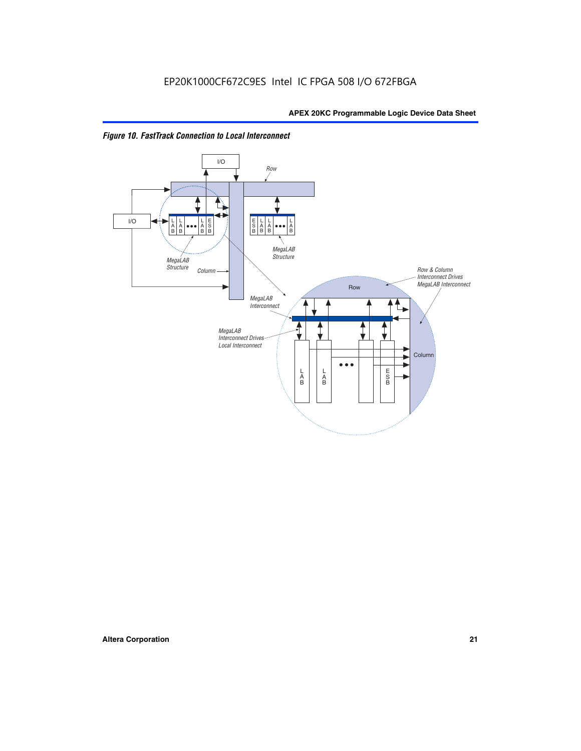

*Figure 10. FastTrack Connection to Local Interconnect*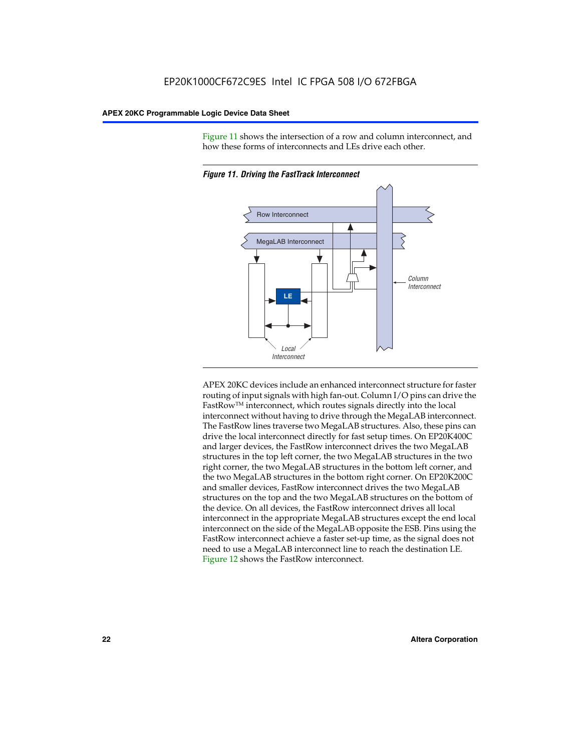Figure 11 shows the intersection of a row and column interconnect, and how these forms of interconnects and LEs drive each other.



*Figure 11. Driving the FastTrack Interconnect*

APEX 20KC devices include an enhanced interconnect structure for faster routing of input signals with high fan-out. Column I/O pins can drive the FastRowTM interconnect, which routes signals directly into the local interconnect without having to drive through the MegaLAB interconnect. The FastRow lines traverse two MegaLAB structures. Also, these pins can drive the local interconnect directly for fast setup times. On EP20K400C and larger devices, the FastRow interconnect drives the two MegaLAB structures in the top left corner, the two MegaLAB structures in the two right corner, the two MegaLAB structures in the bottom left corner, and the two MegaLAB structures in the bottom right corner. On EP20K200C and smaller devices, FastRow interconnect drives the two MegaLAB structures on the top and the two MegaLAB structures on the bottom of the device. On all devices, the FastRow interconnect drives all local interconnect in the appropriate MegaLAB structures except the end local interconnect on the side of the MegaLAB opposite the ESB. Pins using the FastRow interconnect achieve a faster set-up time, as the signal does not need to use a MegaLAB interconnect line to reach the destination LE. Figure 12 shows the FastRow interconnect.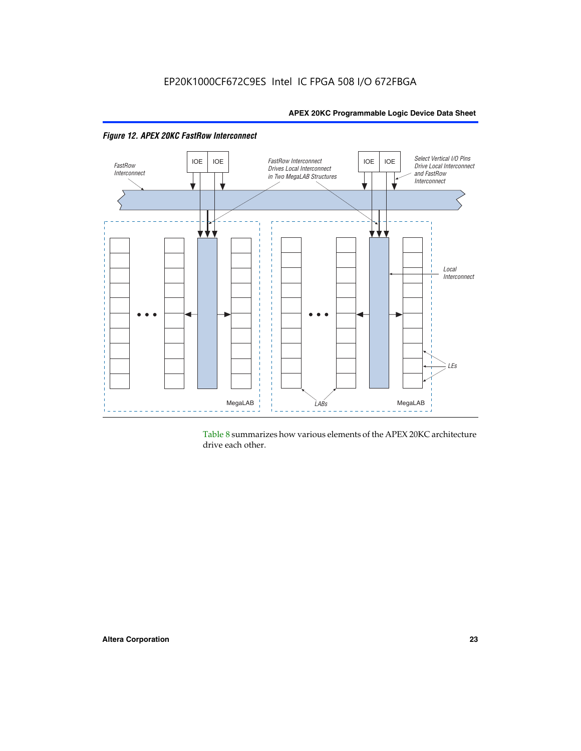

Table 8 summarizes how various elements of the APEX 20KC architecture drive each other.

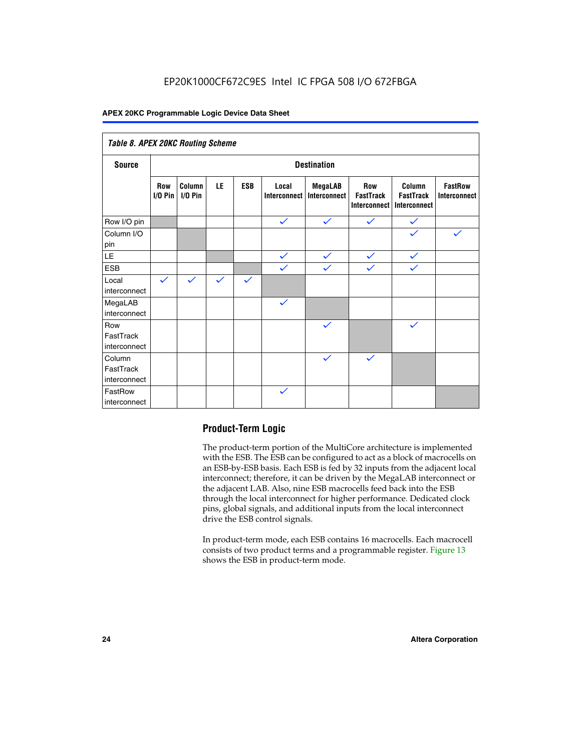| Table 8. APEX 20KC Routing Scheme   |                          |                     |              |              |                       |                                |                                                |                                                   |                                       |
|-------------------------------------|--------------------------|---------------------|--------------|--------------|-----------------------|--------------------------------|------------------------------------------------|---------------------------------------------------|---------------------------------------|
| <b>Source</b>                       | <b>Destination</b>       |                     |              |              |                       |                                |                                                |                                                   |                                       |
|                                     | <b>Row</b><br>$I/O P$ in | Column<br>$I/O$ Pin | LE           | <b>ESB</b>   | Local<br>Interconnect | <b>MegaLAB</b><br>Interconnect | Row<br><b>FastTrack</b><br><b>Interconnect</b> | Column<br><b>FastTrack</b><br><b>Interconnect</b> | <b>FastRow</b><br><b>Interconnect</b> |
| Row I/O pin                         |                          |                     |              |              | $\checkmark$          | $\checkmark$                   | $\checkmark$                                   | $\checkmark$                                      |                                       |
| Column I/O<br>pin                   |                          |                     |              |              |                       |                                |                                                | $\checkmark$                                      | $\checkmark$                          |
| LE                                  |                          |                     |              |              | $\checkmark$          | $\checkmark$                   | $\checkmark$                                   | $\checkmark$                                      |                                       |
| <b>ESB</b>                          |                          |                     |              |              | $\checkmark$          | $\checkmark$                   | $\checkmark$                                   | $\checkmark$                                      |                                       |
| Local<br>interconnect               | $\checkmark$             | $\checkmark$        | $\checkmark$ | $\checkmark$ |                       |                                |                                                |                                                   |                                       |
| MegaLAB<br>interconnect             |                          |                     |              |              | $\checkmark$          |                                |                                                |                                                   |                                       |
| Row<br>FastTrack<br>interconnect    |                          |                     |              |              |                       | $\checkmark$                   |                                                | $\checkmark$                                      |                                       |
| Column<br>FastTrack<br>interconnect |                          |                     |              |              |                       | $\checkmark$                   | $\checkmark$                                   |                                                   |                                       |
| FastRow<br>interconnect             |                          |                     |              |              | $\checkmark$          |                                |                                                |                                                   |                                       |

### **Product-Term Logic**

The product-term portion of the MultiCore architecture is implemented with the ESB. The ESB can be configured to act as a block of macrocells on an ESB-by-ESB basis. Each ESB is fed by 32 inputs from the adjacent local interconnect; therefore, it can be driven by the MegaLAB interconnect or the adjacent LAB. Also, nine ESB macrocells feed back into the ESB through the local interconnect for higher performance. Dedicated clock pins, global signals, and additional inputs from the local interconnect drive the ESB control signals.

In product-term mode, each ESB contains 16 macrocells. Each macrocell consists of two product terms and a programmable register. Figure 13 shows the ESB in product-term mode.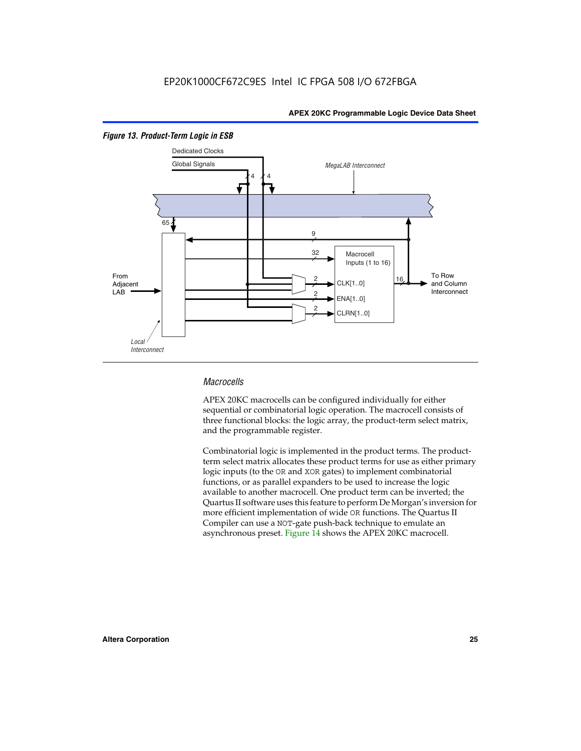

#### *Figure 13. Product-Term Logic in ESB*

#### *Macrocells*

APEX 20KC macrocells can be configured individually for either sequential or combinatorial logic operation. The macrocell consists of three functional blocks: the logic array, the product-term select matrix, and the programmable register.

Combinatorial logic is implemented in the product terms. The productterm select matrix allocates these product terms for use as either primary logic inputs (to the OR and XOR gates) to implement combinatorial functions, or as parallel expanders to be used to increase the logic available to another macrocell. One product term can be inverted; the Quartus II software uses this feature to perform De Morgan's inversion for more efficient implementation of wide OR functions. The Quartus II Compiler can use a NOT-gate push-back technique to emulate an asynchronous preset. Figure 14 shows the APEX 20KC macrocell.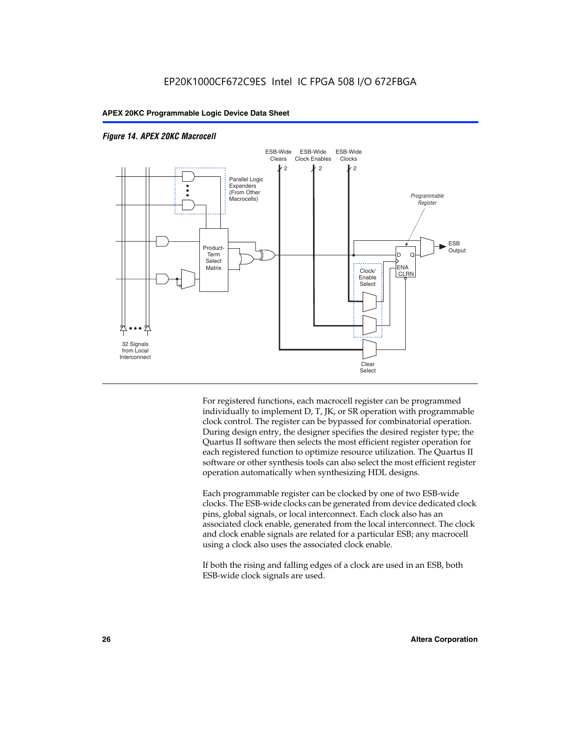

#### *Figure 14. APEX 20KC Macrocell*

For registered functions, each macrocell register can be programmed individually to implement D, T, JK, or SR operation with programmable clock control. The register can be bypassed for combinatorial operation. During design entry, the designer specifies the desired register type; the Quartus II software then selects the most efficient register operation for each registered function to optimize resource utilization. The Quartus II software or other synthesis tools can also select the most efficient register operation automatically when synthesizing HDL designs.

Each programmable register can be clocked by one of two ESB-wide clocks. The ESB-wide clocks can be generated from device dedicated clock pins, global signals, or local interconnect. Each clock also has an associated clock enable, generated from the local interconnect. The clock and clock enable signals are related for a particular ESB; any macrocell using a clock also uses the associated clock enable.

If both the rising and falling edges of a clock are used in an ESB, both ESB-wide clock signals are used.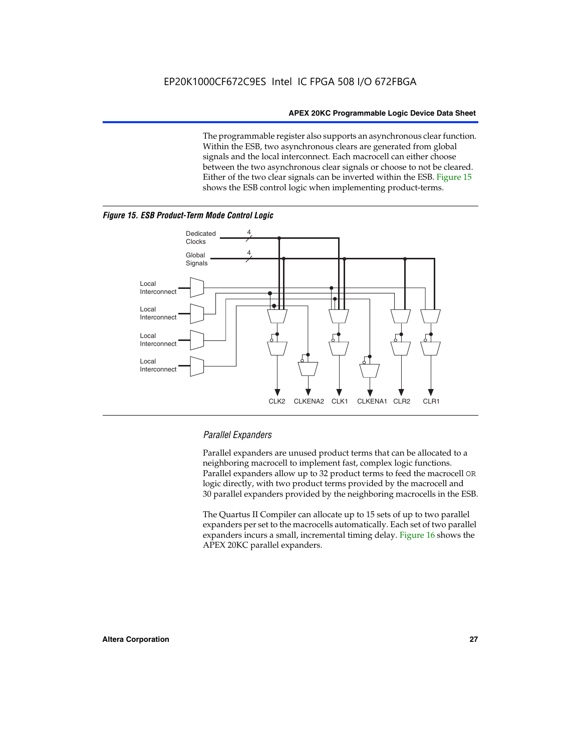The programmable register also supports an asynchronous clear function. Within the ESB, two asynchronous clears are generated from global signals and the local interconnect. Each macrocell can either choose between the two asynchronous clear signals or choose to not be cleared. Either of the two clear signals can be inverted within the ESB. Figure 15 shows the ESB control logic when implementing product-terms.





#### *Parallel Expanders*

Parallel expanders are unused product terms that can be allocated to a neighboring macrocell to implement fast, complex logic functions. Parallel expanders allow up to 32 product terms to feed the macrocell OR logic directly, with two product terms provided by the macrocell and 30 parallel expanders provided by the neighboring macrocells in the ESB.

CLK2 CLKENA2 CLK1 CLKENA1 CLR2 CLR1

The Quartus II Compiler can allocate up to 15 sets of up to two parallel expanders per set to the macrocells automatically. Each set of two parallel expanders incurs a small, incremental timing delay. Figure 16 shows the APEX 20KC parallel expanders.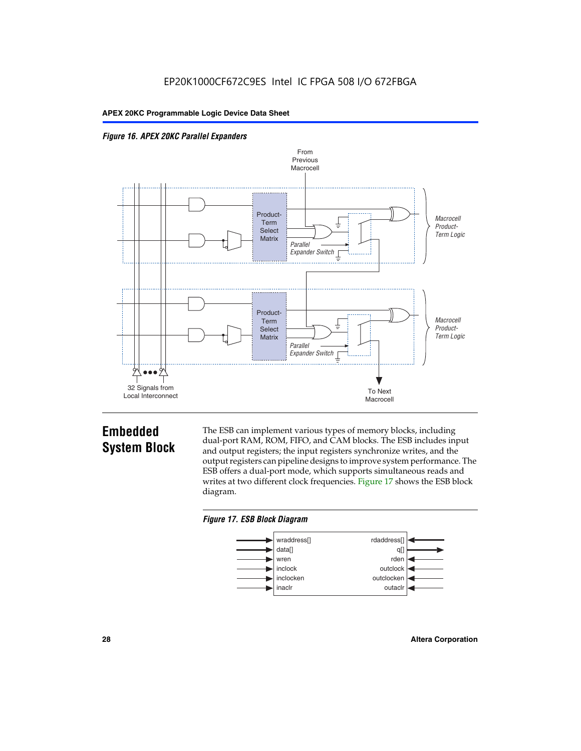



## **Embedded System Block**

The ESB can implement various types of memory blocks, including dual-port RAM, ROM, FIFO, and CAM blocks. The ESB includes input and output registers; the input registers synchronize writes, and the output registers can pipeline designs to improve system performance. The ESB offers a dual-port mode, which supports simultaneous reads and writes at two different clock frequencies. Figure 17 shows the ESB block diagram.



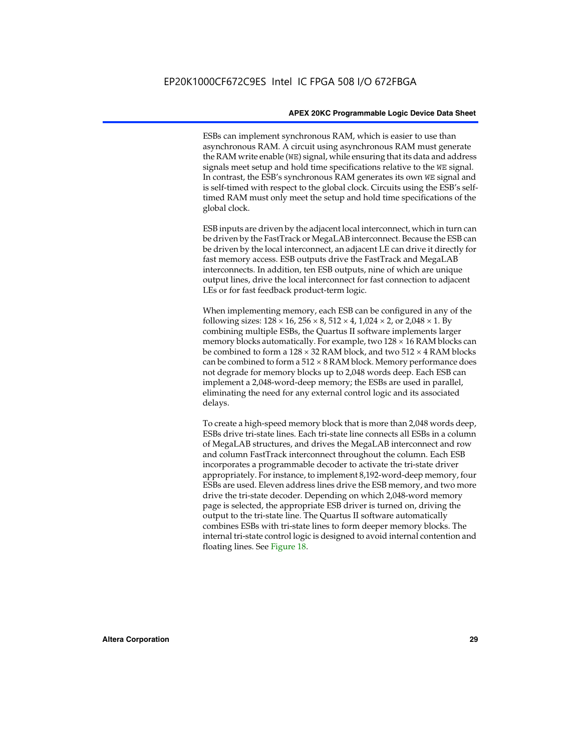ESBs can implement synchronous RAM, which is easier to use than asynchronous RAM. A circuit using asynchronous RAM must generate the RAM write enable (WE) signal, while ensuring that its data and address signals meet setup and hold time specifications relative to the WE signal. In contrast, the ESB's synchronous RAM generates its own WE signal and is self-timed with respect to the global clock. Circuits using the ESB's selftimed RAM must only meet the setup and hold time specifications of the global clock.

ESB inputs are driven by the adjacent local interconnect, which in turn can be driven by the FastTrack or MegaLAB interconnect. Because the ESB can be driven by the local interconnect, an adjacent LE can drive it directly for fast memory access. ESB outputs drive the FastTrack and MegaLAB interconnects. In addition, ten ESB outputs, nine of which are unique output lines, drive the local interconnect for fast connection to adjacent LEs or for fast feedback product-term logic.

When implementing memory, each ESB can be configured in any of the following sizes:  $128 \times 16$ ,  $256 \times 8$ ,  $512 \times 4$ ,  $1,024 \times 2$ , or  $2,048 \times 1$ . By combining multiple ESBs, the Quartus II software implements larger memory blocks automatically. For example, two  $128 \times 16$  RAM blocks can be combined to form a  $128 \times 32$  RAM block, and two  $512 \times 4$  RAM blocks can be combined to form a  $512 \times 8$  RAM block. Memory performance does not degrade for memory blocks up to 2,048 words deep. Each ESB can implement a 2,048-word-deep memory; the ESBs are used in parallel, eliminating the need for any external control logic and its associated delays.

To create a high-speed memory block that is more than 2,048 words deep, ESBs drive tri-state lines. Each tri-state line connects all ESBs in a column of MegaLAB structures, and drives the MegaLAB interconnect and row and column FastTrack interconnect throughout the column. Each ESB incorporates a programmable decoder to activate the tri-state driver appropriately. For instance, to implement 8,192-word-deep memory, four ESBs are used. Eleven address lines drive the ESB memory, and two more drive the tri-state decoder. Depending on which 2,048-word memory page is selected, the appropriate ESB driver is turned on, driving the output to the tri-state line. The Quartus II software automatically combines ESBs with tri-state lines to form deeper memory blocks. The internal tri-state control logic is designed to avoid internal contention and floating lines. See Figure 18.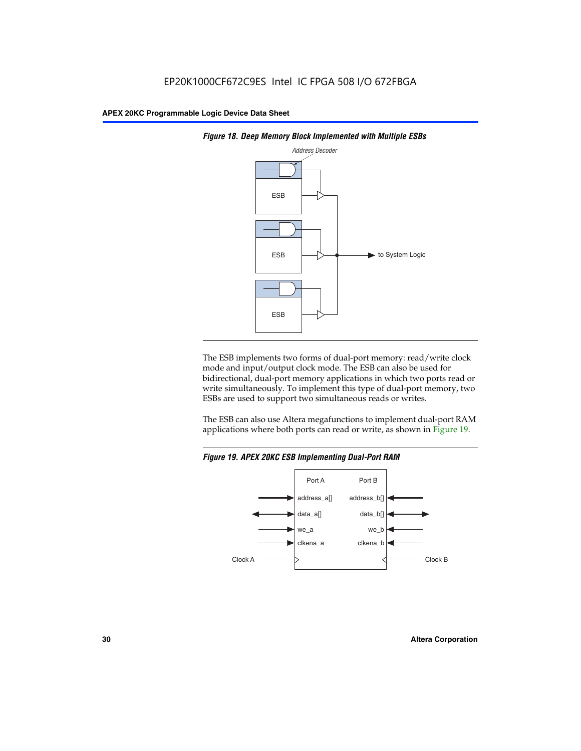



The ESB implements two forms of dual-port memory: read/write clock mode and input/output clock mode. The ESB can also be used for bidirectional, dual-port memory applications in which two ports read or write simultaneously. To implement this type of dual-port memory, two ESBs are used to support two simultaneous reads or writes.

The ESB can also use Altera megafunctions to implement dual-port RAM applications where both ports can read or write, as shown in Figure 19.



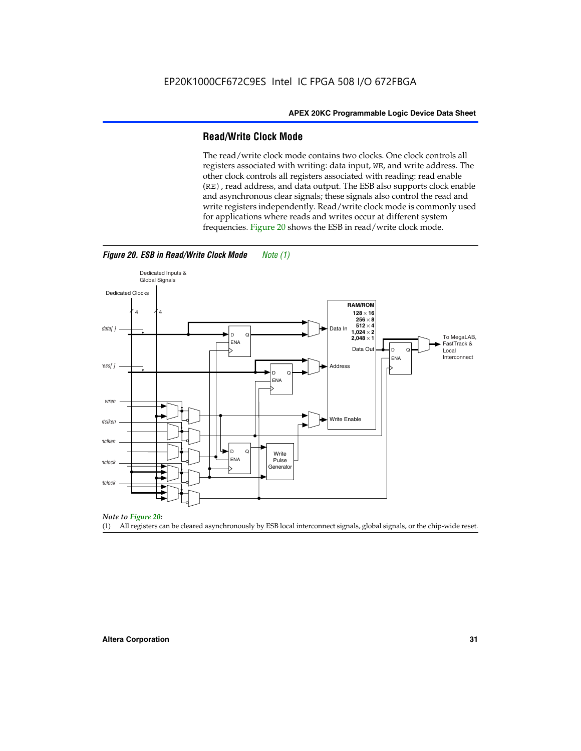#### **Read/Write Clock Mode**

The read/write clock mode contains two clocks. One clock controls all registers associated with writing: data input, WE, and write address. The other clock controls all registers associated with reading: read enable (RE), read address, and data output. The ESB also supports clock enable and asynchronous clear signals; these signals also control the read and write registers independently. Read/write clock mode is commonly used for applications where reads and writes occur at different system frequencies. Figure 20 shows the ESB in read/write clock mode.



#### *Figure 20. ESB in Read/Write Clock Mode Note (1)*

*Note to Figure 20:*

(1) All registers can be cleared asynchronously by ESB local interconnect signals, global signals, or the chip-wide reset.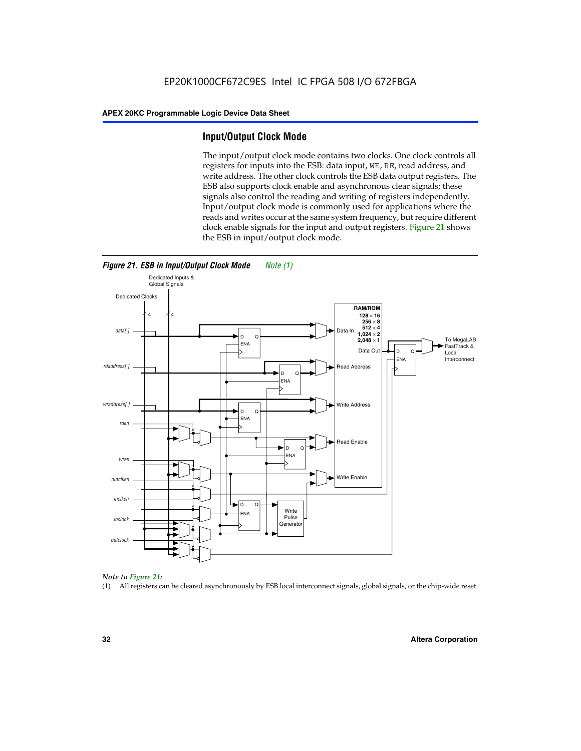#### **Input/Output Clock Mode**

The input/output clock mode contains two clocks. One clock controls all registers for inputs into the ESB: data input, WE, RE, read address, and write address. The other clock controls the ESB data output registers. The ESB also supports clock enable and asynchronous clear signals; these signals also control the reading and writing of registers independently. Input/output clock mode is commonly used for applications where the reads and writes occur at the same system frequency, but require different clock enable signals for the input and output registers. Figure 21 shows the ESB in input/output clock mode.





#### *Note to Figure 21:*

(1) All registers can be cleared asynchronously by ESB local interconnect signals, global signals, or the chip-wide reset.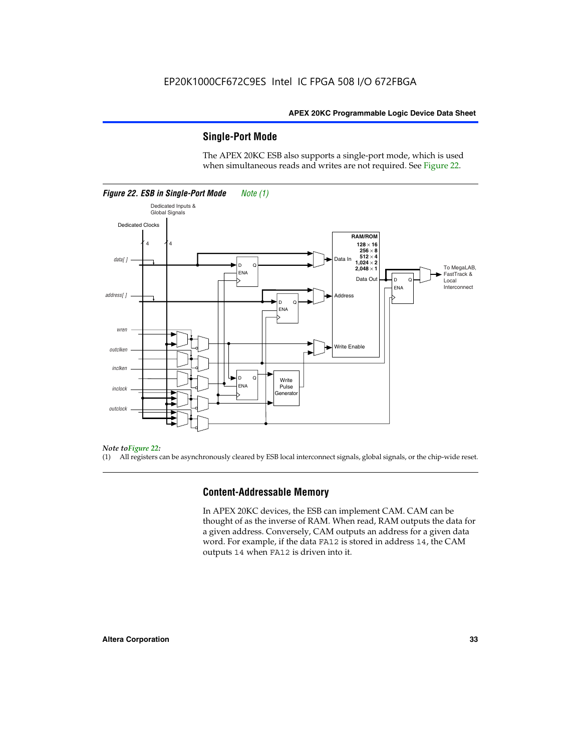#### **Single-Port Mode**

The APEX 20KC ESB also supports a single-port mode, which is used when simultaneous reads and writes are not required. See Figure 22.



#### *Note toFigure 22:*

(1) All registers can be asynchronously cleared by ESB local interconnect signals, global signals, or the chip-wide reset.

#### **Content-Addressable Memory**

In APEX 20KC devices, the ESB can implement CAM. CAM can be thought of as the inverse of RAM. When read, RAM outputs the data for a given address. Conversely, CAM outputs an address for a given data word. For example, if the data FA12 is stored in address 14, the CAM outputs 14 when FA12 is driven into it.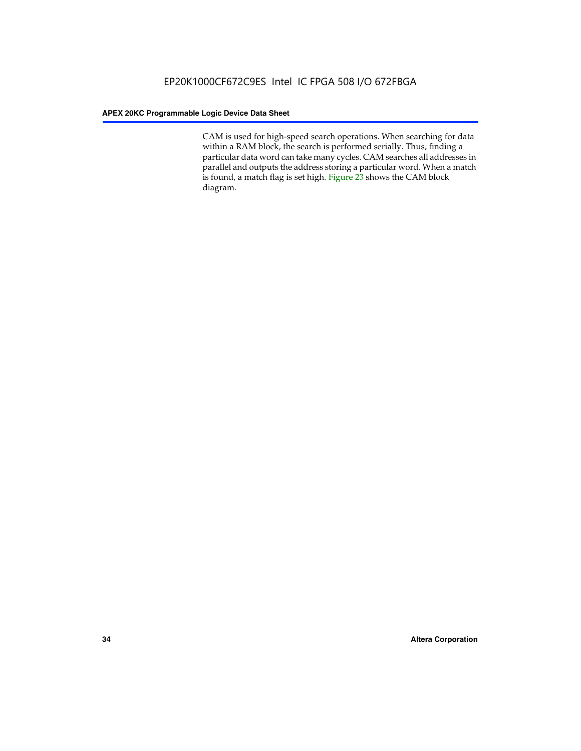CAM is used for high-speed search operations. When searching for data within a RAM block, the search is performed serially. Thus, finding a particular data word can take many cycles. CAM searches all addresses in parallel and outputs the address storing a particular word. When a match is found, a match flag is set high. Figure 23 shows the CAM block diagram.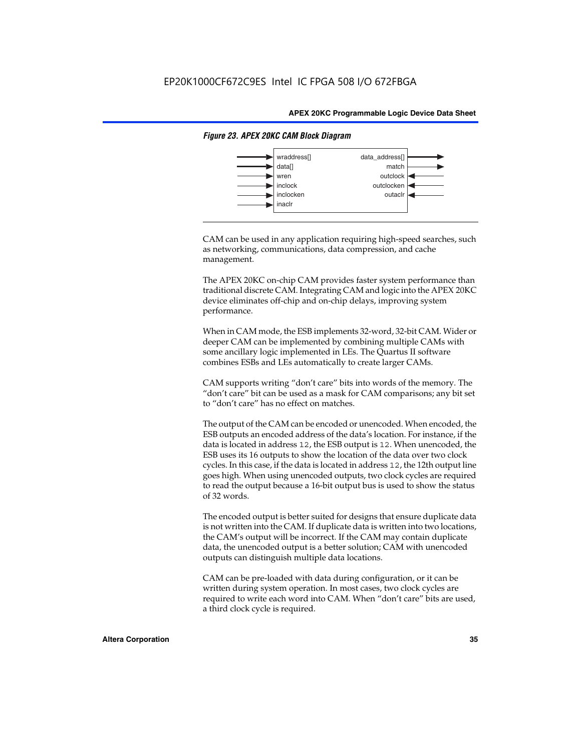

#### *Figure 23. APEX 20KC CAM Block Diagram*

CAM can be used in any application requiring high-speed searches, such as networking, communications, data compression, and cache management.

The APEX 20KC on-chip CAM provides faster system performance than traditional discrete CAM. Integrating CAM and logic into the APEX 20KC device eliminates off-chip and on-chip delays, improving system performance.

When in CAM mode, the ESB implements 32-word, 32-bit CAM. Wider or deeper CAM can be implemented by combining multiple CAMs with some ancillary logic implemented in LEs. The Quartus II software combines ESBs and LEs automatically to create larger CAMs.

CAM supports writing "don't care" bits into words of the memory. The "don't care" bit can be used as a mask for CAM comparisons; any bit set to "don't care" has no effect on matches.

The output of the CAM can be encoded or unencoded. When encoded, the ESB outputs an encoded address of the data's location. For instance, if the data is located in address 12, the ESB output is 12. When unencoded, the ESB uses its 16 outputs to show the location of the data over two clock cycles. In this case, if the data is located in address 12, the 12th output line goes high. When using unencoded outputs, two clock cycles are required to read the output because a 16-bit output bus is used to show the status of 32 words.

The encoded output is better suited for designs that ensure duplicate data is not written into the CAM. If duplicate data is written into two locations, the CAM's output will be incorrect. If the CAM may contain duplicate data, the unencoded output is a better solution; CAM with unencoded outputs can distinguish multiple data locations.

CAM can be pre-loaded with data during configuration, or it can be written during system operation. In most cases, two clock cycles are required to write each word into CAM. When "don't care" bits are used, a third clock cycle is required.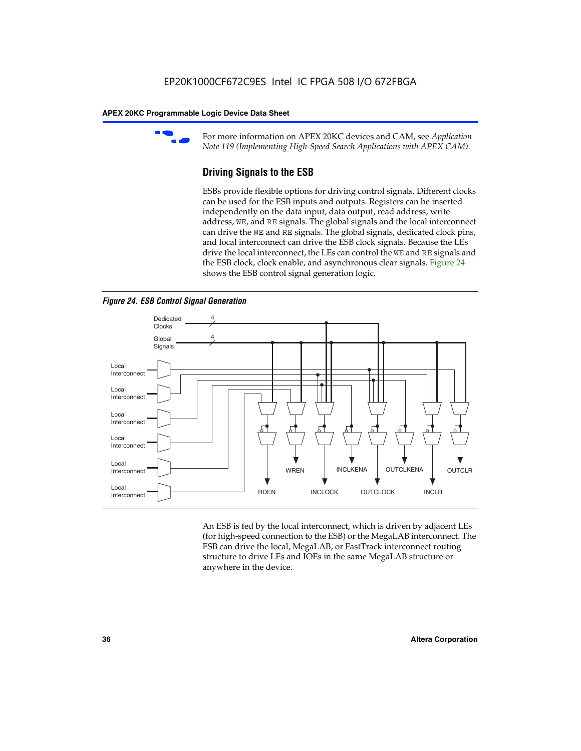

For more information on APEX 20KC devices and CAM, see *Application Note 119 (Implementing High-Speed Search Applications with APEX CAM).*

# **Driving Signals to the ESB**

ESBs provide flexible options for driving control signals. Different clocks can be used for the ESB inputs and outputs. Registers can be inserted independently on the data input, data output, read address, write address, WE, and RE signals. The global signals and the local interconnect can drive the WE and RE signals. The global signals, dedicated clock pins, and local interconnect can drive the ESB clock signals. Because the LEs drive the local interconnect, the LEs can control the WE and RE signals and the ESB clock, clock enable, and asynchronous clear signals. Figure 24 shows the ESB control signal generation logic.





An ESB is fed by the local interconnect, which is driven by adjacent LEs (for high-speed connection to the ESB) or the MegaLAB interconnect. The ESB can drive the local, MegaLAB, or FastTrack interconnect routing structure to drive LEs and IOEs in the same MegaLAB structure or anywhere in the device.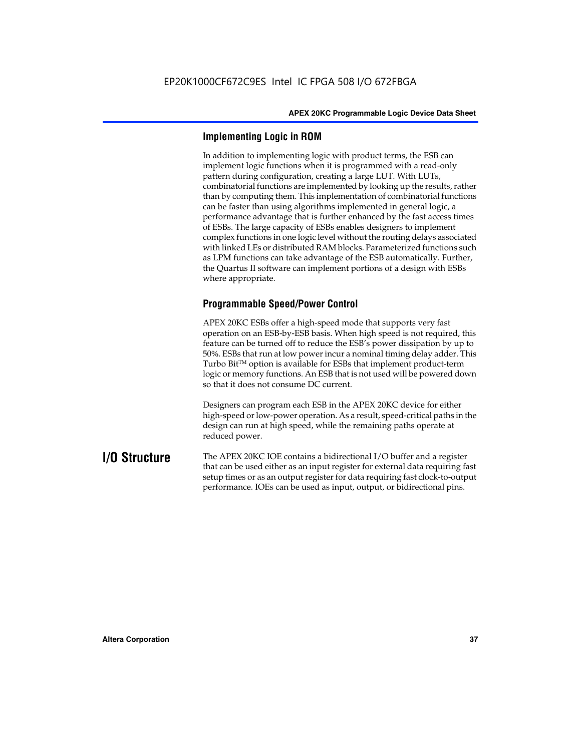## **Implementing Logic in ROM**

In addition to implementing logic with product terms, the ESB can implement logic functions when it is programmed with a read-only pattern during configuration, creating a large LUT. With LUTs, combinatorial functions are implemented by looking up the results, rather than by computing them. This implementation of combinatorial functions can be faster than using algorithms implemented in general logic, a performance advantage that is further enhanced by the fast access times of ESBs. The large capacity of ESBs enables designers to implement complex functions in one logic level without the routing delays associated with linked LEs or distributed RAM blocks. Parameterized functions such as LPM functions can take advantage of the ESB automatically. Further, the Quartus II software can implement portions of a design with ESBs where appropriate.

# **Programmable Speed/Power Control**

APEX 20KC ESBs offer a high-speed mode that supports very fast operation on an ESB-by-ESB basis. When high speed is not required, this feature can be turned off to reduce the ESB's power dissipation by up to 50%. ESBs that run at low power incur a nominal timing delay adder. This Turbo  $Bit^{TM}$  option is available for ESBs that implement product-term logic or memory functions. An ESB that is not used will be powered down so that it does not consume DC current.

Designers can program each ESB in the APEX 20KC device for either high-speed or low-power operation. As a result, speed-critical paths in the design can run at high speed, while the remaining paths operate at reduced power.

**I/O Structure** The APEX 20KC IOE contains a bidirectional I/O buffer and a register that can be used either as an input register for external data requiring fast setup times or as an output register for data requiring fast clock-to-output performance. IOEs can be used as input, output, or bidirectional pins.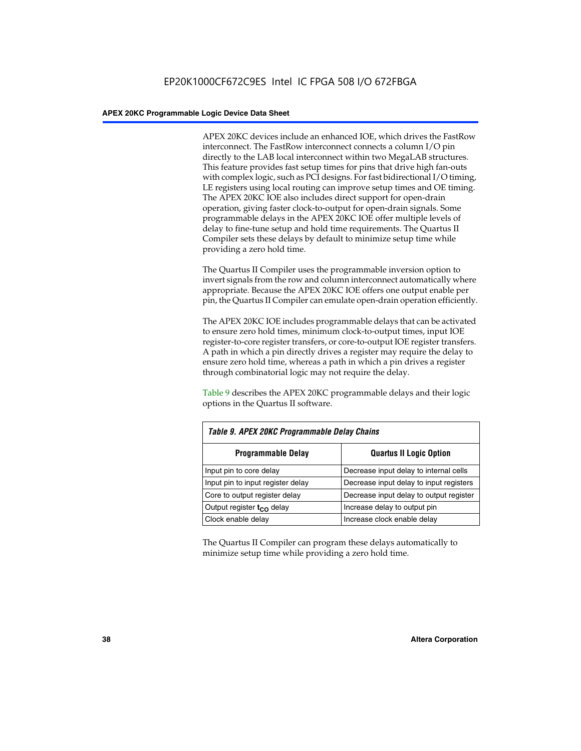APEX 20KC devices include an enhanced IOE, which drives the FastRow interconnect. The FastRow interconnect connects a column I/O pin directly to the LAB local interconnect within two MegaLAB structures. This feature provides fast setup times for pins that drive high fan-outs with complex logic, such as PCI designs. For fast bidirectional I/O timing, LE registers using local routing can improve setup times and OE timing. The APEX 20KC IOE also includes direct support for open-drain operation, giving faster clock-to-output for open-drain signals. Some programmable delays in the APEX 20KC IOE offer multiple levels of delay to fine-tune setup and hold time requirements. The Quartus II Compiler sets these delays by default to minimize setup time while providing a zero hold time.

The Quartus II Compiler uses the programmable inversion option to invert signals from the row and column interconnect automatically where appropriate. Because the APEX 20KC IOE offers one output enable per pin, the Quartus II Compiler can emulate open-drain operation efficiently.

The APEX 20KC IOE includes programmable delays that can be activated to ensure zero hold times, minimum clock-to-output times, input IOE register-to-core register transfers, or core-to-output IOE register transfers. A path in which a pin directly drives a register may require the delay to ensure zero hold time, whereas a path in which a pin drives a register through combinatorial logic may not require the delay.

Table 9 describes the APEX 20KC programmable delays and their logic options in the Quartus II software.

| Table 9. APEX 20KC Programmable Delay Chains |                                         |  |  |  |  |
|----------------------------------------------|-----------------------------------------|--|--|--|--|
| <b>Programmable Delay</b>                    | <b>Quartus II Logic Option</b>          |  |  |  |  |
| Input pin to core delay                      | Decrease input delay to internal cells  |  |  |  |  |
| Input pin to input register delay            | Decrease input delay to input registers |  |  |  |  |
| Core to output register delay                | Decrease input delay to output register |  |  |  |  |
| Output register $t_{\rm CO}$ delay           | Increase delay to output pin            |  |  |  |  |
| Clock enable delay                           | Increase clock enable delay             |  |  |  |  |

The Quartus II Compiler can program these delays automatically to minimize setup time while providing a zero hold time.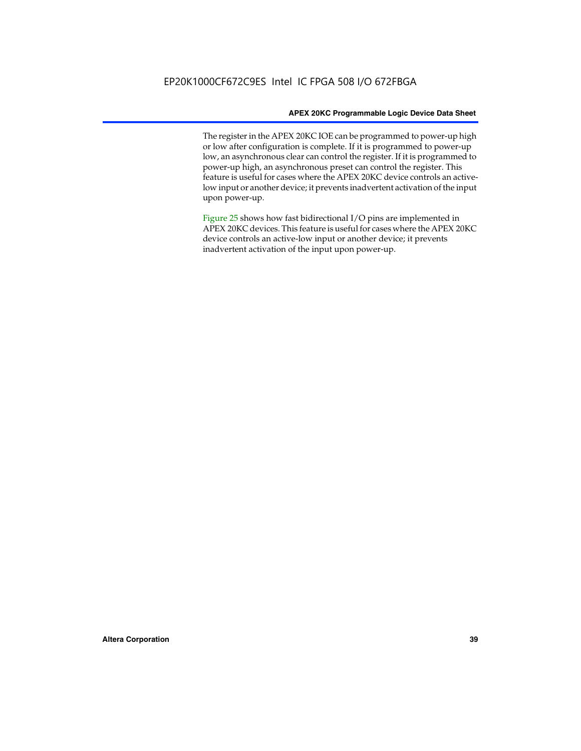The register in the APEX 20KC IOE can be programmed to power-up high or low after configuration is complete. If it is programmed to power-up low, an asynchronous clear can control the register. If it is programmed to power-up high, an asynchronous preset can control the register. This feature is useful for cases where the APEX 20KC device controls an activelow input or another device; it prevents inadvertent activation of the input upon power-up.

Figure 25 shows how fast bidirectional I/O pins are implemented in APEX 20KC devices. This feature is useful for cases where the APEX 20KC device controls an active-low input or another device; it prevents inadvertent activation of the input upon power-up.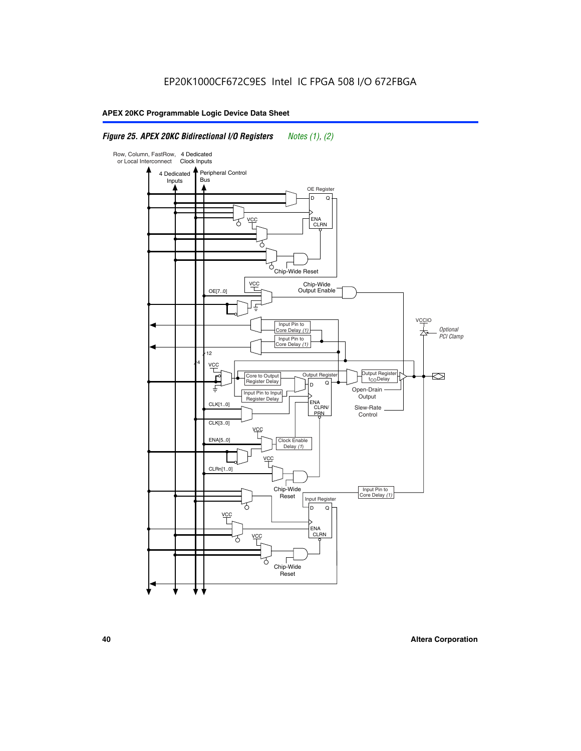### *Figure 25. APEX 20KC Bidirectional I/O Registers Notes (1), (2)*

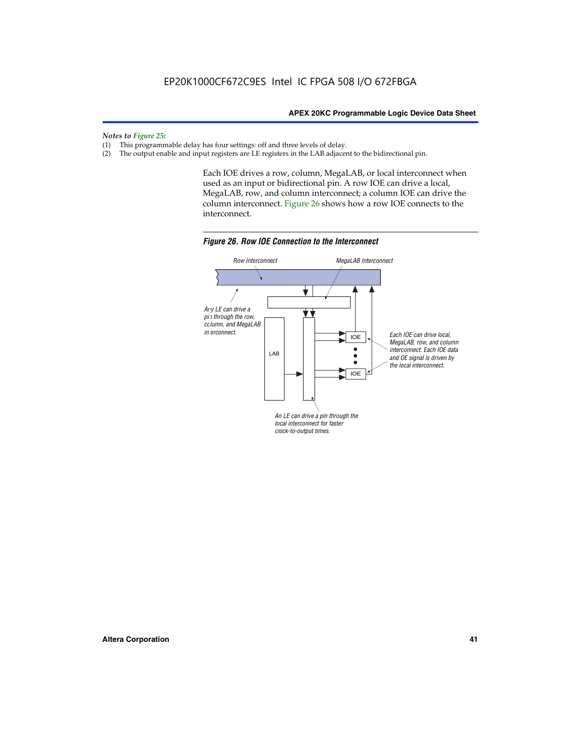*Notes to Figure 25:*

- (1) This programmable delay has four settings: off and three levels of delay.<br>(2) The output enable and input registers are LE registers in the LAB adjacer
- The output enable and input registers are LE registers in the LAB adjacent to the bidirectional pin.

Each IOE drives a row, column, MegaLAB, or local interconnect when used as an input or bidirectional pin. A row IOE can drive a local, MegaLAB, row, and column interconnect; a column IOE can drive the column interconnect. Figure 26 shows how a row IOE connects to the interconnect.



*Figure 26. Row IOE Connection to the Interconnect*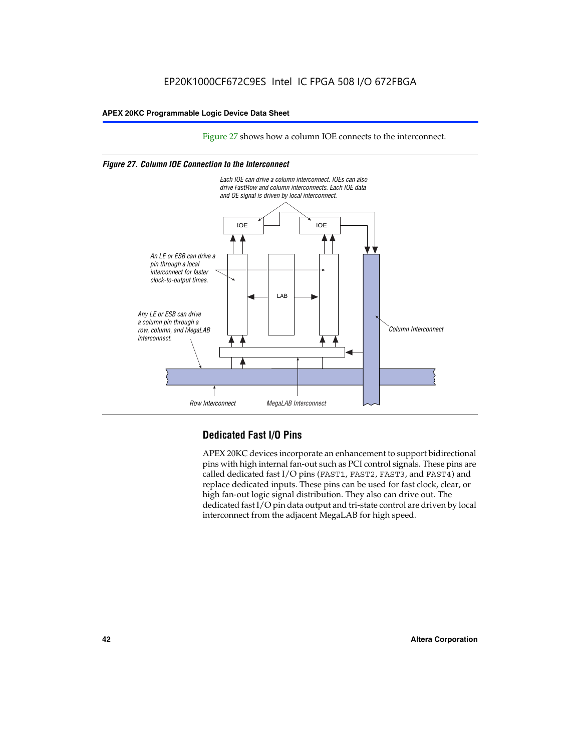Figure 27 shows how a column IOE connects to the interconnect.

### *Figure 27. Column IOE Connection to the Interconnect*



# **Dedicated Fast I/O Pins**

APEX 20KC devices incorporate an enhancement to support bidirectional pins with high internal fan-out such as PCI control signals. These pins are called dedicated fast I/O pins (FAST1, FAST2, FAST3, and FAST4) and replace dedicated inputs. These pins can be used for fast clock, clear, or high fan-out logic signal distribution. They also can drive out. The dedicated fast I/O pin data output and tri-state control are driven by local interconnect from the adjacent MegaLAB for high speed.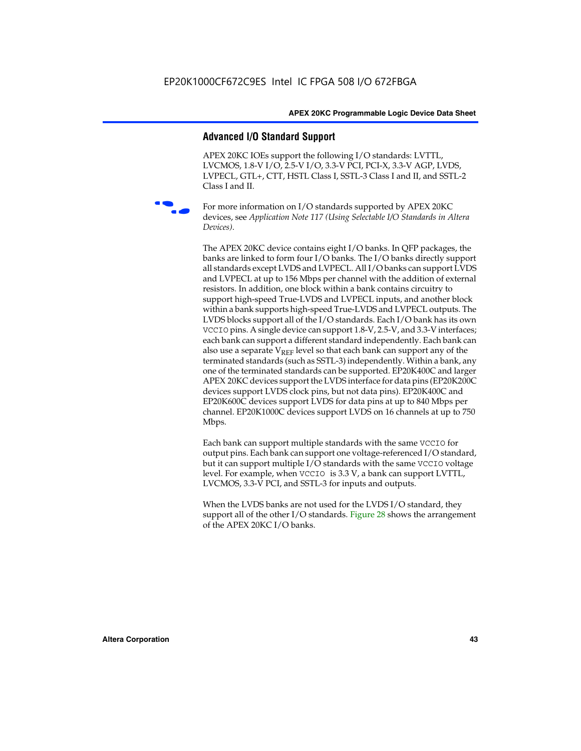### **Advanced I/O Standard Support**

APEX 20KC IOEs support the following I/O standards: LVTTL, LVCMOS, 1.8-V I/O, 2.5-V I/O, 3.3-V PCI, PCI-X, 3.3-V AGP, LVDS, LVPECL, GTL+, CTT, HSTL Class I, SSTL-3 Class I and II, and SSTL-2 Class I and II.



For more information on I/O standards supported by APEX 20KC devices, see *Application Note 117 (Using Selectable I/O Standards in Altera Devices)*.

The APEX 20KC device contains eight I/O banks. In QFP packages, the banks are linked to form four I/O banks. The I/O banks directly support all standards except LVDS and LVPECL. All I/O banks can support LVDS and LVPECL at up to 156 Mbps per channel with the addition of external resistors. In addition, one block within a bank contains circuitry to support high-speed True-LVDS and LVPECL inputs, and another block within a bank supports high-speed True-LVDS and LVPECL outputs. The LVDS blocks support all of the I/O standards. Each I/O bank has its own VCCIO pins. A single device can support 1.8-V, 2.5-V, and 3.3-V interfaces; each bank can support a different standard independently. Each bank can also use a separate  $V_{REF}$  level so that each bank can support any of the terminated standards (such as SSTL-3) independently. Within a bank, any one of the terminated standards can be supported. EP20K400C and larger APEX 20KC devices support the LVDS interface for data pins (EP20K200C devices support LVDS clock pins, but not data pins). EP20K400C and EP20K600C devices support LVDS for data pins at up to 840 Mbps per channel. EP20K1000C devices support LVDS on 16 channels at up to 750 Mbps.

Each bank can support multiple standards with the same VCCIO for output pins. Each bank can support one voltage-referenced I/O standard, but it can support multiple I/O standards with the same VCCIO voltage level. For example, when VCCIO is 3.3 V, a bank can support LVTTL, LVCMOS, 3.3-V PCI, and SSTL-3 for inputs and outputs.

When the LVDS banks are not used for the LVDS I/O standard, they support all of the other I/O standards. Figure 28 shows the arrangement of the APEX 20KC I/O banks.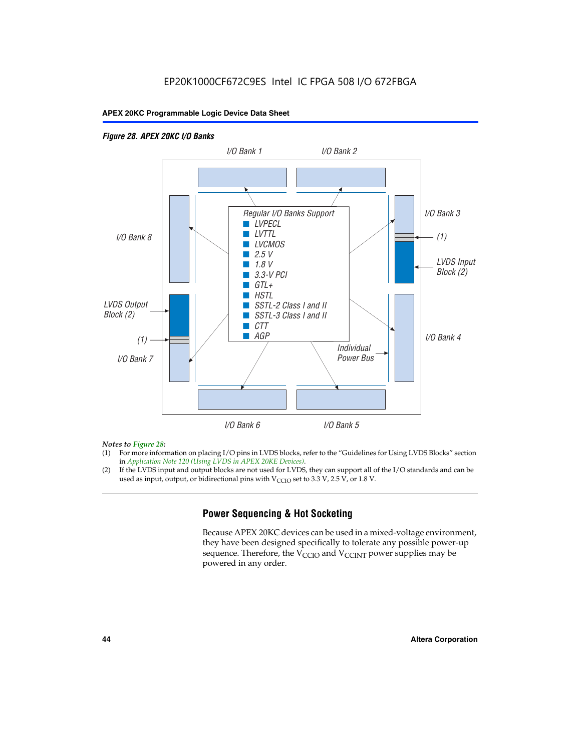### *Figure 28. APEX 20KC I/O Banks LVDS Input Block (2) (1) LVDS Output Block (2) (1) Individual Power Bus I/O Bank 8 I/O Bank 1 I/O Bank 2 I/O Bank 3 I/O Bank 4 I/O Bank 6 I/O Bank 5 I/O Bank 7 Regular I/O Banks Support* ■ *LVPECL* ■ *LVTTL* ■ *LVCMOS* ■ *2.5 V* ■ *1.8 V* ■ *3.3-V PCI* ■ *GTL+* ■ *HSTL* ■ *SSTL-2 Class I and II* ■ *SSTL-3 Class I and II* ■ *CTT* ■ *AGP*

### *Notes to Figure 28:*

- (1) For more information on placing I/O pins in LVDS blocks, refer to the "Guidelines for Using LVDS Blocks" section in *Application Note 120 (Using LVDS in APEX 20KE Devices)*.
- (2) If the LVDS input and output blocks are not used for LVDS, they can support all of the I/O standards and can be used as input, output, or bidirectional pins with  $V_{\text{CCIO}}$  set to 3.3 V, 2.5 V, or 1.8 V.

## **Power Sequencing & Hot Socketing**

Because APEX 20KC devices can be used in a mixed-voltage environment, they have been designed specifically to tolerate any possible power-up sequence. Therefore, the  $V_{\text{CCIO}}$  and  $V_{\text{CCINT}}$  power supplies may be powered in any order.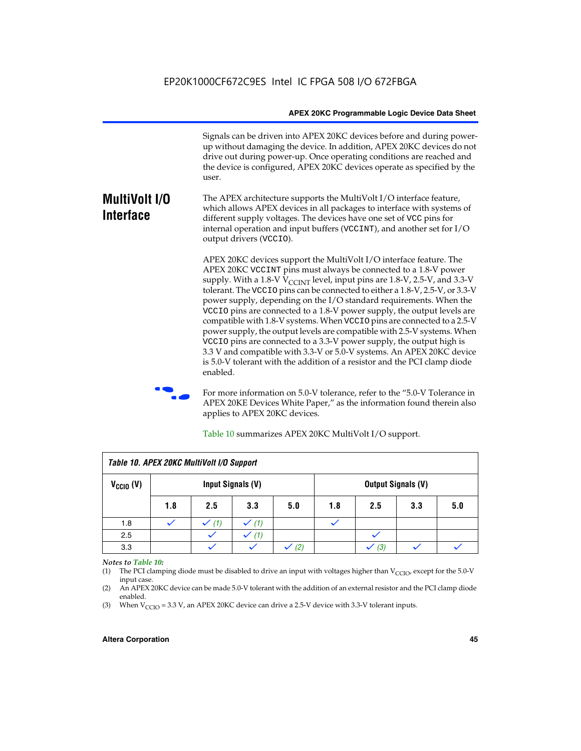Signals can be driven into APEX 20KC devices before and during powerup without damaging the device. In addition, APEX 20KC devices do not drive out during power-up. Once operating conditions are reached and the device is configured, APEX 20KC devices operate as specified by the user.

### **MultiVolt I/O Interface** The APEX architecture supports the MultiVolt I/O interface feature, which allows APEX devices in all packages to interface with systems of different supply voltages. The devices have one set of VCC pins for internal operation and input buffers (VCCINT), and another set for I/O output drivers (VCCIO).

APEX 20KC devices support the MultiVolt I/O interface feature. The APEX 20KC VCCINT pins must always be connected to a 1.8-V power supply. With a 1.8-V  $V_{\text{CCINT}}$  level, input pins are 1.8-V, 2.5-V, and 3.3-V tolerant. The VCCIO pins can be connected to either a 1.8-V, 2.5-V, or 3.3-V power supply, depending on the I/O standard requirements. When the VCCIO pins are connected to a 1.8-V power supply, the output levels are compatible with 1.8-V systems. When VCCIO pins are connected to a 2.5-V power supply, the output levels are compatible with 2.5-V systems. When VCCIO pins are connected to a 3.3-V power supply, the output high is 3.3 V and compatible with 3.3-V or 5.0-V systems. An APEX 20KC device is 5.0-V tolerant with the addition of a resistor and the PCI clamp diode enabled.

For more information on 5.0-V tolerance, refer to the "5.0-V Tolerance in APEX 20KE Devices White Paper," as the information found therein also applies to APEX 20KC devices.

| Table 10. APEX 20KC MultiVolt I/O Support |                                                |     |     |     |     |     |     |     |
|-------------------------------------------|------------------------------------------------|-----|-----|-----|-----|-----|-----|-----|
| $V_{\text{CCIO}}(V)$                      | Input Signals (V)<br><b>Output Signals (V)</b> |     |     |     |     |     |     |     |
|                                           | 1.8                                            | 2.5 | 3.3 | 5.0 | 1.8 | 2.5 | 3.3 | 5.0 |
| 1.8                                       |                                                | (1) | (1) |     |     |     |     |     |
| 2.5                                       |                                                |     | (1) |     |     |     |     |     |
| 3.3                                       |                                                |     |     | (2) |     | (3) |     |     |

Table 10 summarizes APEX 20KC MultiVolt I/O support.

### *Notes to Table 10:*

(1) The PCI clamping diode must be disabled to drive an input with voltages higher than  $V_{C CIO}$ , except for the 5.0-V input case.

(2) An APEX 20KC device can be made 5.0-V tolerant with the addition of an external resistor and the PCI clamp diode enabled.

(3) When  $V_{\text{CCIO}} = 3.3 \text{ V}$ , an APEX 20KC device can drive a 2.5-V device with 3.3-V tolerant inputs.

### **Altera Corporation 45**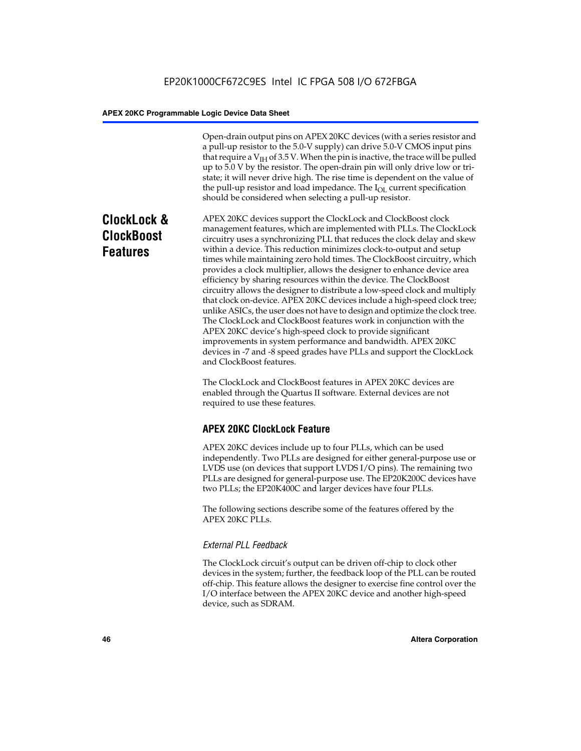Open-drain output pins on APEX 20KC devices (with a series resistor and a pull-up resistor to the 5.0-V supply) can drive 5.0-V CMOS input pins that require a  $V<sub>IH</sub>$  of 3.5 V. When the pin is inactive, the trace will be pulled up to 5.0 V by the resistor. The open-drain pin will only drive low or tristate; it will never drive high. The rise time is dependent on the value of the pull-up resistor and load impedance. The  $I_{OL}$  current specification should be considered when selecting a pull-up resistor.

# **ClockLock & ClockBoost Features**

APEX 20KC devices support the ClockLock and ClockBoost clock management features, which are implemented with PLLs. The ClockLock circuitry uses a synchronizing PLL that reduces the clock delay and skew within a device. This reduction minimizes clock-to-output and setup times while maintaining zero hold times. The ClockBoost circuitry, which provides a clock multiplier, allows the designer to enhance device area efficiency by sharing resources within the device. The ClockBoost circuitry allows the designer to distribute a low-speed clock and multiply that clock on-device. APEX 20KC devices include a high-speed clock tree; unlike ASICs, the user does not have to design and optimize the clock tree. The ClockLock and ClockBoost features work in conjunction with the APEX 20KC device's high-speed clock to provide significant improvements in system performance and bandwidth. APEX 20KC devices in -7 and -8 speed grades have PLLs and support the ClockLock and ClockBoost features.

The ClockLock and ClockBoost features in APEX 20KC devices are enabled through the Quartus II software. External devices are not required to use these features.

# **APEX 20KC ClockLock Feature**

APEX 20KC devices include up to four PLLs, which can be used independently. Two PLLs are designed for either general-purpose use or LVDS use (on devices that support LVDS I/O pins). The remaining two PLLs are designed for general-purpose use. The EP20K200C devices have two PLLs; the EP20K400C and larger devices have four PLLs.

The following sections describe some of the features offered by the APEX 20KC PLLs.

### *External PLL Feedback*

The ClockLock circuit's output can be driven off-chip to clock other devices in the system; further, the feedback loop of the PLL can be routed off-chip. This feature allows the designer to exercise fine control over the I/O interface between the APEX 20KC device and another high-speed device, such as SDRAM.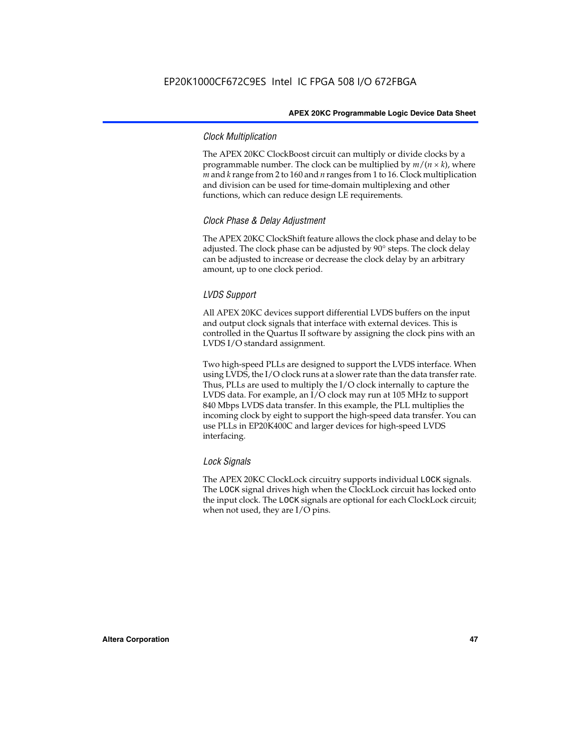### *Clock Multiplication*

The APEX 20KC ClockBoost circuit can multiply or divide clocks by a programmable number. The clock can be multiplied by  $m/(n \times k)$ , where *m* and *k* range from 2 to 160 and *n* ranges from 1 to 16. Clock multiplication and division can be used for time-domain multiplexing and other functions, which can reduce design LE requirements.

### *Clock Phase & Delay Adjustment*

The APEX 20KC ClockShift feature allows the clock phase and delay to be adjusted. The clock phase can be adjusted by 90° steps. The clock delay can be adjusted to increase or decrease the clock delay by an arbitrary amount, up to one clock period.

### *LVDS Support*

All APEX 20KC devices support differential LVDS buffers on the input and output clock signals that interface with external devices. This is controlled in the Quartus II software by assigning the clock pins with an LVDS I/O standard assignment.

Two high-speed PLLs are designed to support the LVDS interface. When using LVDS, the I/O clock runs at a slower rate than the data transfer rate. Thus, PLLs are used to multiply the I/O clock internally to capture the LVDS data. For example, an I/O clock may run at 105 MHz to support 840 Mbps LVDS data transfer. In this example, the PLL multiplies the incoming clock by eight to support the high-speed data transfer. You can use PLLs in EP20K400C and larger devices for high-speed LVDS interfacing.

### *Lock Signals*

The APEX 20KC ClockLock circuitry supports individual LOCK signals. The LOCK signal drives high when the ClockLock circuit has locked onto the input clock. The LOCK signals are optional for each ClockLock circuit; when not used, they are I/O pins.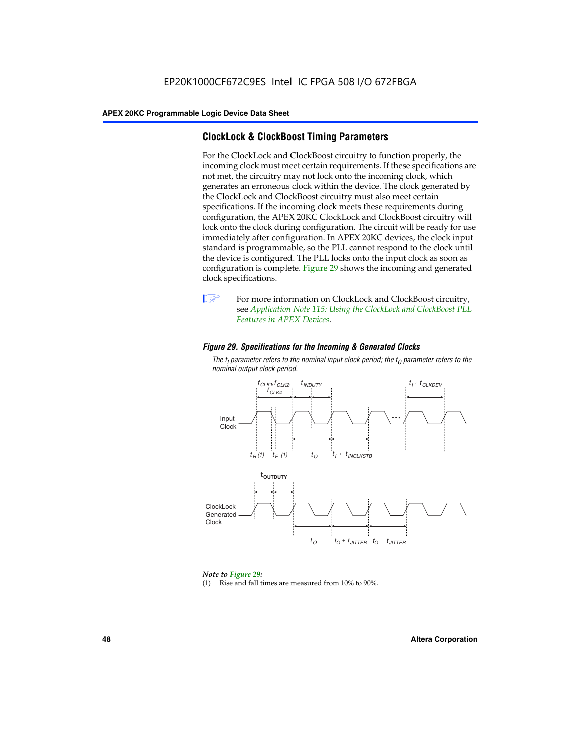## **ClockLock & ClockBoost Timing Parameters**

For the ClockLock and ClockBoost circuitry to function properly, the incoming clock must meet certain requirements. If these specifications are not met, the circuitry may not lock onto the incoming clock, which generates an erroneous clock within the device. The clock generated by the ClockLock and ClockBoost circuitry must also meet certain specifications. If the incoming clock meets these requirements during configuration, the APEX 20KC ClockLock and ClockBoost circuitry will lock onto the clock during configuration. The circuit will be ready for use immediately after configuration. In APEX 20KC devices, the clock input standard is programmable, so the PLL cannot respond to the clock until the device is configured. The PLL locks onto the input clock as soon as configuration is complete. Figure 29 shows the incoming and generated clock specifications.



**1** For more information on ClockLock and ClockBoost circuitry, see *Application Note 115: Using the ClockLock and ClockBoost PLL Features in APEX Devices*.

### *Figure 29. Specifications for the Incoming & Generated Clocks*

The  $t_{\mathfrak l}$  parameter refers to the nominal input clock period; the  $t_{\mathfrak l}$  parameter refers to the *nominal output clock period.*



### *Note to Figure 29:*

(1) Rise and fall times are measured from 10% to 90%.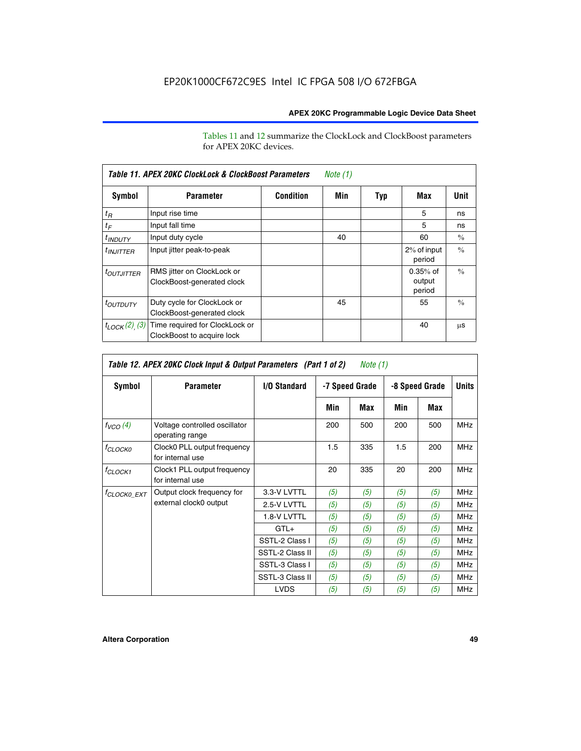Tables 11 and 12 summarize the ClockLock and ClockBoost parameters for APEX 20KC devices.

| Table 11. APEX 20KC ClockLock & ClockBoost Parameters<br>Note (1) |                                                              |                  |     |     |                                |               |  |  |
|-------------------------------------------------------------------|--------------------------------------------------------------|------------------|-----|-----|--------------------------------|---------------|--|--|
| Symbol                                                            | <b>Parameter</b>                                             | <b>Condition</b> | Min | Typ | Max                            | Unit          |  |  |
| $t_R$                                                             | Input rise time                                              |                  |     |     | 5                              | ns            |  |  |
| $t_F$                                                             | Input fall time                                              |                  |     |     | 5                              | ns            |  |  |
| <sup>t</sup> INDUTY                                               | Input duty cycle                                             |                  | 40  |     | 60                             | $\frac{0}{0}$ |  |  |
| $t_{INJITTER}$                                                    | Input jitter peak-to-peak                                    |                  |     |     | 2% of input<br>period          | $\frac{0}{0}$ |  |  |
| <i>toutjitter</i>                                                 | RMS jitter on ClockLock or<br>ClockBoost-generated clock     |                  |     |     | $0.35%$ of<br>output<br>period | $\frac{0}{0}$ |  |  |
| <i>toutbuty</i>                                                   | Duty cycle for ClockLock or<br>ClockBoost-generated clock    |                  | 45  |     | 55                             | $\frac{0}{0}$ |  |  |
| $t_{LOCK}(2)$ (3)                                                 | Time required for ClockLock or<br>ClockBoost to acquire lock |                  |     |     | 40                             | μS            |  |  |

| Table 12. APEX 20KC Clock Input & Output Parameters (Part 1 of 2)<br>Note (1) |                                                  |                 |                |     |                |     |              |
|-------------------------------------------------------------------------------|--------------------------------------------------|-----------------|----------------|-----|----------------|-----|--------------|
| Symbol                                                                        | <b>Parameter</b>                                 | I/O Standard    | -7 Speed Grade |     | -8 Speed Grade |     | <b>Units</b> |
|                                                                               |                                                  |                 | Min            | Max | Min            | Max |              |
| $f_{VCO}(4)$                                                                  | Voltage controlled oscillator<br>operating range |                 | 200            | 500 | 200            | 500 | <b>MHz</b>   |
| f <sub>CLOCK0</sub>                                                           | Clock0 PLL output frequency<br>for internal use  |                 | 1.5            | 335 | 1.5            | 200 | <b>MHz</b>   |
| $f_{CLOCK1}$                                                                  | Clock1 PLL output frequency<br>for internal use  |                 | 20             | 335 | 20             | 200 | <b>MHz</b>   |
| <sup>†</sup> CLOCK0 EXT                                                       | Output clock frequency for                       | 3.3-V LVTTL     | (5)            | (5) | (5)            | (5) | <b>MHz</b>   |
|                                                                               | external clock0 output                           | 2.5-V LVTTL     | (5)            | (5) | (5)            | (5) | <b>MHz</b>   |
|                                                                               |                                                  | 1.8-V LVTTL     | (5)            | (5) | (5)            | (5) | <b>MHz</b>   |
|                                                                               |                                                  | $GTL+$          | (5)            | (5) | (5)            | (5) | <b>MHz</b>   |
|                                                                               |                                                  | SSTL-2 Class I  | (5)            | (5) | (5)            | (5) | <b>MHz</b>   |
|                                                                               |                                                  | SSTL-2 Class II | (5)            | (5) | (5)            | (5) | <b>MHz</b>   |
|                                                                               |                                                  | SSTL-3 Class I  | (5)            | (5) | (5)            | (5) | <b>MHz</b>   |
|                                                                               |                                                  | SSTL-3 Class II | (5)            | (5) | (5)            | (5) | <b>MHz</b>   |
|                                                                               |                                                  | <b>LVDS</b>     | (5)            | (5) | (5)            | (5) | <b>MHz</b>   |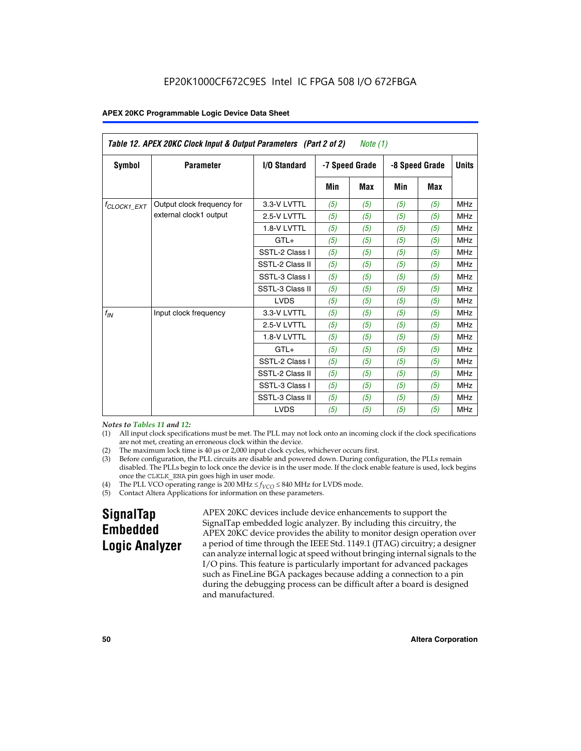| Table 12. APEX 20KC Clock Input & Output Parameters (Part 2 of 2)<br>Note $(1)$ |                            |                     |     |                |                |            |              |
|---------------------------------------------------------------------------------|----------------------------|---------------------|-----|----------------|----------------|------------|--------------|
| Symbol                                                                          | <b>Parameter</b>           | <b>I/O Standard</b> |     | -7 Speed Grade | -8 Speed Grade |            | <b>Units</b> |
|                                                                                 |                            |                     | Min | Max            | <b>Min</b>     | <b>Max</b> |              |
| <sup>f</sup> CLOCK1 EXT                                                         | Output clock frequency for | 3.3-V LVTTL         | (5) | (5)            | (5)            | (5)        | <b>MHz</b>   |
|                                                                                 | external clock1 output     | 2.5-V LVTTL         | (5) | (5)            | (5)            | (5)        | <b>MHz</b>   |
|                                                                                 |                            | 1.8-V LVTTL         | (5) | (5)            | (5)            | (5)        | <b>MHz</b>   |
|                                                                                 |                            | $GTL+$              | (5) | (5)            | (5)            | (5)        | <b>MHz</b>   |
|                                                                                 |                            | SSTL-2 Class I      | (5) | (5)            | (5)            | (5)        | <b>MHz</b>   |
|                                                                                 |                            | SSTL-2 Class II     | (5) | (5)            | (5)            | (5)        | <b>MHz</b>   |
|                                                                                 |                            | SSTL-3 Class I      | (5) | (5)            | (5)            | (5)        | <b>MHz</b>   |
|                                                                                 |                            | SSTL-3 Class II     | (5) | (5)            | (5)            | (5)        | <b>MHz</b>   |
|                                                                                 |                            | <b>LVDS</b>         | (5) | (5)            | (5)            | (5)        | <b>MHz</b>   |
| $f_{IN}$                                                                        | Input clock frequency      | 3.3-V LVTTL         | (5) | (5)            | (5)            | (5)        | <b>MHz</b>   |
|                                                                                 |                            | 2.5-V LVTTL         | (5) | (5)            | (5)            | (5)        | <b>MHz</b>   |
|                                                                                 |                            | 1.8-V LVTTL         | (5) | (5)            | (5)            | (5)        | <b>MHz</b>   |
|                                                                                 |                            | $GTL+$              | (5) | (5)            | (5)            | (5)        | <b>MHz</b>   |
|                                                                                 |                            | SSTL-2 Class I      | (5) | (5)            | (5)            | (5)        | <b>MHz</b>   |
|                                                                                 |                            | SSTL-2 Class II     | (5) | (5)            | (5)            | (5)        | <b>MHz</b>   |
|                                                                                 |                            | SSTL-3 Class I      | (5) | (5)            | (5)            | (5)        | <b>MHz</b>   |
|                                                                                 |                            | SSTL-3 Class II     | (5) | (5)            | (5)            | (5)        | <b>MHz</b>   |
|                                                                                 |                            | <b>LVDS</b>         | (5) | (5)            | (5)            | (5)        | <b>MHz</b>   |

### *Notes to Tables 11 and 12:*

- (1) All input clock specifications must be met. The PLL may not lock onto an incoming clock if the clock specifications are not met, creating an erroneous clock within the device.
- 
- (2) The maximum lock time is  $40 \mu s$  or  $2,000$  input clock cycles, whichever occurs first.<br>
(3) Before configuration, the PLL circuits are disable and powered down. During confi Before configuration, the PLL circuits are disable and powered down. During configuration, the PLLs remain disabled. The PLLs begin to lock once the device is in the user mode. If the clock enable feature is used, lock begins once the CLKLK\_ENA pin goes high in user mode.
- (4) The PLL VCO operating range is 200 MHz  $\leq f_{VCO} \leq 840$  MHz for LVDS mode.

(5) Contact Altera Applications for information on these parameters.

# **SignalTap Embedded Logic Analyzer**

APEX 20KC devices include device enhancements to support the SignalTap embedded logic analyzer. By including this circuitry, the APEX 20KC device provides the ability to monitor design operation over a period of time through the IEEE Std. 1149.1 (JTAG) circuitry; a designer can analyze internal logic at speed without bringing internal signals to the I/O pins. This feature is particularly important for advanced packages such as FineLine BGA packages because adding a connection to a pin during the debugging process can be difficult after a board is designed and manufactured.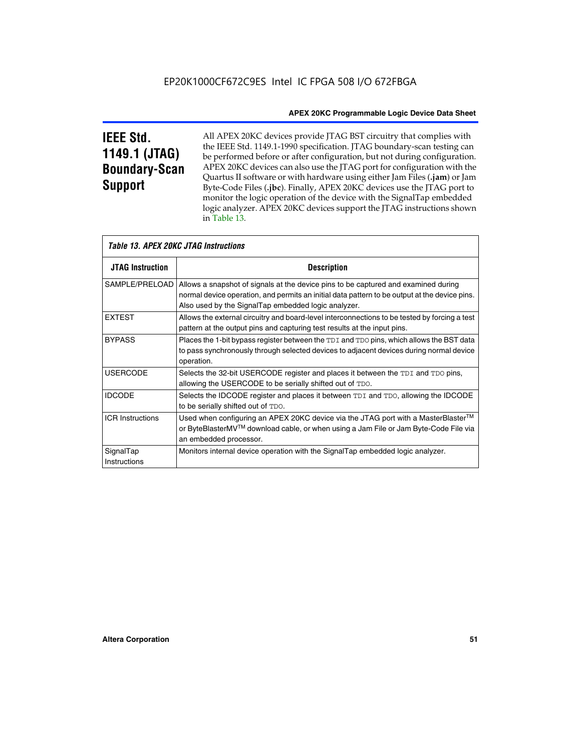# **IEEE Std. 1149.1 (JTAG) Boundary-Scan Support**

Г

All APEX 20KC devices provide JTAG BST circuitry that complies with the IEEE Std. 1149.1-1990 specification. JTAG boundary-scan testing can be performed before or after configuration, but not during configuration. APEX 20KC devices can also use the JTAG port for configuration with the Quartus II software or with hardware using either Jam Files (**.jam**) or Jam Byte-Code Files (**.jbc**). Finally, APEX 20KC devices use the JTAG port to monitor the logic operation of the device with the SignalTap embedded logic analyzer. APEX 20KC devices support the JTAG instructions shown in Table 13.

| Table 13. APEX 20KC JTAG Instructions |                                                                                                                                                                                                                                            |  |  |  |  |
|---------------------------------------|--------------------------------------------------------------------------------------------------------------------------------------------------------------------------------------------------------------------------------------------|--|--|--|--|
| <b>JTAG Instruction</b>               | <b>Description</b>                                                                                                                                                                                                                         |  |  |  |  |
| SAMPLE/PRELOAD                        | Allows a snapshot of signals at the device pins to be captured and examined during<br>normal device operation, and permits an initial data pattern to be output at the device pins.<br>Also used by the SignalTap embedded logic analyzer. |  |  |  |  |
| <b>EXTEST</b>                         | Allows the external circuitry and board-level interconnections to be tested by forcing a test<br>pattern at the output pins and capturing test results at the input pins.                                                                  |  |  |  |  |
| <b>BYPASS</b>                         | Places the 1-bit bypass register between the TDI and TDO pins, which allows the BST data<br>to pass synchronously through selected devices to adjacent devices during normal device<br>operation.                                          |  |  |  |  |
| <b>USERCODE</b>                       | Selects the 32-bit USERCODE register and places it between the TDI and TDO pins,<br>allowing the USERCODE to be serially shifted out of TDO.                                                                                               |  |  |  |  |
| <b>IDCODE</b>                         | Selects the IDCODE register and places it between TDI and TDO, allowing the IDCODE<br>to be serially shifted out of TDO.                                                                                                                   |  |  |  |  |
| <b>ICR Instructions</b>               | Used when configuring an APEX 20KC device via the JTAG port with a MasterBlaster™<br>or ByteBlasterMV™ download cable, or when using a Jam File or Jam Byte-Code File via<br>an embedded processor.                                        |  |  |  |  |
| SignalTap<br>Instructions             | Monitors internal device operation with the SignalTap embedded logic analyzer.                                                                                                                                                             |  |  |  |  |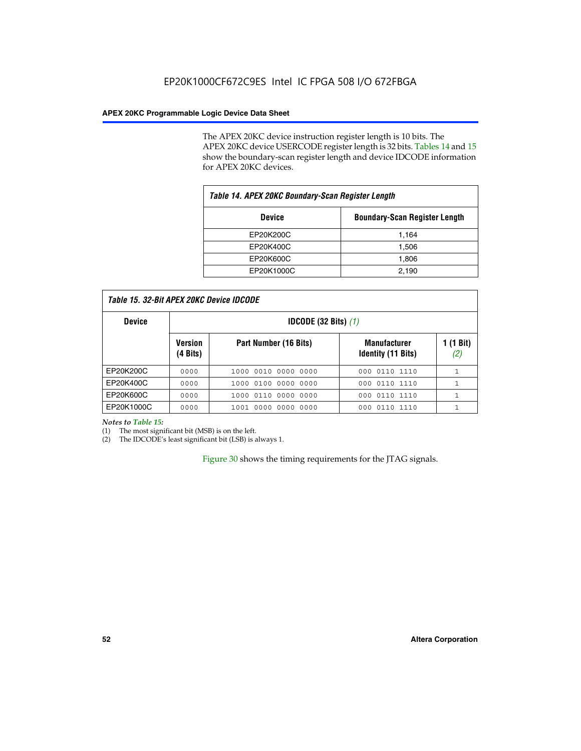The APEX 20KC device instruction register length is 10 bits. The APEX 20KC device USERCODE register length is 32 bits. Tables 14 and 15 show the boundary-scan register length and device IDCODE information for APEX 20KC devices.

| Table 14. APEX 20KC Boundary-Scan Register Length |                                      |  |  |  |
|---------------------------------------------------|--------------------------------------|--|--|--|
| <b>Device</b>                                     | <b>Boundary-Scan Register Length</b> |  |  |  |
| EP20K200C                                         | 1,164                                |  |  |  |
| EP20K400C                                         | 1,506                                |  |  |  |
| EP20K600C                                         | 1,806                                |  |  |  |
| EP20K1000C                                        | 2,190                                |  |  |  |

| Table 15, 32-Bit APEX 20KC Device IDCODE |  |
|------------------------------------------|--|
|                                          |  |

| <b>Device</b> | <b>IDCODE (32 Bits)</b> $(1)$ |                       |                                                  |                  |  |  |
|---------------|-------------------------------|-----------------------|--------------------------------------------------|------------------|--|--|
|               | <b>Version</b><br>(4 Bits)    | Part Number (16 Bits) | <b>Manufacturer</b><br><b>Identity (11 Bits)</b> | 1 (1 Bit)<br>(2, |  |  |
| EP20K200C     | 0000                          | 1000 0010 0000 0000   | 000 0110 1110                                    |                  |  |  |
| EP20K400C     | 0000                          | 1000 0100 0000 0000   | 0110 1110<br>000                                 |                  |  |  |
| EP20K600C     | 0000                          | 1000 0110 0000 0000   | 000 0110 1110                                    | 1                |  |  |
| EP20K1000C    | 0000                          | 1001 0000 0000 0000   | 000 0110 1110                                    |                  |  |  |

### *Notes to Table 15:*

(1) The most significant bit (MSB) is on the left.

(2) The IDCODE's least significant bit (LSB) is always 1.

Figure 30 shows the timing requirements for the JTAG signals.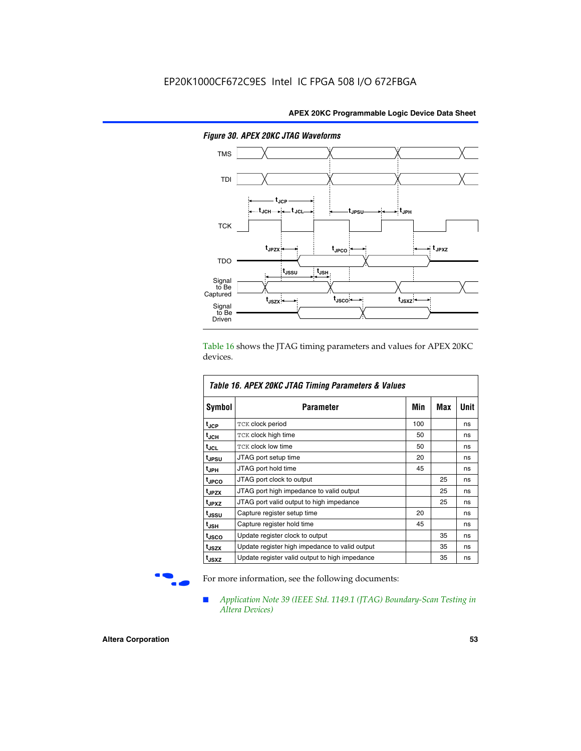

*Figure 30. APEX 20KC JTAG Waveforms*

Table 16 shows the JTAG timing parameters and values for APEX 20KC devices.

| Table 16. APEX 20KC JTAG Timing Parameters & Values |                                                |     |     |      |  |  |  |
|-----------------------------------------------------|------------------------------------------------|-----|-----|------|--|--|--|
| Symbol                                              | Parameter                                      | Min | Max | Unit |  |  |  |
| t <sub>JCP</sub>                                    | TCK clock period                               | 100 |     | ns   |  |  |  |
| t <sub>JCH</sub>                                    | TCK clock high time                            | 50  |     | ns   |  |  |  |
| tjcL                                                | <b>TCK clock low time</b>                      | 50  |     | ns   |  |  |  |
| t <sub>JPSU</sub>                                   | JTAG port setup time                           | 20  |     | ns   |  |  |  |
| t <sub>JPH</sub>                                    | JTAG port hold time                            | 45  |     | ns   |  |  |  |
| <sup>t</sup> JPCO                                   | JTAG port clock to output                      |     | 25  | ns   |  |  |  |
| t <sub>JPZX</sub>                                   | JTAG port high impedance to valid output       |     | 25  | ns   |  |  |  |
| t <sub>JPXZ</sub>                                   | JTAG port valid output to high impedance       |     | 25  | ns   |  |  |  |
| t <sub>JSSU</sub>                                   | Capture register setup time                    | 20  |     | ns   |  |  |  |
| t <sub>JSH</sub>                                    | Capture register hold time                     | 45  |     | ns   |  |  |  |
| t <sub>JSCO</sub>                                   | Update register clock to output                |     | 35  | ns   |  |  |  |
| t <sub>JSZX</sub>                                   | Update register high impedance to valid output |     | 35  | ns   |  |  |  |
| t <sub>JSXZ</sub>                                   | Update register valid output to high impedance |     | 35  | ns   |  |  |  |

For more information, see the following documents:

■ *Application Note 39 (IEEE Std. 1149.1 (JTAG) Boundary-Scan Testing in Altera Devices)*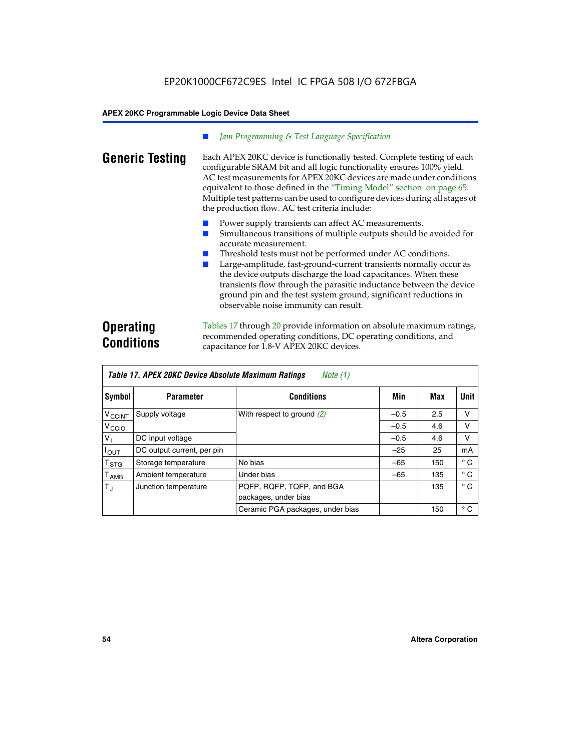### *Jam Programming & Test Language Specification*

**Generic Testing** Each APEX 20KC device is functionally tested. Complete testing of each configurable SRAM bit and all logic functionality ensures 100% yield. AC test measurements for APEX 20KC devices are made under conditions equivalent to those defined in the "Timing Model" section on page 65. Multiple test patterns can be used to configure devices during all stages of the production flow. AC test criteria include:

- Power supply transients can affect AC measurements.
- Simultaneous transitions of multiple outputs should be avoided for accurate measurement.
- Threshold tests must not be performed under AC conditions.
- Large-amplitude, fast-ground-current transients normally occur as the device outputs discharge the load capacitances. When these transients flow through the parasitic inductance between the device ground pin and the test system ground, significant reductions in observable noise immunity can result.

# **Operating Conditions**

Tables 17 through 20 provide information on absolute maximum ratings, recommended operating conditions, DC operating conditions, and capacitance for 1.8-V APEX 20KC devices.

| Table 17. APEX 20KC Device Absolute Maximum Ratings<br>Note (1) |                            |                                                   |        |     |              |  |  |
|-----------------------------------------------------------------|----------------------------|---------------------------------------------------|--------|-----|--------------|--|--|
| Symbol                                                          | <b>Parameter</b>           | <b>Conditions</b>                                 | Min    | Max | Unit         |  |  |
| $V_{\text{CCINT}}$                                              | Supply voltage             | With respect to ground $(2)$                      | $-0.5$ | 2.5 | v            |  |  |
| V <sub>CCIO</sub>                                               |                            |                                                   | $-0.5$ | 4.6 | V            |  |  |
| V <sub>I</sub>                                                  | DC input voltage           |                                                   | $-0.5$ | 4.6 | v            |  |  |
| $I_{OUT}$                                                       | DC output current, per pin |                                                   | $-25$  | 25  | mA           |  |  |
| $\mathsf{T}_{\texttt{STG}}$                                     | Storage temperature        | No bias                                           | $-65$  | 150 | $^{\circ}$ C |  |  |
| $\mathsf{T}_{\mathsf{AMB}}$                                     | Ambient temperature        | Under bias                                        | $-65$  | 135 | $^{\circ}$ C |  |  |
| $T_{\rm J}$                                                     | Junction temperature       | PQFP, RQFP, TQFP, and BGA<br>packages, under bias |        | 135 | $^{\circ}$ C |  |  |
|                                                                 |                            | Ceramic PGA packages, under bias                  |        | 150 | $^{\circ}$ C |  |  |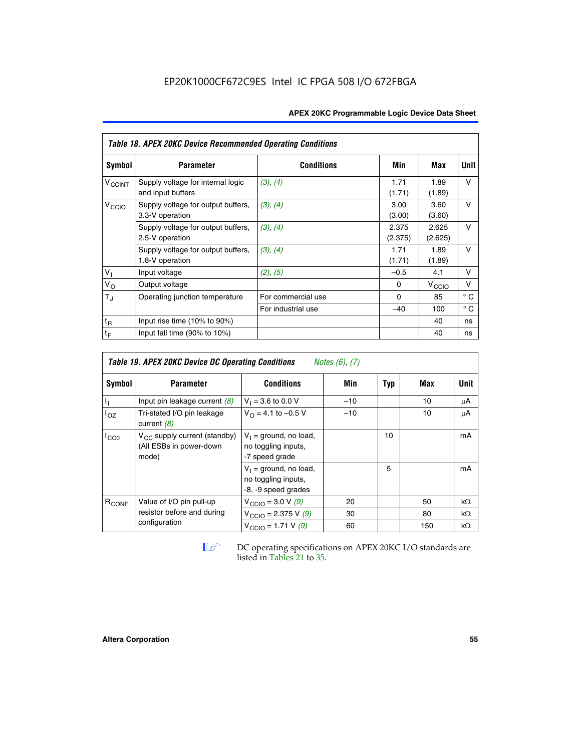| <b>APEX 20KC Programmable Logic Device Data Sheet</b> |  |  |
|-------------------------------------------------------|--|--|
|-------------------------------------------------------|--|--|

|                          | <b>Table 18. APEX 20KC Device Recommended Operating Conditions</b> |                    |                  |                   |              |  |  |  |  |
|--------------------------|--------------------------------------------------------------------|--------------------|------------------|-------------------|--------------|--|--|--|--|
| <b>Symbol</b>            | <b>Parameter</b>                                                   | <b>Conditions</b>  | Min              | Max               | Unit         |  |  |  |  |
| <b>V<sub>CCINT</sub></b> | Supply voltage for internal logic<br>and input buffers             | (3), (4)           | 1.71<br>(1.71)   | 1.89<br>(1.89)    | $\vee$       |  |  |  |  |
| V <sub>CCIO</sub>        | Supply voltage for output buffers,<br>3.3-V operation              | (3), (4)           | 3.00<br>(3.00)   | 3.60<br>(3.60)    | v            |  |  |  |  |
|                          | Supply voltage for output buffers,<br>2.5-V operation              | (3), (4)           | 2.375<br>(2.375) | 2.625<br>(2.625)  | $\vee$       |  |  |  |  |
|                          | Supply voltage for output buffers,<br>1.8-V operation              | (3), (4)           | 1.71<br>(1.71)   | 1.89<br>(1.89)    | v            |  |  |  |  |
| V <sub>1</sub>           | Input voltage                                                      | (2), (5)           | $-0.5$           | 4.1               | v            |  |  |  |  |
| $V_{\rm O}$              | Output voltage                                                     |                    | 0                | $V_{\text{CCLO}}$ | $\vee$       |  |  |  |  |
| $T_{\rm J}$              | Operating junction temperature                                     | For commercial use | 0                | 85                | $^{\circ}$ C |  |  |  |  |
|                          |                                                                    | For industrial use | $-40$            | 100               | $^{\circ}$ C |  |  |  |  |
| $t_{R}$                  | Input rise time $(10\% \text{ to } 90\%)$                          |                    |                  | 40                | ns           |  |  |  |  |
| $t_F$                    | Input fall time $(90\% \text{ to } 10\%)$                          |                    |                  | 40                | ns           |  |  |  |  |

|                   | <b>Table 19. APEX 20KC Device DC Operating Conditions</b><br><i>Notes</i> $(6)$ , $(7)$ |                                                                        |       |     |     |             |  |  |
|-------------------|-----------------------------------------------------------------------------------------|------------------------------------------------------------------------|-------|-----|-----|-------------|--|--|
| Symbol            | <b>Parameter</b>                                                                        | <b>Conditions</b>                                                      | Min   | Typ | Max | <b>Unit</b> |  |  |
| J,                | Input pin leakage current $(8)$                                                         | $V_1 = 3.6$ to 0.0 V                                                   | $-10$ |     | 10  | μA          |  |  |
| $I_{OZ}$          | Tri-stated I/O pin leakage<br>current $(8)$                                             | $V_{\Omega} = 4.1$ to -0.5 V                                           | $-10$ |     | 10  | μA          |  |  |
| $I_{CC0}$         | $V_{CC}$ supply current (standby)<br>(All ESBs in power-down<br>mode)                   | $V_1$ = ground, no load,<br>no toggling inputs,<br>-7 speed grade      |       | 10  |     | mA          |  |  |
|                   |                                                                                         | $V_1$ = ground, no load,<br>no toggling inputs,<br>-8, -9 speed grades |       | 5   |     | mA          |  |  |
| R <sub>CONF</sub> | Value of I/O pin pull-up                                                                | $V_{\text{CCIO}} = 3.0 V (9)$                                          | 20    |     | 50  | $k\Omega$   |  |  |
|                   | resistor before and during                                                              | $V_{\text{CCIO}} = 2.375 V (9)$                                        | 30    |     | 80  | $k\Omega$   |  |  |
|                   | configuration                                                                           | $V_{\text{CCIO}} = 1.71 V (9)$                                         | 60    |     | 150 | $k\Omega$   |  |  |

**IF DC** operating specifications on APEX 20KC I/O standards are listed in Tables 21 to 35*.*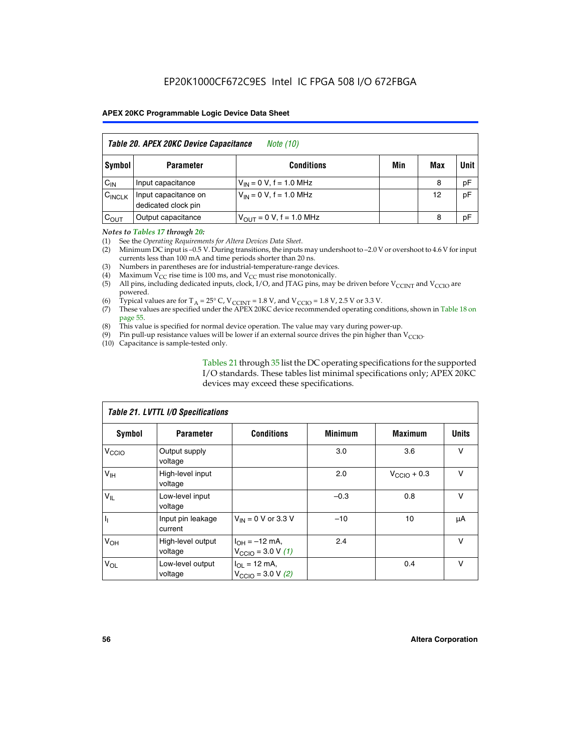|                    | Table 20. APEX 20KC Device Capacitance<br><i>Note (10)</i> |                                |     |     |      |  |  |
|--------------------|------------------------------------------------------------|--------------------------------|-----|-----|------|--|--|
| Symbol             | <b>Parameter</b>                                           | <b>Conditions</b>              | Min | Max | Unit |  |  |
| $C_{IN}$           | Input capacitance                                          | $V_{IN} = 0 V$ , f = 1.0 MHz   |     | 8   | pF   |  |  |
| $C_{\text{INCLK}}$ | Input capacitance on<br>dedicated clock pin                | $V_{IN} = 0 V$ , f = 1.0 MHz   |     | 12  | pF   |  |  |
| $C_{OUT}$          | Output capacitance                                         | $V_{OIII} = 0 V$ , f = 1.0 MHz |     | 8   | pF   |  |  |

### *Notes to Tables 17 through 20:*

(1) See the *Operating Requirements for Altera Devices Data Sheet*.

(2) Minimum DC input is –0.5 V. During transitions, the inputs may undershoot to –2.0 V or overshoot to 4.6 V for input currents less than 100 mA and time periods shorter than 20 ns.

- (3) Numbers in parentheses are for industrial-temperature-range devices.<br>(4) Maximum  $V_{CC}$  rise time is 100 ms, and  $V_{CC}$  must rise monotonically.
- (4) Maximum  $V_{CC}$  rise time is 100 ms, and  $V_{CC}$  must rise monotonically.<br>(5) All pins, including dedicated inputs, clock, I/O, and JTAG pins, may
- All pins, including dedicated inputs, clock, I/O, and JTAG pins, may be driven before  $V_{CCTN}$  and  $V_{CCTO}$  are powered.
- (6) Typical values are for T<sub>A</sub> = 25° C, V<sub>CCINT</sub> = 1.8 V, and V<sub>CCIO</sub> = 1.8 V, 2.5 V or 3.3 V.
- (7) These values are specified under the APEX 20KC device recommended operating conditions, shown in Table 18 on page 55.
- (8) This value is specified for normal device operation. The value may vary during power-up.
- (9) Pin pull-up resistance values will be lower if an external source drives the pin higher than  $V_{\text{CCIO}}$ .
- (10) Capacitance is sample-tested only.

Tables 21 through 35 list the DC operating specifications for the supported I/O standards. These tables list minimal specifications only; APEX 20KC devices may exceed these specifications.

|                   | Table 21. LVTTL I/O Specifications |                                                            |                |                         |              |  |  |  |
|-------------------|------------------------------------|------------------------------------------------------------|----------------|-------------------------|--------------|--|--|--|
| Symbol            | <b>Parameter</b>                   | <b>Conditions</b>                                          | <b>Minimum</b> | <b>Maximum</b>          | <b>Units</b> |  |  |  |
| V <sub>CCIO</sub> | Output supply<br>voltage           |                                                            | 3.0            | 3.6                     | v            |  |  |  |
| V <sub>IH</sub>   | High-level input<br>voltage        |                                                            | 2.0            | $V_{\text{CClO}} + 0.3$ | $\vee$       |  |  |  |
| $V_{IL}$          | Low-level input<br>voltage         |                                                            | $-0.3$         | 0.8                     | v            |  |  |  |
| $\mathbf{I}_{1}$  | Input pin leakage<br>current       | $V_{IN}$ = 0 V or 3.3 V                                    | $-10$          | 10                      | μA           |  |  |  |
| V <sub>OH</sub>   | High-level output<br>voltage       | $I_{OH} = -12$ mA,<br>$V_{\text{CCIO}} = 3.0 V (1)$        | 2.4            |                         | v            |  |  |  |
| $V_{OL}$          | Low-level output<br>voltage        | $I_{OL}$ = 12 mA,<br>$V_{\text{CCIO}} = 3.0 \text{ V}$ (2) |                | 0.4                     | $\vee$       |  |  |  |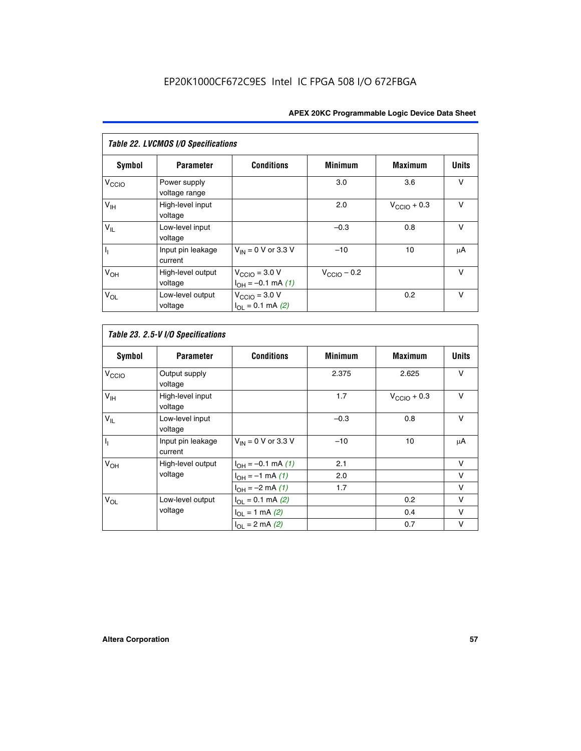| Table 22. LVCMOS I/O Specifications |                               |                                                          |                         |                         |              |  |  |
|-------------------------------------|-------------------------------|----------------------------------------------------------|-------------------------|-------------------------|--------------|--|--|
| Symbol                              | <b>Parameter</b>              | <b>Conditions</b>                                        | <b>Minimum</b>          | <b>Maximum</b>          | <b>Units</b> |  |  |
| V <sub>CCIO</sub>                   | Power supply<br>voltage range |                                                          | 3.0                     | 3.6                     | $\vee$       |  |  |
| $V_{\text{IH}}$                     | High-level input<br>voltage   |                                                          | 2.0                     | $V_{\text{CCIO}} + 0.3$ | $\vee$       |  |  |
| $V_{IL}$                            | Low-level input<br>voltage    |                                                          | $-0.3$                  | 0.8                     | $\vee$       |  |  |
| I <sub>1</sub>                      | Input pin leakage<br>current  | $V_{IN}$ = 0 V or 3.3 V                                  | $-10$                   | 10                      | μA           |  |  |
| V <sub>OH</sub>                     | High-level output<br>voltage  | $V_{\text{CCIO}} = 3.0 V$<br>$I_{OH} = -0.1$ mA $(1)$    | $V_{\text{CClO}}$ – 0.2 |                         | $\vee$       |  |  |
| $V_{OL}$                            | Low-level output<br>voltage   | $V_{\text{CCIO}} = 3.0 V$<br>$I_{\Omega I} = 0.1$ mA (2) |                         | 0.2                     | $\vee$       |  |  |

|                   | Table 23. 2.5-V I/O Specifications |                         |                |                         |              |  |  |  |
|-------------------|------------------------------------|-------------------------|----------------|-------------------------|--------------|--|--|--|
| Symbol            | <b>Parameter</b>                   | <b>Conditions</b>       | <b>Minimum</b> | <b>Maximum</b>          | <b>Units</b> |  |  |  |
| V <sub>CCIO</sub> | Output supply<br>voltage           |                         | 2.375          | 2.625                   | V            |  |  |  |
| $V_{\text{IH}}$   | High-level input<br>voltage        |                         | 1.7            | $V_{\text{CCIO}} + 0.3$ | V            |  |  |  |
| $V_{IL}$          | Low-level input<br>voltage         |                         | $-0.3$         | 0.8                     | V            |  |  |  |
| $I_1$             | Input pin leakage<br>current       | $V_{IN}$ = 0 V or 3.3 V | $-10$          | 10                      | μA           |  |  |  |
| V <sub>OH</sub>   | High-level output                  | $I_{OH} = -0.1$ mA (1)  | 2.1            |                         | v            |  |  |  |
|                   | voltage                            | $I_{OH} = -1$ mA (1)    | 2.0            |                         | v            |  |  |  |
|                   |                                    | $I_{OH} = -2$ mA (1)    | 1.7            |                         | v            |  |  |  |
| $V_{OL}$          | Low-level output                   | $I_{OL} = 0.1$ mA (2)   |                | 0.2                     | v            |  |  |  |
|                   | voltage                            | $I_{OL} = 1$ mA (2)     |                | 0.4                     | v            |  |  |  |
|                   |                                    | $I_{OL} = 2$ mA (2)     |                | 0.7                     | v            |  |  |  |

r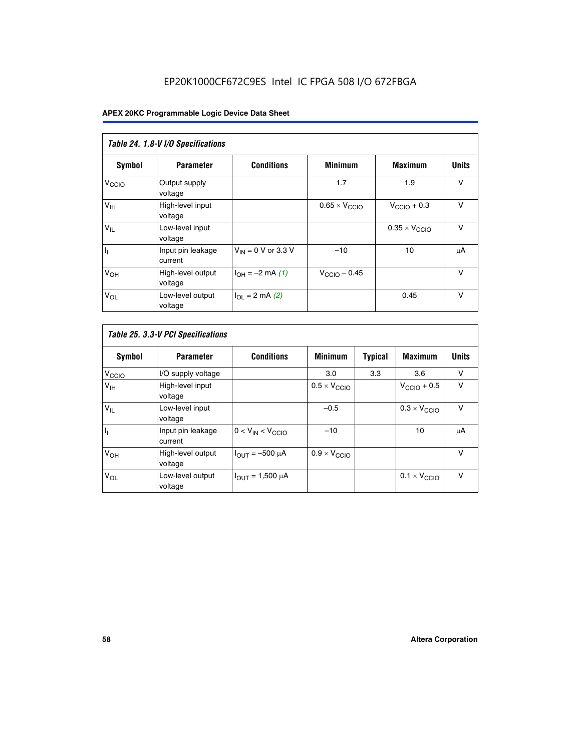|                            | Table 24. 1.8-V I/O Specifications |                           |                               |                               |              |  |  |  |
|----------------------------|------------------------------------|---------------------------|-------------------------------|-------------------------------|--------------|--|--|--|
| Symbol                     | <b>Parameter</b>                   | <b>Conditions</b>         | <b>Minimum</b>                | <b>Maximum</b>                | <b>Units</b> |  |  |  |
| V <sub>CCIO</sub>          | Output supply<br>voltage           |                           | 1.7                           | 1.9                           | $\vee$       |  |  |  |
| V <sub>IH</sub>            | High-level input<br>voltage        |                           | $0.65 \times V_{\text{CCIO}}$ | $V_{\text{CCIO}} + 0.3$       | $\vee$       |  |  |  |
| $\mathsf{V}_{\mathsf{IL}}$ | Low-level input<br>voltage         |                           |                               | $0.35 \times V_{\text{CCIO}}$ | $\vee$       |  |  |  |
| $I_1$                      | Input pin leakage<br>current       | $V_{IN}$ = 0 V or 3.3 V   | $-10$                         | 10                            | μA           |  |  |  |
| V <sub>OH</sub>            | High-level output<br>voltage       | $I_{OH} = -2$ mA (1)      | $V_{\text{CCIO}} - 0.45$      |                               | V            |  |  |  |
| $V_{OL}$                   | Low-level output<br>voltage        | $I_{\Omega I}$ = 2 mA (2) |                               | 0.45                          | $\vee$       |  |  |  |

| Table 25. 3.3-V PCI Specifications |                              |                         |                              |                |                              |              |
|------------------------------------|------------------------------|-------------------------|------------------------------|----------------|------------------------------|--------------|
| Symbol                             | <b>Parameter</b>             | <b>Conditions</b>       | <b>Minimum</b>               | <b>Typical</b> | <b>Maximum</b>               | <b>Units</b> |
| V <sub>CCIO</sub>                  | I/O supply voltage           |                         | 3.0                          | 3.3            | 3.6                          | v            |
| $V_{\text{IH}}$                    | High-level input<br>voltage  |                         | $0.5 \times V_{\text{CCIO}}$ |                | $V_{\text{CCIO}} + 0.5$      | $\vee$       |
| $V_{IL}$                           | Low-level input<br>voltage   |                         | $-0.5$                       |                | $0.3 \times V_{\text{CCIO}}$ | v            |
| h                                  | Input pin leakage<br>current | $0 < V_{IN} < V_{CCIO}$ | $-10$                        |                | 10                           | μA           |
| V <sub>OH</sub>                    | High-level output<br>voltage | $I_{OUT} = -500 \mu A$  | $0.9 \times V_{\text{CCIO}}$ |                |                              | $\vee$       |
| $V_{OL}$                           | Low-level output<br>voltage  | $I_{OUT} = 1,500 \mu A$ |                              |                | $0.1 \times V_{\text{CCIO}}$ | v            |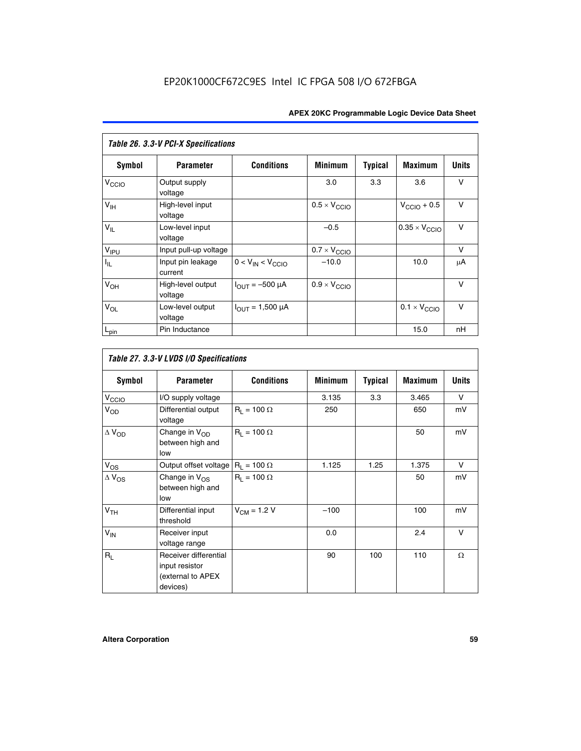| Table 26. 3.3-V PCI-X Specifications |                              |                                |                              |                |                         |              |
|--------------------------------------|------------------------------|--------------------------------|------------------------------|----------------|-------------------------|--------------|
| <b>Symbol</b>                        | <b>Parameter</b>             | <b>Conditions</b>              | <b>Minimum</b>               | <b>Typical</b> | <b>Maximum</b>          | <b>Units</b> |
| V <sub>CCIO</sub>                    | Output supply<br>voltage     |                                | 3.0                          | 3.3            | 3.6                     | v            |
| $V_{\text{IH}}$                      | High-level input<br>voltage  |                                | $0.5 \times V_{\text{CCIO}}$ |                | $V_{\text{CCIO}} + 0.5$ | $\vee$       |
| $V_{IL}$                             | Low-level input<br>voltage   |                                | $-0.5$                       |                | $0.35 \times V_{CCIO}$  | $\vee$       |
| V <sub>IPU</sub>                     | Input pull-up voltage        |                                | $0.7 \times V_{\text{CCIO}}$ |                |                         | V            |
| $I_{\rm IL}$                         | Input pin leakage<br>current | $0 < V_{IN} < V_{CCIO}$        | $-10.0$                      |                | 10.0                    | μA           |
| $V_{OH}$                             | High-level output<br>voltage | $I_{OUT} = -500 \mu A$         | $0.9 \times V_{\text{CCIO}}$ |                |                         | $\vee$       |
| $V_{OL}$                             | Low-level output<br>voltage  | $I_{\text{OUT}} = 1,500 \mu A$ |                              |                | $0.1 \times V_{CCIO}$   | $\vee$       |
| $L_{pin}$                            | Pin Inductance               |                                |                              |                | 15.0                    | nH           |

|                          | Table 27. 3.3-V LVDS I/O Specifications                                  |                    |                |                |                |              |
|--------------------------|--------------------------------------------------------------------------|--------------------|----------------|----------------|----------------|--------------|
| Symbol                   | <b>Parameter</b>                                                         | <b>Conditions</b>  | <b>Minimum</b> | <b>Typical</b> | <b>Maximum</b> | <b>Units</b> |
| V <sub>C</sub> CO        | I/O supply voltage                                                       |                    | 3.135          | 3.3            | 3.465          | $\vee$       |
| $V_{OD}$                 | Differential output<br>voltage                                           | $R_1 = 100 \Omega$ | 250            |                | 650            | mV           |
| $\Delta$ V <sub>OD</sub> | Change in V <sub>OD</sub><br>between high and<br>low                     | $R_1 = 100 \Omega$ |                |                | 50             | mV           |
| $V_{OS}$                 | Output offset voltage $R_1 = 100 \Omega$                                 |                    | 1.125          | 1.25           | 1.375          | V            |
| $\Delta$ V <sub>OS</sub> | Change in $V_{OS}$<br>between high and<br>low                            | $R_1 = 100 \Omega$ |                |                | 50             | mV           |
| V <sub>TH</sub>          | Differential input<br>threshold                                          | $V_{CM} = 1.2 V$   | $-100$         |                | 100            | mV           |
| $V_{IN}$                 | Receiver input<br>voltage range                                          |                    | 0.0            |                | 2.4            | $\vee$       |
| $R_{\rm I}$              | Receiver differential<br>input resistor<br>(external to APEX<br>devices) |                    | 90             | 100            | 110            | $\Omega$     |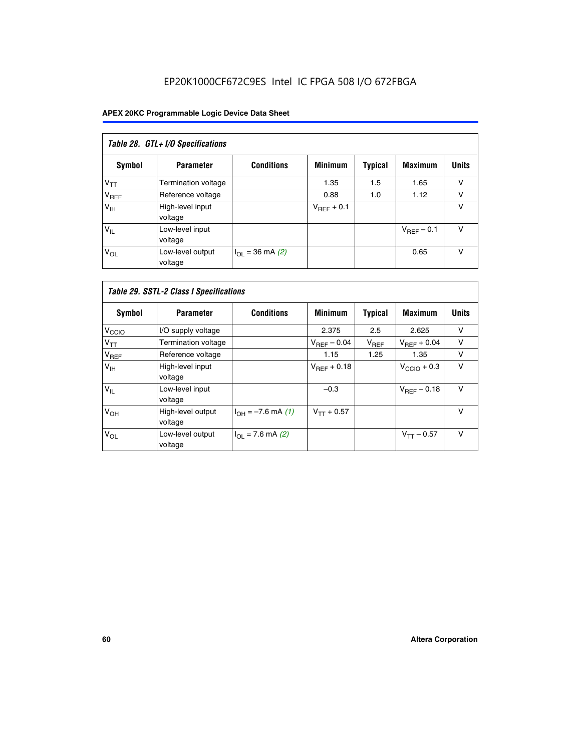# EP20K1000CF672C9ES Intel IC FPGA 508 I/O 672FBGA

| Table 28. GTL+ I/O Specifications |                             |                      |                 |                |                        |              |
|-----------------------------------|-----------------------------|----------------------|-----------------|----------------|------------------------|--------------|
| <b>Symbol</b>                     | <b>Parameter</b>            | <b>Conditions</b>    | <b>Minimum</b>  | <b>Typical</b> | <b>Maximum</b>         | <b>Units</b> |
| $V_{TT}$                          | <b>Termination voltage</b>  |                      | 1.35            | 1.5            | 1.65                   | v            |
| V <sub>REF</sub>                  | Reference voltage           |                      | 0.88            | 1.0            | 1.12                   | v            |
| V <sub>IH</sub>                   | High-level input<br>voltage |                      | $V_{REF}$ + 0.1 |                |                        | v            |
| $V_{IL}$                          | Low-level input<br>voltage  |                      |                 |                | $V_{\text{RFF}}$ – 0.1 | v            |
| $V_{OL}$                          | Low-level output<br>voltage | $I_{OL}$ = 36 mA (2) |                 |                | 0.65                   | v            |

| Table 29. SSTL-2 Class I Specifications |                              |                             |                         |                |                         |              |
|-----------------------------------------|------------------------------|-----------------------------|-------------------------|----------------|-------------------------|--------------|
| Symbol                                  | <b>Parameter</b>             | <b>Conditions</b>           | <b>Minimum</b>          | <b>Typical</b> | <b>Maximum</b>          | <b>Units</b> |
| V <sub>CCIO</sub>                       | I/O supply voltage           |                             | 2.375                   | 2.5            | 2.625                   | v            |
| $V_{TT}$                                | <b>Termination voltage</b>   |                             | $V_{\text{BFF}} - 0.04$ | $V_{REF}$      | $V_{REF}$ + 0.04        | $\vee$       |
| V <sub>REF</sub>                        | Reference voltage            |                             | 1.15                    | 1.25           | 1.35                    | v            |
| V <sub>IH</sub>                         | High-level input<br>voltage  |                             | $V_{\text{BFF}} + 0.18$ |                | $V_{\text{CCIO}} + 0.3$ | v            |
| $V_{IL}$                                | Low-level input<br>voltage   |                             | $-0.3$                  |                | $V_{BEF}$ – 0.18        | $\vee$       |
| V <sub>OH</sub>                         | High-level output<br>voltage | $I_{OH} = -7.6$ mA (1)      | $V_{TT} + 0.57$         |                |                         | $\vee$       |
| $V_{OL}$                                | Low-level output<br>voltage  | $I_{\Omega I}$ = 7.6 mA (2) |                         |                | $V_{TT} - 0.57$         | $\vee$       |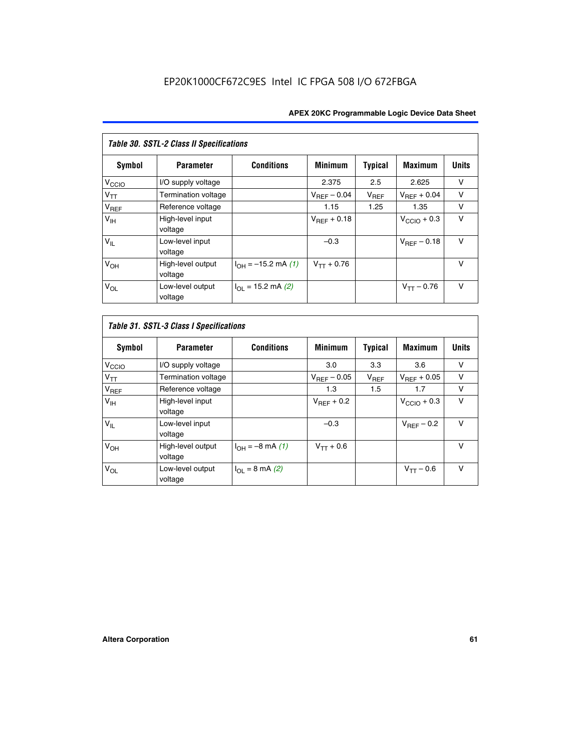| <b>Table 30. SSTL-2 Class II Specifications</b> |                              |                              |                         |                |                         |              |
|-------------------------------------------------|------------------------------|------------------------------|-------------------------|----------------|-------------------------|--------------|
| Symbol                                          | <b>Parameter</b>             | <b>Conditions</b>            | <b>Minimum</b>          | <b>Typical</b> | <b>Maximum</b>          | <b>Units</b> |
| V <sub>CCIO</sub>                               | I/O supply voltage           |                              | 2.375                   | 2.5            | 2.625                   | v            |
| $V_{TT}$                                        | Termination voltage          |                              | $V_{REF} - 0.04$        | $V_{REF}$      | $V_{BFF} + 0.04$        | $\vee$       |
| $V_{REF}$                                       | Reference voltage            |                              | 1.15                    | 1.25           | 1.35                    | v            |
| V <sub>IH</sub>                                 | High-level input<br>voltage  |                              | $V_{\text{RFF}} + 0.18$ |                | $V_{\text{CCIO}} + 0.3$ | $\vee$       |
| $V_{IL}$                                        | Low-level input<br>voltage   |                              | $-0.3$                  |                | $V_{BFE} - 0.18$        | $\vee$       |
| V <sub>OH</sub>                                 | High-level output<br>voltage | $I_{OH} = -15.2$ mA (1)      | $V_{TT} + 0.76$         |                |                         | $\vee$       |
| $V_{OL}$                                        | Low-level output<br>voltage  | $I_{\Omega I}$ = 15.2 mA (2) |                         |                | $V_{TT} - 0.76$         | $\vee$       |

| Symbol            | <b>Parameter</b>             | <b>Conditions</b>         | <b>Minimum</b>          | <b>Typical</b> | <b>Maximum</b>          | <b>Units</b> |
|-------------------|------------------------------|---------------------------|-------------------------|----------------|-------------------------|--------------|
| V <sub>CCIO</sub> | I/O supply voltage           |                           | 3.0                     | 3.3            | 3.6                     | ν            |
| $V_{TT}$          | Termination voltage          |                           | $V_{\text{BFF}} - 0.05$ | $V_{REF}$      | $V_{\text{RFF}} + 0.05$ | v            |
| $V_{REF}$         | Reference voltage            |                           | 1.3                     | 1.5            | 1.7                     | v            |
| V <sub>IH</sub>   | High-level input<br>voltage  |                           | $V_{BFF}$ + 0.2         |                | $V_{\text{CCIO}} + 0.3$ | v            |
| $V_{IL}$          | Low-level input<br>voltage   |                           | $-0.3$                  |                | $V_{REF}$ – 0.2         | $\vee$       |
| V <sub>OH</sub>   | High-level output<br>voltage | $I_{OH} = -8$ mA (1)      | $V_{TT} + 0.6$          |                |                         | v            |
| $V_{OL}$          | Low-level output<br>voltage  | $I_{\Omega I}$ = 8 mA (2) |                         |                | $V_{TT} - 0.6$          | $\vee$       |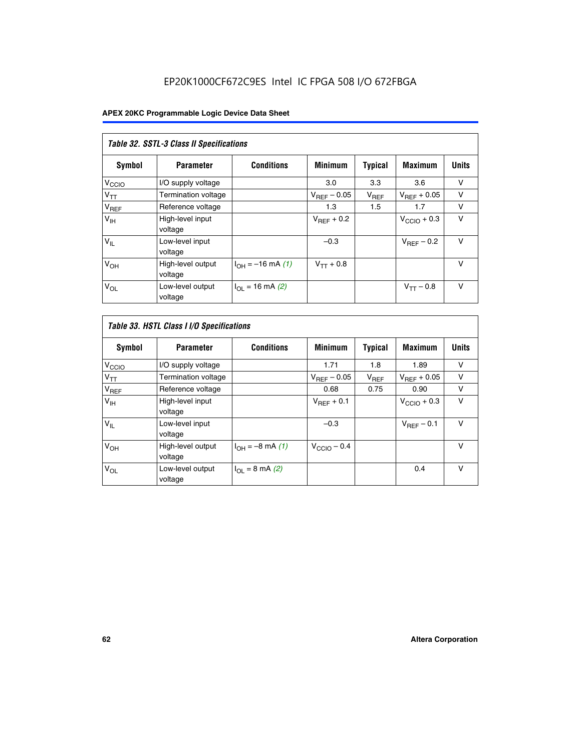| Table 32. SSTL-3 Class II Specifications |                              |                          |                  |                |                         |              |
|------------------------------------------|------------------------------|--------------------------|------------------|----------------|-------------------------|--------------|
| <b>Symbol</b>                            | <b>Parameter</b>             | <b>Conditions</b>        | <b>Minimum</b>   | <b>Typical</b> | <b>Maximum</b>          | <b>Units</b> |
| $V_{\text{CCIO}}$                        | I/O supply voltage           |                          | 3.0              | 3.3            | 3.6                     | v            |
| $V_{TT}$                                 | Termination voltage          |                          | $V_{REF} - 0.05$ | $V_{REF}$      | $V_{\text{RFF}} + 0.05$ | v            |
| $V_{REF}$                                | Reference voltage            |                          | 1.3              | 1.5            | 1.7                     | v            |
| $V_{\text{IH}}$                          | High-level input<br>voltage  |                          | $V_{REF}$ + 0.2  |                | $V_{\text{CCIO}} + 0.3$ | v            |
| $V_{IL}$                                 | Low-level input<br>voltage   |                          | $-0.3$           |                | $V_{\text{RFF}}$ – 0.2  | $\vee$       |
| V <sub>OH</sub>                          | High-level output<br>voltage | $I_{OH} = -16$ mA (1)    | $V_{TT} + 0.8$   |                |                         | $\vee$       |
| $V_{OL}$                                 | Low-level output<br>voltage  | $I_{\Omega}$ = 16 mA (2) |                  |                | $V_{TT} - 0.8$          | v            |

| Table 33. HSTL Class I I/O Specifications |                              |                              |                         |                |                         |              |
|-------------------------------------------|------------------------------|------------------------------|-------------------------|----------------|-------------------------|--------------|
| Symbol                                    | <b>Parameter</b>             | <b>Conditions</b>            | <b>Minimum</b>          | <b>Typical</b> | <b>Maximum</b>          | <b>Units</b> |
| V <sub>CCIO</sub>                         | I/O supply voltage           |                              | 1.71                    | 1.8            | 1.89                    | v            |
| $V_{TT}$                                  | <b>Termination voltage</b>   |                              | $V_{REF} - 0.05$        | $V_{REF}$      | $V_{\text{RFF}} + 0.05$ | $\vee$       |
| $V_{REF}$                                 | Reference voltage            |                              | 0.68                    | 0.75           | 0.90                    | v            |
| V <sub>IH</sub>                           | High-level input<br>voltage  |                              | $V_{REF}$ + 0.1         |                | $V_{\text{CCIO}} + 0.3$ | $\vee$       |
| $V_{IL}$                                  | Low-level input<br>voltage   |                              | $-0.3$                  |                | $V_{BFE}$ – 0.1         | $\vee$       |
| V <sub>OH</sub>                           | High-level output<br>voltage | $I_{OH} = -8 \text{ mA} (1)$ | $V_{\text{CCIO}} - 0.4$ |                |                         | $\vee$       |
| $V_{OL}$                                  | Low-level output<br>voltage  | $I_{OL} = 8 \text{ mA} (2)$  |                         |                | 0.4                     | $\vee$       |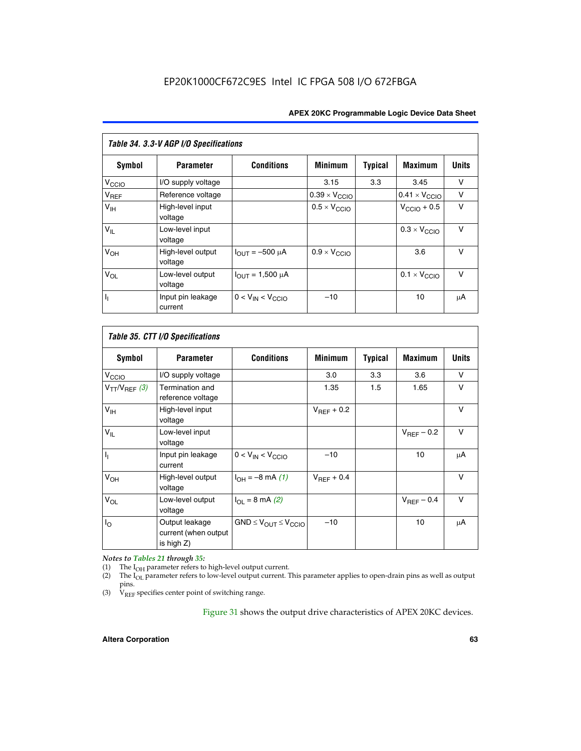| Table 34. 3.3-V AGP I/O Specifications |                              |                         |                               |                |                               |              |
|----------------------------------------|------------------------------|-------------------------|-------------------------------|----------------|-------------------------------|--------------|
| Symbol                                 | <b>Parameter</b>             | <b>Conditions</b>       | <b>Minimum</b>                | <b>Typical</b> | <b>Maximum</b>                | <b>Units</b> |
| $V_{\text{CCLO}}$                      | I/O supply voltage           |                         | 3.15                          | 3.3            | 3.45                          | v            |
| $V_{REF}$                              | Reference voltage            |                         | $0.39 \times V_{\text{CCIO}}$ |                | $0.41 \times V_{\text{CCIO}}$ | v            |
| V <sub>IH</sub>                        | High-level input<br>voltage  |                         | $0.5 \times V_{\text{CCIO}}$  |                | $V_{\text{CCIO}} + 0.5$       | v            |
| $V_{IL}$                               | Low-level input<br>voltage   |                         |                               |                | $0.3 \times V_{\text{CCIO}}$  | $\vee$       |
| $V_{OH}$                               | High-level output<br>voltage | $I_{OUT} = -500 \mu A$  | $0.9 \times V_{\text{CCIO}}$  |                | 3.6                           | $\vee$       |
| $V_{OL}$                               | Low-level output<br>voltage  | $I_{OUT} = 1,500 \mu A$ |                               |                | $0.1 \times V_{\text{CCIO}}$  | $\vee$       |
| Γ,                                     | Input pin leakage<br>current | $0 < V_{IN} < V_{CCIO}$ | $-10$                         |                | 10                            | μA           |

| Table 35. CTT I/O Specifications |                                                      |                                  |                 |         |                 |              |
|----------------------------------|------------------------------------------------------|----------------------------------|-----------------|---------|-----------------|--------------|
| Symbol                           | <b>Parameter</b>                                     | <b>Conditions</b>                | <b>Minimum</b>  | Typical | <b>Maximum</b>  | <b>Units</b> |
| V <sub>CCIO</sub>                | I/O supply voltage                                   |                                  | 3.0             | 3.3     | 3.6             | v            |
| $V_{TT}/V_{REF}$ (3)             | Termination and<br>reference voltage                 |                                  | 1.35            | 1.5     | 1.65            | v            |
| V <sub>IH</sub>                  | High-level input<br>voltage                          |                                  | $V_{REF}$ + 0.2 |         |                 | v            |
| $V_{IL}$                         | Low-level input<br>voltage                           |                                  |                 |         | $V_{REF}$ – 0.2 | $\vee$       |
| h,                               | Input pin leakage<br>current                         | $0 < V_{IN} < V_{CCIO}$          | $-10$           |         | 10              | μA           |
| V <sub>OH</sub>                  | High-level output<br>voltage                         | $I_{OH} = -8 \text{ mA} (1)$     | $V_{BFF}$ + 0.4 |         |                 | $\vee$       |
| $V_{OL}$                         | Low-level output<br>voltage                          | $I_{\Omega I}$ = 8 mA (2)        |                 |         | $V_{REF}$ – 0.4 | $\vee$       |
| $I_{\rm O}$                      | Output leakage<br>current (when output<br>is high Z) | $GND \leq V_{OUT} \leq V_{CCIO}$ | $-10$           |         | 10              | μA           |

*Notes to Tables 21 through 35:*

(1) The  $I_{OH}$  parameter refers to high-level output current.<br>
(2) The  $I_{OL}$  parameter refers to low-level output current. T

The I<sub>OL</sub> parameter refers to low-level output current. This parameter applies to open-drain pins as well as output pins.

(3)  $\hat{V}_{REF}$  specifies center point of switching range.

Figure 31 shows the output drive characteristics of APEX 20KC devices.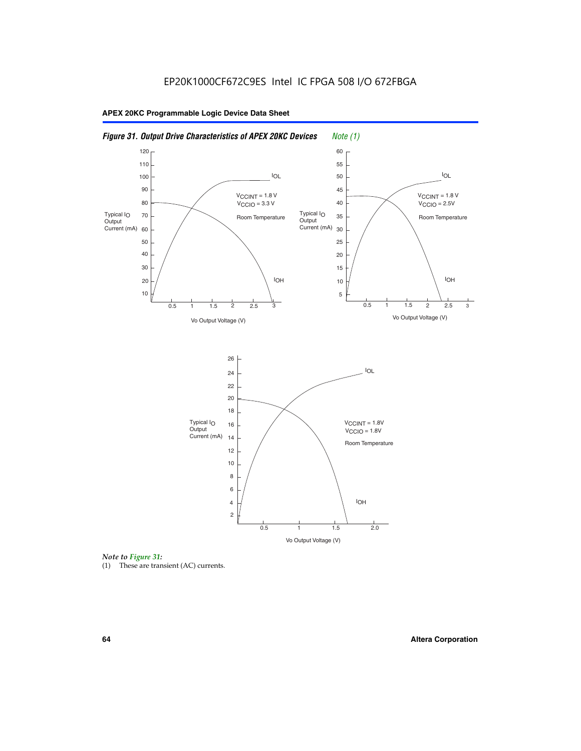



(1) These are transient (AC) currents.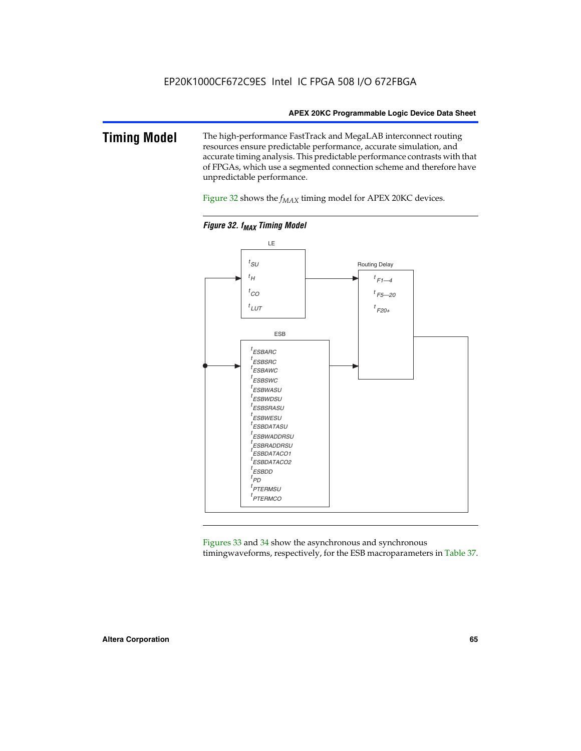### **Timing Model** The high-performance FastTrack and MegaLAB interconnect routing resources ensure predictable performance, accurate simulation, and accurate timing analysis. This predictable performance contrasts with that of FPGAs, which use a segmented connection scheme and therefore have unpredictable performance.

Figure 32 shows the  $f_{MAX}$  timing model for APEX 20KC devices.



**Figure 32. f<sub>MAX</sub> Timing Model** 

Figures 33 and 34 show the asynchronous and synchronous timingwaveforms, respectively, for the ESB macroparameters in Table 37.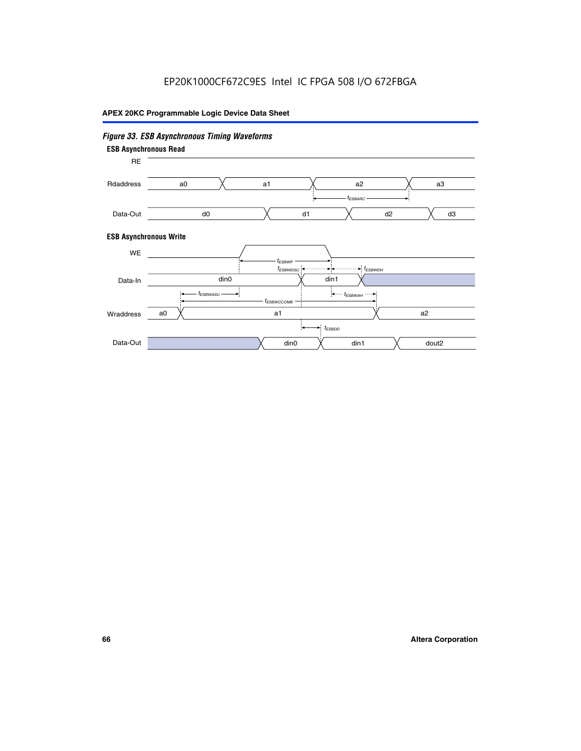# EP20K1000CF672C9ES Intel IC FPGA 508 I/O 672FBGA

### **APEX 20KC Programmable Logic Device Data Sheet**

### *Figure 33. ESB Asynchronous Timing Waveforms* **ESB Asynchronous Write ESB Asynchronous Read** RE a0 d0 d3  $t_{ESBARC}$ a1 *入* a2 *入* a3 d1 d2 Rdaddress Data-Out WE a0  $dim1$   $\times$   $dom2$  $t_{ESBDD}$ a1 a2 din1 din0  $t_{ESBWCCOMB}$  $t_{ESBWASU} \longrightarrow t_{ESBWAH}$  $t_{ESBWDSU}$   $\leftarrow$   $\rightarrow$   $t_{ESBWDH}$  $t_{ESBWP}$ Data-In din0 Wraddress Data-Out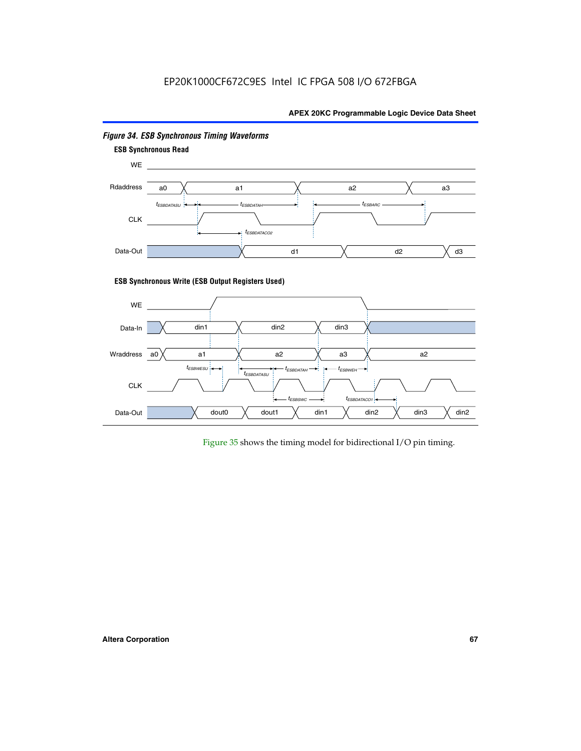# EP20K1000CF672C9ES Intel IC FPGA 508 I/O 672FBGA

### **APEX 20KC Programmable Logic Device Data Sheet**



### *Figure 34. ESB Synchronous Timing Waveforms*

Figure 35 shows the timing model for bidirectional I/O pin timing.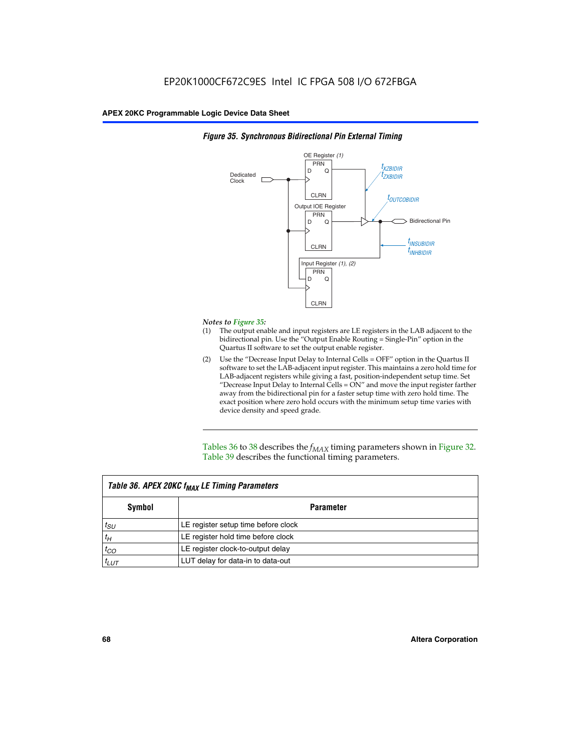

### *Figure 35. Synchronous Bidirectional Pin External Timing*

### *Notes to Figure 35:*

- (1) The output enable and input registers are LE registers in the LAB adjacent to the bidirectional pin. Use the "Output Enable Routing = Single-Pin" option in the Quartus II software to set the output enable register.
- (2) Use the "Decrease Input Delay to Internal Cells = OFF" option in the Quartus II software to set the LAB-adjacent input register. This maintains a zero hold time for LAB-adjacent registers while giving a fast, position-independent setup time. Set "Decrease Input Delay to Internal Cells  $= ON''$  and move the input register farther away from the bidirectional pin for a faster setup time with zero hold time. The exact position where zero hold occurs with the minimum setup time varies with device density and speed grade.

Tables 36 to 38 describes the  $f_{MAX}$  timing parameters shown in Figure 32. Table 39 describes the functional timing parameters.

| Table 36. APEX 20KC f <sub>MAX</sub> LE Timing Parameters |                                     |  |  |  |
|-----------------------------------------------------------|-------------------------------------|--|--|--|
| Symbol                                                    | Parameter                           |  |  |  |
| $t_{SU}$                                                  | LE register setup time before clock |  |  |  |
| $t_H$                                                     | LE register hold time before clock  |  |  |  |
| $t_{CO}$                                                  | LE register clock-to-output delay   |  |  |  |
| $t_{LUT}$                                                 | LUT delay for data-in to data-out   |  |  |  |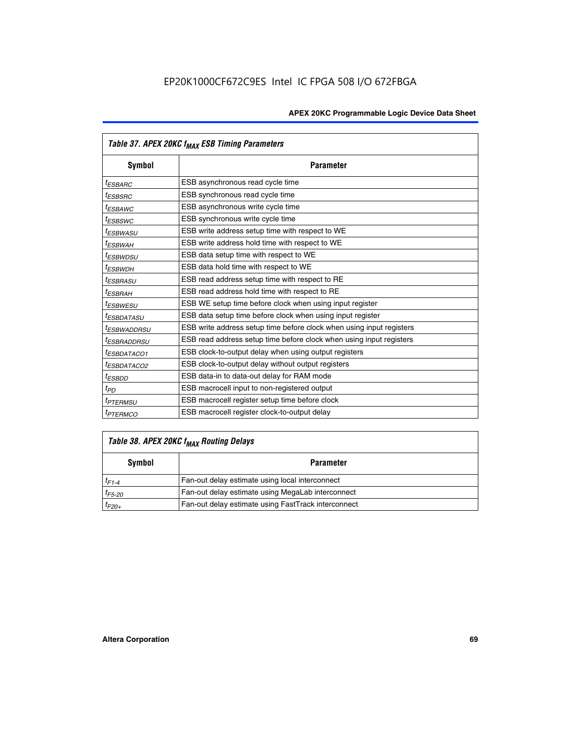| Table 37. APEX 20KC f <sub>MAX</sub> ESB Timing Parameters |                                                                      |  |  |  |
|------------------------------------------------------------|----------------------------------------------------------------------|--|--|--|
| <b>Symbol</b>                                              | <b>Parameter</b>                                                     |  |  |  |
| <sup>t</sup> ESBARC                                        | ESB asynchronous read cycle time                                     |  |  |  |
| <i>t<sub>ESBSRC</sub></i>                                  | ESB synchronous read cycle time                                      |  |  |  |
| <sup>t</sup> ESBAWC                                        | ESB asynchronous write cycle time                                    |  |  |  |
| <sup>t</sup> ESBSWC                                        | ESB synchronous write cycle time                                     |  |  |  |
| <sup>t</sup> ESBWASU                                       | ESB write address setup time with respect to WE                      |  |  |  |
| t <sub>ESBWAH</sub>                                        | ESB write address hold time with respect to WE                       |  |  |  |
| <sup>t</sup> ESBWDSU                                       | ESB data setup time with respect to WE                               |  |  |  |
| <sup>t</sup> ESBWDH                                        | ESB data hold time with respect to WE                                |  |  |  |
| <sup>t</sup> ESBRASU                                       | ESB read address setup time with respect to RE                       |  |  |  |
| <sup>t</sup> ESBRAH                                        | ESB read address hold time with respect to RE                        |  |  |  |
| <sup>I</sup> ESBWESU                                       | ESB WE setup time before clock when using input register             |  |  |  |
| <sup>t</sup> ESBDATASU                                     | ESB data setup time before clock when using input register           |  |  |  |
| <sup>t</sup> ESBWADDRSU                                    | ESB write address setup time before clock when using input registers |  |  |  |
| <sup>I</sup> ESBRADDRSU                                    | ESB read address setup time before clock when using input registers  |  |  |  |
| <sup>I</sup> ESBDATACO1                                    | ESB clock-to-output delay when using output registers                |  |  |  |
| <sup>I</sup> ESBDATACO2                                    | ESB clock-to-output delay without output registers                   |  |  |  |
| <sup>t</sup> ESBDD                                         | ESB data-in to data-out delay for RAM mode                           |  |  |  |
| $t_{PD}$                                                   | ESB macrocell input to non-registered output                         |  |  |  |
| <sup>t</sup> PTERMSU                                       | ESB macrocell register setup time before clock                       |  |  |  |
| <sup>t</sup> PTERMCO                                       | ESB macrocell register clock-to-output delay                         |  |  |  |

# *Table 38. APEX 20KC fMAX Routing Delays*

| Symbol      | <b>Parameter</b>                                    |
|-------------|-----------------------------------------------------|
| $t_{F1-4}$  | Fan-out delay estimate using local interconnect     |
| $t_{F5-20}$ | Fan-out delay estimate using MegaLab interconnect   |
| $t_{F20+}$  | Fan-out delay estimate using FastTrack interconnect |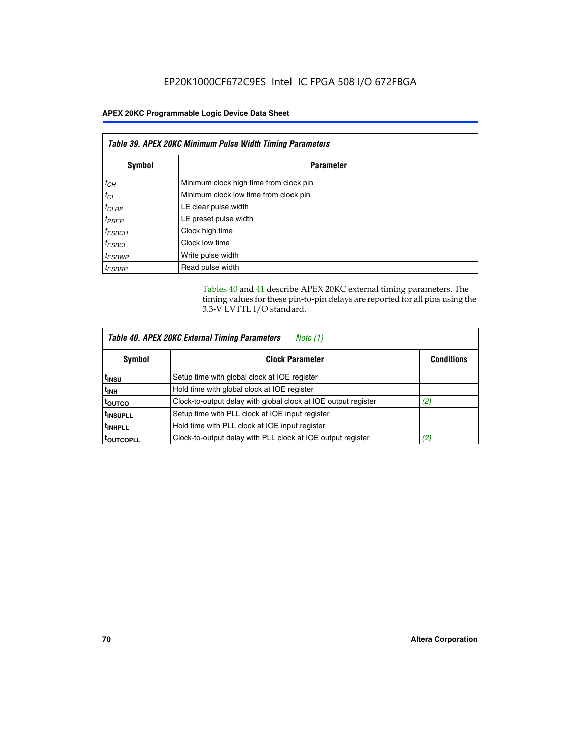| Table 39. APEX 20KC Minimum Pulse Width Timing Parameters |                                        |  |  |
|-----------------------------------------------------------|----------------------------------------|--|--|
| Symbol                                                    | <b>Parameter</b>                       |  |  |
| $t_{CH}$                                                  | Minimum clock high time from clock pin |  |  |
| $t_{CL}$                                                  | Minimum clock low time from clock pin  |  |  |
| $t_{CLRP}$                                                | LE clear pulse width                   |  |  |
| $t_{PREF}$                                                | LE preset pulse width                  |  |  |
| $t_{ESBCH}$                                               | Clock high time                        |  |  |
| $t_{ESBCL}$                                               | Clock low time                         |  |  |
| <sup>t</sup> ESBWP                                        | Write pulse width                      |  |  |
| <sup>t</sup> ESBRP                                        | Read pulse width                       |  |  |

Tables 40 and 41 describe APEX 20KC external timing parameters. The timing values for these pin-to-pin delays are reported for all pins using the 3.3-V LVTTL I/O standard.

| Table 40. APEX 20KC External Timing Parameters<br>Note (1) |                                                                |                   |  |  |
|------------------------------------------------------------|----------------------------------------------------------------|-------------------|--|--|
| Symbol                                                     | <b>Clock Parameter</b>                                         | <b>Conditions</b> |  |  |
| t <sub>insu</sub>                                          | Setup time with global clock at IOE register                   |                   |  |  |
| t <sub>inh</sub>                                           | Hold time with global clock at IOE register                    |                   |  |  |
| toutco                                                     | Clock-to-output delay with global clock at IOE output register | (2)               |  |  |
| <sup>t</sup> INSUPLL                                       | Setup time with PLL clock at IOE input register                |                   |  |  |
| <sup>t</sup> INHPLL                                        | Hold time with PLL clock at IOE input register                 |                   |  |  |
| <b>TOUTCOPLL</b>                                           | Clock-to-output delay with PLL clock at IOE output register    | (2)               |  |  |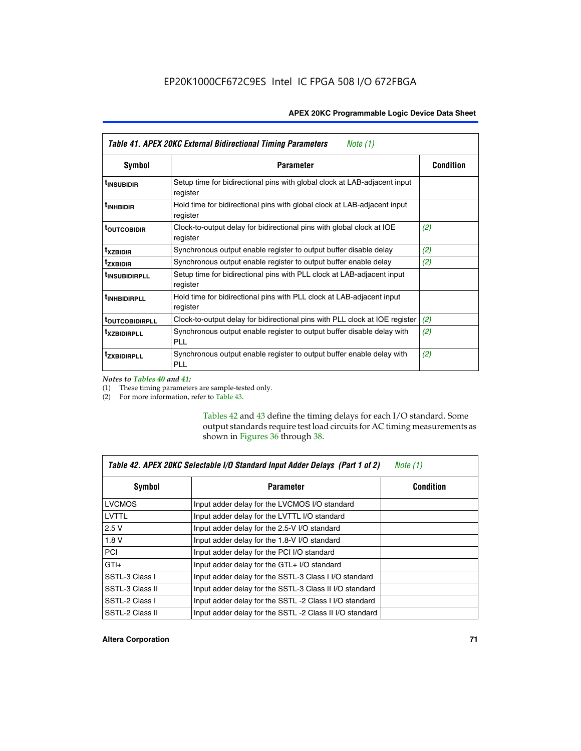| Table 41. APEX 20KC External Bidirectional Timing Parameters<br>Note (1) |                                                                                       |                  |  |
|--------------------------------------------------------------------------|---------------------------------------------------------------------------------------|------------------|--|
| Symbol                                                                   | <b>Parameter</b>                                                                      | <b>Condition</b> |  |
| <sup>t</sup> INSUBIDIR                                                   | Setup time for bidirectional pins with global clock at LAB-adjacent input<br>register |                  |  |
| <sup>t</sup> INHBIDIR                                                    | Hold time for bidirectional pins with global clock at LAB-adjacent input<br>register  |                  |  |
| <sup>t</sup> OUTCOBIDIR                                                  | Clock-to-output delay for bidirectional pins with global clock at IOE<br>register     | (2)              |  |
| <sup>t</sup> xzbidir                                                     | Synchronous output enable register to output buffer disable delay                     | (2)              |  |
| <sup>t</sup> zxbidir                                                     | Synchronous output enable register to output buffer enable delay                      | (2)              |  |
| <sup>t</sup> insubidirpll                                                | Setup time for bidirectional pins with PLL clock at LAB-adjacent input<br>register    |                  |  |
| <sup>t</sup> INHBIDIRPLL                                                 | Hold time for bidirectional pins with PLL clock at LAB-adjacent input<br>register     |                  |  |
| <b><sup>t</sup>OUTCOBIDIRPLL</b>                                         | Clock-to-output delay for bidirectional pins with PLL clock at IOE register           | (2)              |  |
| <sup>T</sup> XZBIDIRPLL                                                  | Synchronous output enable register to output buffer disable delay with<br>PL L        | (2)              |  |
| <sup>T</sup> ZXBIDIRPLL                                                  | Synchronous output enable register to output buffer enable delay with<br><b>PLL</b>   | (2)              |  |

*Notes to Tables 40 and 41:*

(1) These timing parameters are sample-tested only.

(2) For more information, refer to Table 43.

Tables 42 and 43 define the timing delays for each I/O standard. Some output standards require test load circuits for AC timing measurements as shown in Figures 36 through 38.

| Table 42. APEX 20KC Selectable I/O Standard Input Adder Delays (Part 1 of 2)<br>Note $(1)$ |                                                         |                  |  |
|--------------------------------------------------------------------------------------------|---------------------------------------------------------|------------------|--|
| Symbol                                                                                     | <b>Parameter</b>                                        | <b>Condition</b> |  |
| <b>LVCMOS</b>                                                                              | Input adder delay for the LVCMOS I/O standard           |                  |  |
| LVTTL                                                                                      | Input adder delay for the LVTTL I/O standard            |                  |  |
| 2.5V                                                                                       | Input adder delay for the 2.5-V I/O standard            |                  |  |
| 1.8V                                                                                       | Input adder delay for the 1.8-V I/O standard            |                  |  |
| <b>PCI</b>                                                                                 | Input adder delay for the PCI I/O standard              |                  |  |
| $GTI +$                                                                                    | Input adder delay for the GTL+ I/O standard             |                  |  |
| SSTL-3 Class I                                                                             | Input adder delay for the SSTL-3 Class I I/O standard   |                  |  |
| SSTL-3 Class II                                                                            | Input adder delay for the SSTL-3 Class II I/O standard  |                  |  |
| SSTL-2 Class I                                                                             | Input adder delay for the SSTL -2 Class I I/O standard  |                  |  |
| SSTL-2 Class II                                                                            | Input adder delay for the SSTL -2 Class II I/O standard |                  |  |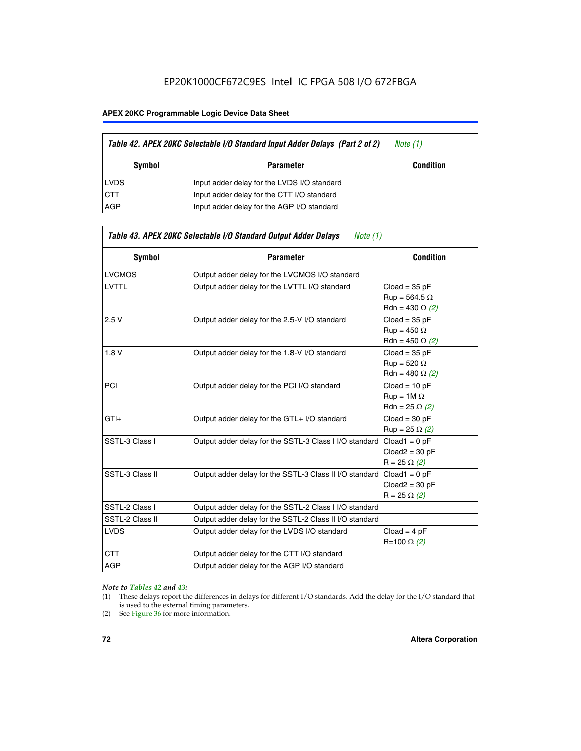# EP20K1000CF672C9ES Intel IC FPGA 508 I/O 672FBGA

#### **APEX 20KC Programmable Logic Device Data Sheet**

| Table 42. APEX 20KC Selectable I/O Standard Input Adder Delays (Part 2 of 2) | Note (1)                                    |                  |
|------------------------------------------------------------------------------|---------------------------------------------|------------------|
| Symbol                                                                       | <b>Parameter</b>                            | <b>Condition</b> |
| <b>LVDS</b>                                                                  | Input adder delay for the LVDS I/O standard |                  |
| <b>CTT</b>                                                                   | Input adder delay for the CTT I/O standard  |                  |
| AGP                                                                          | Input adder delay for the AGP I/O standard  |                  |

| <b>Symbol</b>   | <b>Parameter</b>                                        | <b>Condition</b>                                                  |
|-----------------|---------------------------------------------------------|-------------------------------------------------------------------|
| <b>LVCMOS</b>   | Output adder delay for the LVCMOS I/O standard          |                                                                   |
| <b>LVTTL</b>    | Output adder delay for the LVTTL I/O standard           | $Cloud = 35 pF$<br>$Run = 564.5 \Omega$<br>Rdn = 430 $\Omega$ (2) |
| 2.5V            | Output adder delay for the 2.5-V I/O standard           | $Cloud = 35 pF$<br>$Run = 450 \Omega$<br>Rdn = 450 $\Omega$ (2)   |
| 1.8V            | Output adder delay for the 1.8-V I/O standard           | $Cloud = 35 pF$<br>$Run = 520 \Omega$<br>Rdn = 480 $\Omega$ (2)   |
| <b>PCI</b>      | Output adder delay for the PCI I/O standard             | $Cloud = 10 pF$<br>$Run = 1M \Omega$<br>$Rdn = 25 \Omega (2)$     |
| $GTI +$         | Output adder delay for the GTL+ I/O standard            | $Cloud = 30 pF$<br>$Run = 25 \Omega (2)$                          |
| SSTL-3 Class I  | Output adder delay for the SSTL-3 Class I I/O standard  | $Cloud1 = 0 pF$<br>$Cloud2 = 30 pF$<br>$R = 25 \Omega (2)$        |
| SSTL-3 Class II | Output adder delay for the SSTL-3 Class II I/O standard | $Cloud1 = 0 pF$<br>$Cloud2 = 30 pF$<br>$R = 25 \Omega (2)$        |
| SSTL-2 Class I  | Output adder delay for the SSTL-2 Class I I/O standard  |                                                                   |
| SSTL-2 Class II | Output adder delay for the SSTL-2 Class II I/O standard |                                                                   |
| <b>LVDS</b>     | Output adder delay for the LVDS I/O standard            | $Cloud = 4 pF$<br>R=100 Ω (2)                                     |
| <b>CTT</b>      | Output adder delay for the CTT I/O standard             |                                                                   |
| <b>AGP</b>      | Output adder delay for the AGP I/O standard             |                                                                   |
|                 |                                                         |                                                                   |

#### *Note to Tables 42 and 43:*

- (1) These delays report the differences in delays for different I/O standards. Add the delay for the I/O standard that is used to the external timing parameters.
- (2) See Figure 36 for more information.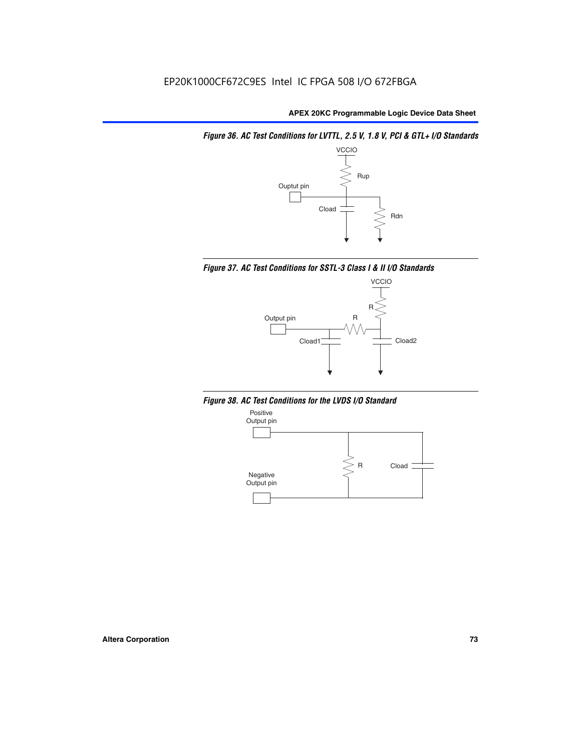*Figure 36. AC Test Conditions for LVTTL, 2.5 V, 1.8 V, PCI & GTL+ I/O Standards*







*Figure 38. AC Test Conditions for the LVDS I/O Standard*

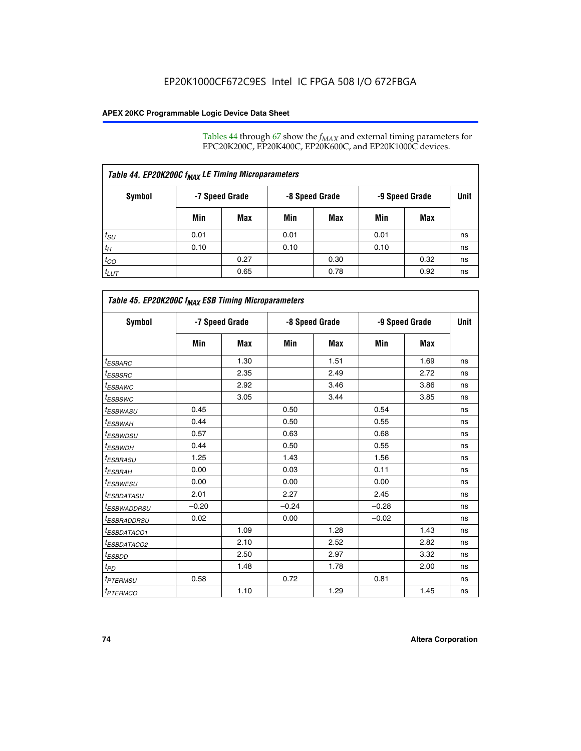Tables 44 through 67 show the  $f_{MAX}$  and external timing parameters for EPC20K200C, EP20K400C, EP20K600C, and EP20K1000C devices.

| Table 44. EP20K200C f <sub>MAX</sub> LE Timing Microparameters |                |      |                |      |                |      |             |  |  |  |
|----------------------------------------------------------------|----------------|------|----------------|------|----------------|------|-------------|--|--|--|
| Symbol                                                         | -7 Speed Grade |      | -8 Speed Grade |      | -9 Speed Grade |      | <b>Unit</b> |  |  |  |
|                                                                | Min            | Max  | Min            | Max  | Min            | Max  |             |  |  |  |
| $t_{SU}$                                                       | 0.01           |      | 0.01           |      | 0.01           |      | ns          |  |  |  |
| $t_H$                                                          | 0.10           |      | 0.10           |      | 0.10           |      | ns          |  |  |  |
| $t_{CO}$                                                       |                | 0.27 |                | 0.30 |                | 0.32 | ns          |  |  |  |
| $t_{LUT}$                                                      |                | 0.65 |                | 0.78 |                | 0.92 | ns          |  |  |  |

| Table 45. EP20K200C f <sub>MAX</sub> ESB Timing Microparameters |         |                |         |                |         |                |    |  |  |  |
|-----------------------------------------------------------------|---------|----------------|---------|----------------|---------|----------------|----|--|--|--|
| <b>Symbol</b>                                                   |         | -7 Speed Grade |         | -8 Speed Grade |         | -9 Speed Grade |    |  |  |  |
|                                                                 | Min     | Max            | Min     | Max            | Min     | Max            |    |  |  |  |
| <sup>t</sup> ESBARC                                             |         | 1.30           |         | 1.51           |         | 1.69           | ns |  |  |  |
| $t_{ESBSRC}$                                                    |         | 2.35           |         | 2.49           |         | 2.72           | ns |  |  |  |
| <sup>t</sup> ESBAWC                                             |         | 2.92           |         | 3.46           |         | 3.86           | ns |  |  |  |
| <sup>t</sup> ESBSWC                                             |         | 3.05           |         | 3.44           |         | 3.85           | ns |  |  |  |
| <sup>t</sup> ESBWASU                                            | 0.45    |                | 0.50    |                | 0.54    |                | ns |  |  |  |
| <sup>t</sup> ESBWАН                                             | 0.44    |                | 0.50    |                | 0.55    |                | ns |  |  |  |
| <sup>t</sup> ESBWDSU                                            | 0.57    |                | 0.63    |                | 0.68    |                | ns |  |  |  |
| <sup>t</sup> ESBWDH                                             | 0.44    |                | 0.50    |                | 0.55    |                | ns |  |  |  |
| <sup>t</sup> ESBRASU                                            | 1.25    |                | 1.43    |                | 1.56    |                | ns |  |  |  |
| <sup>t</sup> ESBRAH                                             | 0.00    |                | 0.03    |                | 0.11    |                | ns |  |  |  |
| <sup>t</sup> ESBWESU                                            | 0.00    |                | 0.00    |                | 0.00    |                | ns |  |  |  |
| <sup>t</sup> ESBDATASU                                          | 2.01    |                | 2.27    |                | 2.45    |                | ns |  |  |  |
| <sup>t</sup> ESBWADDRSU                                         | $-0.20$ |                | $-0.24$ |                | $-0.28$ |                | ns |  |  |  |
| <sup>t</sup> ESBRADDRSU                                         | 0.02    |                | 0.00    |                | $-0.02$ |                | ns |  |  |  |
| <sup>t</sup> ESBDATACO1                                         |         | 1.09           |         | 1.28           |         | 1.43           | ns |  |  |  |
| <sup>t</sup> ESBDATACO2                                         |         | 2.10           |         | 2.52           |         | 2.82           | ns |  |  |  |
| <sup>t</sup> ESBDD                                              |         | 2.50           |         | 2.97           |         | 3.32           | ns |  |  |  |
| t <sub>PD</sub>                                                 |         | 1.48           |         | 1.78           |         | 2.00           | ns |  |  |  |
| <sup>t</sup> PTERMSU                                            | 0.58    |                | 0.72    |                | 0.81    |                | ns |  |  |  |
| t <sub>PTERMCO</sub>                                            |         | 1.10           |         | 1.29           |         | 1.45           | ns |  |  |  |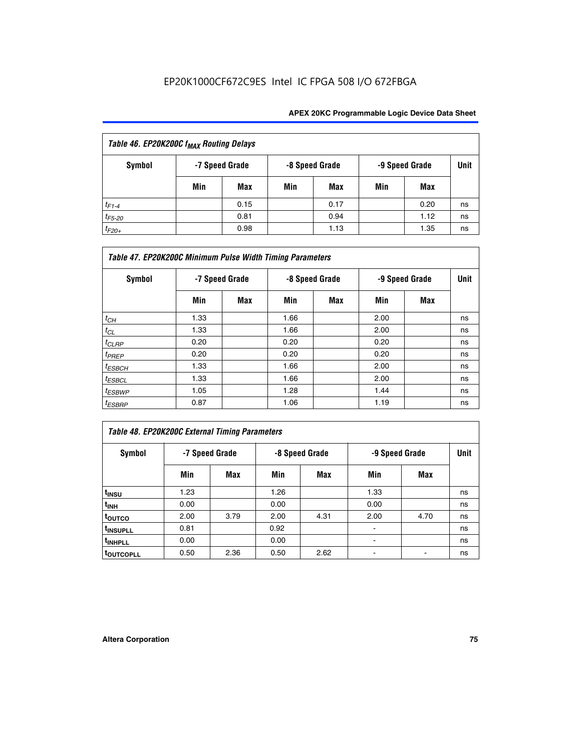| Table 46. EP20K200C f <sub>MAX</sub> Routing Delays |     |                |     |                |                |      |             |  |  |
|-----------------------------------------------------|-----|----------------|-----|----------------|----------------|------|-------------|--|--|
| <b>Symbol</b>                                       |     | -7 Speed Grade |     | -8 Speed Grade | -9 Speed Grade |      | <b>Unit</b> |  |  |
|                                                     | Min | Max            | Min | Max            | Min            | Max  |             |  |  |
| $t_{F1-4}$                                          |     | 0.15           |     | 0.17           |                | 0.20 | ns          |  |  |
| $t_{F5-20}$                                         |     | 0.81           |     | 0.94           |                | 1.12 | ns          |  |  |
| $t_{F20+}$                                          |     | 0.98           |     | 1.13           |                | 1.35 | ns          |  |  |

| Table 47. EP20K200C Minimum Pulse Width Timing Parameters |                |     |      |                |      |                |      |  |  |  |
|-----------------------------------------------------------|----------------|-----|------|----------------|------|----------------|------|--|--|--|
| <b>Symbol</b>                                             | -7 Speed Grade |     |      | -8 Speed Grade |      | -9 Speed Grade | Unit |  |  |  |
|                                                           | Min            | Max | Min  | Max            | Min  | Max            |      |  |  |  |
| $t_{CH}$                                                  | 1.33           |     | 1.66 |                | 2.00 |                | ns   |  |  |  |
| $t_{CL}$                                                  | 1.33           |     | 1.66 |                | 2.00 |                | ns   |  |  |  |
| $t_{CLRP}$                                                | 0.20           |     | 0.20 |                | 0.20 |                | ns   |  |  |  |
| t <sub>PREP</sub>                                         | 0.20           |     | 0.20 |                | 0.20 |                | ns   |  |  |  |
| $t_{ESBCH}$                                               | 1.33           |     | 1.66 |                | 2.00 |                | ns   |  |  |  |
| $t_{ESBCL}$                                               | 1.33           |     | 1.66 |                | 2.00 |                | ns   |  |  |  |
| $t_{ESBWP}$                                               | 1.05           |     | 1.28 |                | 1.44 |                | ns   |  |  |  |
| $t_{ESBRP}$                                               | 0.87           |     | 1.06 |                | 1.19 |                | ns   |  |  |  |

# *Table 48. EP20K200C External Timing Parameters*

| Symbol                |      | -7 Speed Grade |      | -8 Speed Grade | -9 Speed Grade | <b>Unit</b> |    |
|-----------------------|------|----------------|------|----------------|----------------|-------------|----|
|                       | Min  | Max            | Min  | Max            | Min            | Max         |    |
| t <sub>INSU</sub>     | 1.23 |                | 1.26 |                | 1.33           |             | ns |
| t <sub>INH</sub>      | 0.00 |                | 0.00 |                | 0.00           |             | ns |
| toutco                | 2.00 | 3.79           | 2.00 | 4.31           | 2.00           | 4.70        | ns |
| t <sub>INSUPLL</sub>  | 0.81 |                | 0.92 |                | ٠              |             | ns |
| t <sub>INHPLL</sub>   | 0.00 |                | 0.00 |                |                |             | ns |
| t <sub>outcopll</sub> | 0.50 | 2.36           | 0.50 | 2.62           |                |             | ns |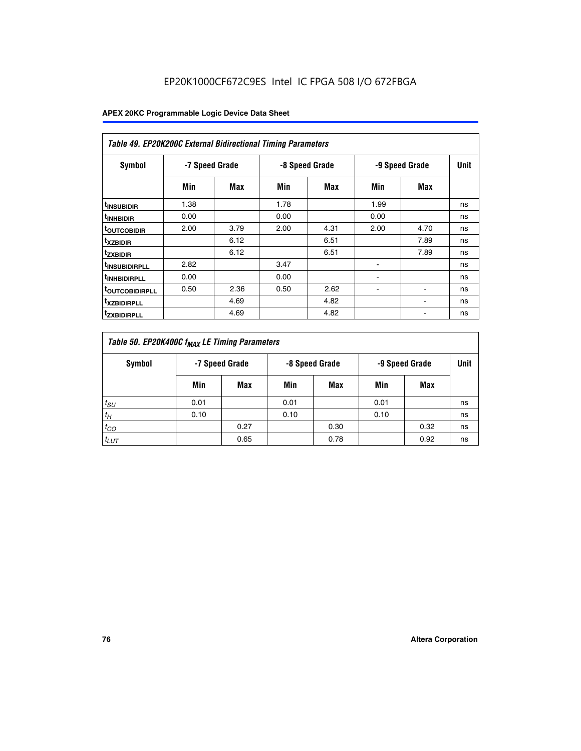| <b>Table 49. EP20K200C External Bidirectional Timing Parameters</b> |                |      |      |                |                |             |    |  |  |  |
|---------------------------------------------------------------------|----------------|------|------|----------------|----------------|-------------|----|--|--|--|
| <b>Symbol</b>                                                       | -7 Speed Grade |      |      | -8 Speed Grade | -9 Speed Grade | <b>Unit</b> |    |  |  |  |
|                                                                     | Min            | Max  | Min  | Max            | Min            | Max         |    |  |  |  |
| <sup>t</sup> INSUBIDIR                                              | 1.38           |      | 1.78 |                | 1.99           |             | ns |  |  |  |
| <sup>t</sup> inhbidir                                               | 0.00           |      | 0.00 |                | 0.00           |             | ns |  |  |  |
| <b><sup>t</sup>OUTCOBIDIR</b>                                       | 2.00           | 3.79 | 2.00 | 4.31           | 2.00           | 4.70        | ns |  |  |  |
| <sup>T</sup> XZBIDIR                                                |                | 6.12 |      | 6.51           |                | 7.89        | ns |  |  |  |
| <sup>t</sup> zxbidir                                                |                | 6.12 |      | 6.51           |                | 7.89        | ns |  |  |  |
| <sup>T</sup> INSUBIDIRPLL                                           | 2.82           |      | 3.47 |                | ٠              |             | ns |  |  |  |
| <sup>t</sup> INHBIDIRPLL                                            | 0.00           |      | 0.00 |                |                |             | ns |  |  |  |
| <sup>T</sup> OUTCOBIDIRPLL                                          | 0.50           | 2.36 | 0.50 | 2.62           | ۰              |             | ns |  |  |  |
| <sup>t</sup> xzbidirpll                                             |                | 4.69 |      | 4.82           |                |             | ns |  |  |  |
| <sup>T</sup> ZXBIDIRPLL                                             |                | 4.69 |      | 4.82           |                |             | ns |  |  |  |

| Table 50. EP20K400C f <sub>MAX</sub> LE Timing Parameters |                |      |      |                |      |                |    |  |  |
|-----------------------------------------------------------|----------------|------|------|----------------|------|----------------|----|--|--|
| Symbol                                                    | -7 Speed Grade |      |      | -8 Speed Grade |      | -9 Speed Grade |    |  |  |
|                                                           | Min            | Max  | Min  | Max            | Min  | Max            |    |  |  |
| $t_{SU}$                                                  | 0.01           |      | 0.01 |                | 0.01 |                | ns |  |  |
| $t_H$                                                     | 0.10           |      | 0.10 |                | 0.10 |                | ns |  |  |
| $t_{CO}$                                                  |                | 0.27 |      | 0.30           |      | 0.32           | ns |  |  |
| $t_{LUT}$                                                 |                | 0.65 |      | 0.78           |      | 0.92           | ns |  |  |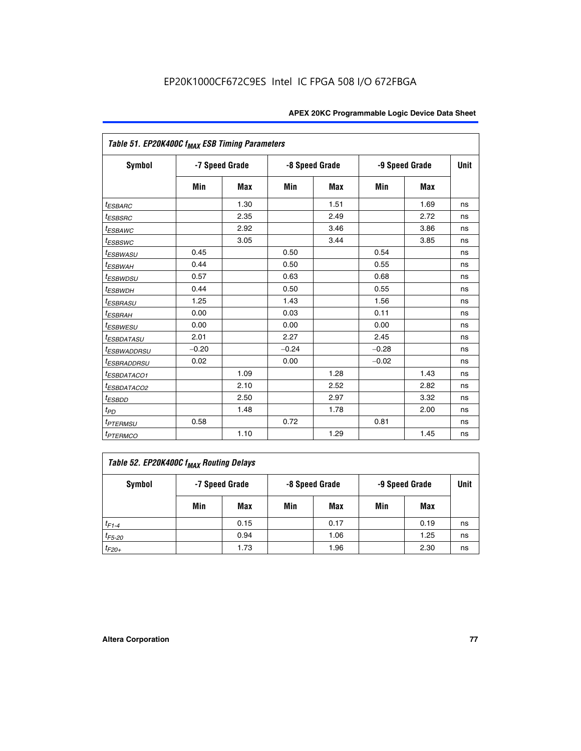| Table 51. EP20K400C f <sub>MAX</sub> ESB Timing Parameters |                |            |         |                |         |                |    |  |  |  |
|------------------------------------------------------------|----------------|------------|---------|----------------|---------|----------------|----|--|--|--|
| <b>Symbol</b>                                              | -7 Speed Grade |            |         | -8 Speed Grade |         | -9 Speed Grade |    |  |  |  |
|                                                            | Min            | <b>Max</b> | Min     | <b>Max</b>     | Min     | <b>Max</b>     |    |  |  |  |
| <i>t<sub>ESBARC</sub></i>                                  |                | 1.30       |         | 1.51           |         | 1.69           | ns |  |  |  |
| <sup>t</sup> ESBSRC                                        |                | 2.35       |         | 2.49           |         | 2.72           | ns |  |  |  |
| <sup>t</sup> ESBAWC                                        |                | 2.92       |         | 3.46           |         | 3.86           | ns |  |  |  |
| <sup>t</sup> ESBSWC                                        |                | 3.05       |         | 3.44           |         | 3.85           | ns |  |  |  |
| <sup>t</sup> ESBWASU                                       | 0.45           |            | 0.50    |                | 0.54    |                | ns |  |  |  |
| <sup>t</sup> ESBWAH                                        | 0.44           |            | 0.50    |                | 0.55    |                | ns |  |  |  |
| <i>t<sub>ESBWDSU</sub></i>                                 | 0.57           |            | 0.63    |                | 0.68    |                | ns |  |  |  |
| <sup>t</sup> ESBWDH                                        | 0.44           |            | 0.50    |                | 0.55    |                | ns |  |  |  |
| <i><b>ESBRASU</b></i>                                      | 1.25           |            | 1.43    |                | 1.56    |                | ns |  |  |  |
| <sup>t</sup> ESBRAH                                        | 0.00           |            | 0.03    |                | 0.11    |                | ns |  |  |  |
| <sup>t</sup> ESBWESU                                       | 0.00           |            | 0.00    |                | 0.00    |                | ns |  |  |  |
| <i><b>ESBDATASU</b></i>                                    | 2.01           |            | 2.27    |                | 2.45    |                | ns |  |  |  |
| <sup>t</sup> ESBWADDRSU                                    | $-0.20$        |            | $-0.24$ |                | $-0.28$ |                | ns |  |  |  |
| <i>t<sub>ESBRADDRSU</sub></i>                              | 0.02           |            | 0.00    |                | $-0.02$ |                | ns |  |  |  |
| <sup>t</sup> ESBDATACO1                                    |                | 1.09       |         | 1.28           |         | 1.43           | ns |  |  |  |
| <sup>I</sup> ESBDATACO2                                    |                | 2.10       |         | 2.52           |         | 2.82           | ns |  |  |  |
| <sup>t</sup> ESBDD                                         |                | 2.50       |         | 2.97           |         | 3.32           | ns |  |  |  |
| t <sub>PD</sub>                                            |                | 1.48       |         | 1.78           |         | 2.00           | ns |  |  |  |
| t <sub>PTERMSU</sub>                                       | 0.58           |            | 0.72    |                | 0.81    |                | ns |  |  |  |
| <i>t<sub>PTERMCO</sub></i>                                 |                | 1.10       |         | 1.29           |         | 1.45           | ns |  |  |  |

| Table 52. EP20K400C f <sub>MAX</sub> Routing Delays |     |                |     |                |                |      |             |  |  |
|-----------------------------------------------------|-----|----------------|-----|----------------|----------------|------|-------------|--|--|
| <b>Symbol</b>                                       |     | -7 Speed Grade |     | -8 Speed Grade | -9 Speed Grade |      | <b>Unit</b> |  |  |
|                                                     | Min | Max            | Min | Max            | Min            | Max  |             |  |  |
| $t_{F1-4}$                                          |     | 0.15           |     | 0.17           |                | 0.19 | ns          |  |  |
| $t_{F5-20}$                                         |     | 0.94           |     | 1.06           |                | 1.25 | ns          |  |  |
| $t_{F20+}$                                          |     | 1.73           |     | 1.96           |                | 2.30 | ns          |  |  |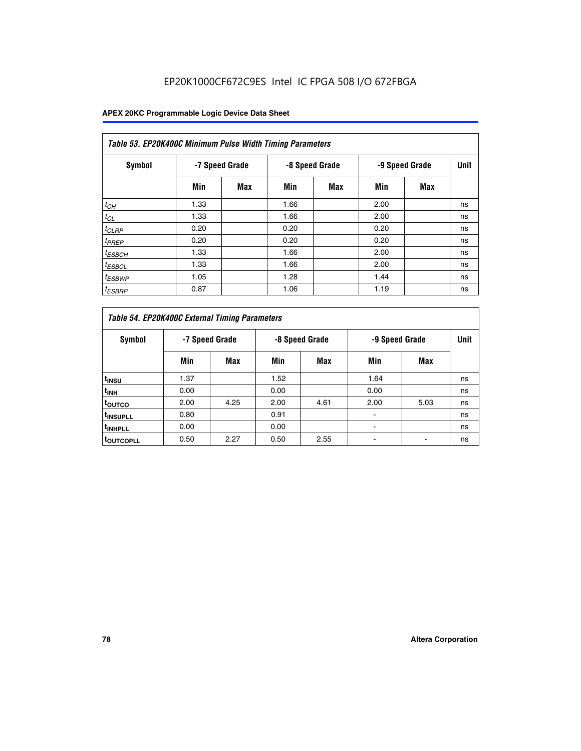| Table 53. EP20K400C Minimum Pulse Width Timing Parameters |      |                |      |                |      |                |      |  |  |  |
|-----------------------------------------------------------|------|----------------|------|----------------|------|----------------|------|--|--|--|
| Symbol                                                    |      | -7 Speed Grade |      | -8 Speed Grade |      | -9 Speed Grade | Unit |  |  |  |
|                                                           | Min  | Max            | Min  | <b>Max</b>     | Min  | <b>Max</b>     |      |  |  |  |
| $t_{CH}$                                                  | 1.33 |                | 1.66 |                | 2.00 |                | ns   |  |  |  |
| $t_{CL}$                                                  | 1.33 |                | 1.66 |                | 2.00 |                | ns   |  |  |  |
| $t_{CLRP}$                                                | 0.20 |                | 0.20 |                | 0.20 |                | ns   |  |  |  |
| $t_{PREF}$                                                | 0.20 |                | 0.20 |                | 0.20 |                | ns   |  |  |  |
| <sup>t</sup> ESBCH                                        | 1.33 |                | 1.66 |                | 2.00 |                | ns   |  |  |  |
| <sup>t</sup> ESBCL                                        | 1.33 |                | 1.66 |                | 2.00 |                | ns   |  |  |  |
| $t_{ESBWP}$                                               | 1.05 |                | 1.28 |                | 1.44 |                | ns   |  |  |  |
| <sup>t</sup> ESBRP                                        | 0.87 |                | 1.06 |                | 1.19 |                | ns   |  |  |  |

| Table 54. EP20K400C External Timing Parameters |      |                |      |                |      |                |    |  |  |  |  |  |
|------------------------------------------------|------|----------------|------|----------------|------|----------------|----|--|--|--|--|--|
| Symbol                                         |      | -7 Speed Grade |      | -8 Speed Grade |      | -9 Speed Grade |    |  |  |  |  |  |
|                                                | Min  | Max            | Min  | Max            | Min  | Max            |    |  |  |  |  |  |
| t <sub>INSU</sub>                              | 1.37 |                | 1.52 |                | 1.64 |                | ns |  |  |  |  |  |
| $t_{\mathsf{INH}}$                             | 0.00 |                | 0.00 |                | 0.00 |                | ns |  |  |  |  |  |
| <sup>t</sup> outco                             | 2.00 | 4.25           | 2.00 | 4.61           | 2.00 | 5.03           | ns |  |  |  |  |  |
| <sup>I</sup> INSUPLL                           | 0.80 |                | 0.91 |                |      |                | ns |  |  |  |  |  |
| <sup>t</sup> INHPLL                            | 0.00 |                | 0.00 |                |      |                | ns |  |  |  |  |  |
| <sup>I</sup> OUTCOPLL                          | 0.50 | 2.27           | 0.50 | 2.55           |      |                | ns |  |  |  |  |  |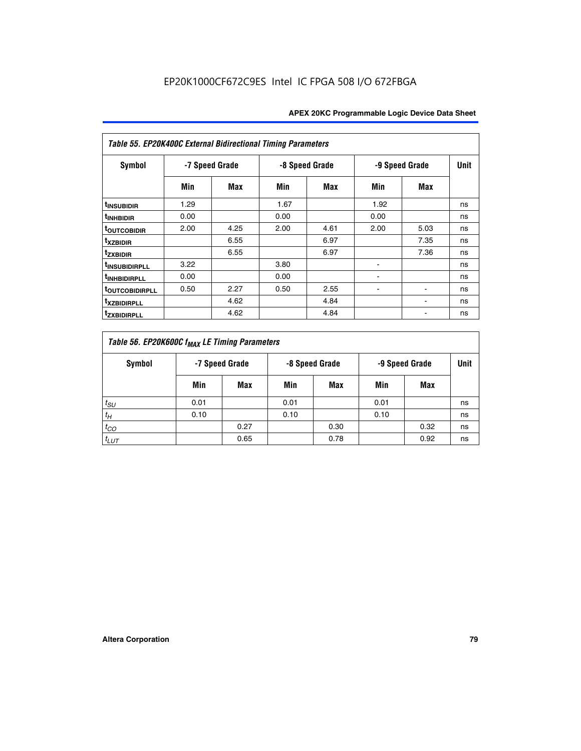| Table 55. EP20K400C External Bidirectional Timing Parameters |      |                |      |                |      |                |             |  |  |  |  |  |
|--------------------------------------------------------------|------|----------------|------|----------------|------|----------------|-------------|--|--|--|--|--|
| <b>Symbol</b>                                                |      | -7 Speed Grade |      | -8 Speed Grade |      | -9 Speed Grade | <b>Unit</b> |  |  |  |  |  |
|                                                              | Min  | Max            | Min  | Max            | Min  | Max            |             |  |  |  |  |  |
| <sup>t</sup> INSUBIDIR                                       | 1.29 |                | 1.67 |                | 1.92 |                | ns          |  |  |  |  |  |
| <sup>t</sup> INHBIDIR                                        | 0.00 |                | 0.00 |                | 0.00 |                | ns          |  |  |  |  |  |
| <b>TOUTCOBIDIR</b>                                           | 2.00 | 4.25           | 2.00 | 4.61           | 2.00 | 5.03           | ns          |  |  |  |  |  |
| <sup>t</sup> xzbidir                                         |      | 6.55           |      | 6.97           |      | 7.35           | ns          |  |  |  |  |  |
| <sup>t</sup> zxbidir                                         |      | 6.55           |      | 6.97           |      | 7.36           | ns          |  |  |  |  |  |
| <sup>t</sup> INSUBIDIRPLL                                    | 3.22 |                | 3.80 |                |      |                | ns          |  |  |  |  |  |
| <sup>t</sup> INHBIDIRPLL                                     | 0.00 |                | 0.00 |                |      |                | ns          |  |  |  |  |  |
| <b>TOUTCOBIDIRPLL</b>                                        | 0.50 | 2.27           | 0.50 | 2.55           |      | $\blacksquare$ | ns          |  |  |  |  |  |
| <sup>t</sup> xzbidirpll                                      |      | 4.62           |      | 4.84           |      |                | ns          |  |  |  |  |  |
| <sup>t</sup> zxbidirpll                                      |      | 4.62           |      | 4.84           |      |                | ns          |  |  |  |  |  |

| Table 56. EP20K600C f <sub>MAX</sub> LE Timing Parameters |                |      |                |      |                |      |      |  |  |  |  |
|-----------------------------------------------------------|----------------|------|----------------|------|----------------|------|------|--|--|--|--|
| Symbol                                                    | -7 Speed Grade |      | -8 Speed Grade |      | -9 Speed Grade |      | Unit |  |  |  |  |
|                                                           | Min            | Max  | Min            | Max  | Min            | Max  |      |  |  |  |  |
| $t_{SU}$                                                  | 0.01           |      | 0.01           |      | 0.01           |      | ns   |  |  |  |  |
| $t_H$                                                     | 0.10           |      | 0.10           |      | 0.10           |      | ns   |  |  |  |  |
| $t_{CO}$                                                  |                | 0.27 |                | 0.30 |                | 0.32 | ns   |  |  |  |  |
| $t_{LUT}$                                                 |                | 0.65 |                | 0.78 |                | 0.92 | ns   |  |  |  |  |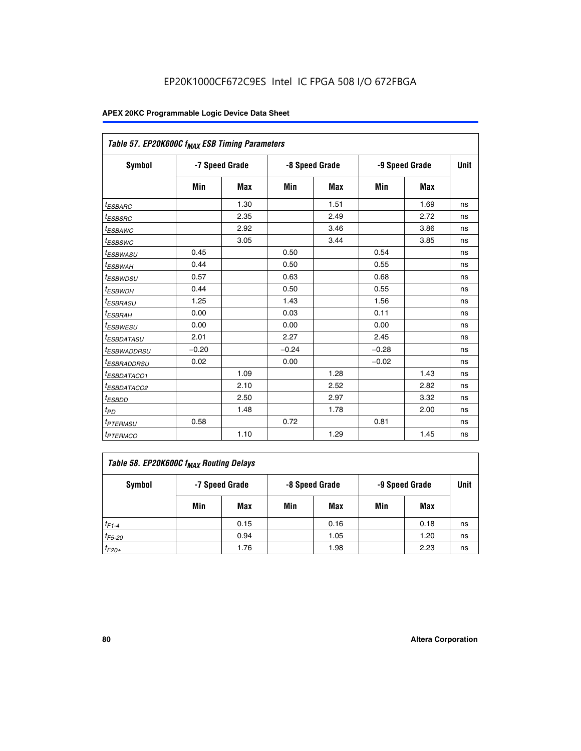| Table 57. EP20K600C f <sub>MAX</sub> ESB Timing Parameters |                |            |         |                |         |                |    |  |
|------------------------------------------------------------|----------------|------------|---------|----------------|---------|----------------|----|--|
| Symbol                                                     | -7 Speed Grade |            |         | -8 Speed Grade |         | -9 Speed Grade |    |  |
|                                                            | Min            | <b>Max</b> | Min     | Max            | Min     | Max            |    |  |
| <sup>t</sup> ESBARC                                        |                | 1.30       |         | 1.51           |         | 1.69           | ns |  |
| <i>t<sub>ESBSRC</sub></i>                                  |                | 2.35       |         | 2.49           |         | 2.72           | ns |  |
| <sup>t</sup> ESBAWC                                        |                | 2.92       |         | 3.46           |         | 3.86           | ns |  |
| <sup>t</sup> ESBSWC                                        |                | 3.05       |         | 3.44           |         | 3.85           | ns |  |
| <sup>t</sup> ESBWASU                                       | 0.45           |            | 0.50    |                | 0.54    |                | ns |  |
| <sup>t</sup> ESBWAH                                        | 0.44           |            | 0.50    |                | 0.55    |                | ns |  |
| <sup>t</sup> ESBWDSU                                       | 0.57           |            | 0.63    |                | 0.68    |                | ns |  |
| <sup>t</sup> ESBWDH                                        | 0.44           |            | 0.50    |                | 0.55    |                | ns |  |
| <i>ESBRASU</i>                                             | 1.25           |            | 1.43    |                | 1.56    |                | ns |  |
| <sup>t</sup> ESBRAH                                        | 0.00           |            | 0.03    |                | 0.11    |                | ns |  |
| <sup>t</sup> ESBWESU                                       | 0.00           |            | 0.00    |                | 0.00    |                | ns |  |
| <sup>t</sup> ESBDATASU                                     | 2.01           |            | 2.27    |                | 2.45    |                | ns |  |
| <sup>I</sup> ESBWADDRSU                                    | $-0.20$        |            | $-0.24$ |                | $-0.28$ |                | ns |  |
| <sup>t</sup> ESBRADDRSU                                    | 0.02           |            | 0.00    |                | $-0.02$ |                | ns |  |
| <sup>t</sup> ESBDATACO1                                    |                | 1.09       |         | 1.28           |         | 1.43           | ns |  |
| <sup>t</sup> ESBDATACO2                                    |                | 2.10       |         | 2.52           |         | 2.82           | ns |  |
| <sup>t</sup> ESBDD                                         |                | 2.50       |         | 2.97           |         | 3.32           | ns |  |
| $t_{\scriptsize{PD}}$                                      |                | 1.48       |         | 1.78           |         | 2.00           | ns |  |
| <sup>t</sup> PTERMSU                                       | 0.58           |            | 0.72    |                | 0.81    |                | ns |  |
| <i>t<sub>PTERMCO</sub></i>                                 |                | 1.10       |         | 1.29           |         | 1.45           | ns |  |

| Table 58. EP20K600C f <sub>MAX</sub> Routing Delays |                |      |                |      |                |      |      |  |  |  |
|-----------------------------------------------------|----------------|------|----------------|------|----------------|------|------|--|--|--|
| Symbol                                              | -7 Speed Grade |      | -8 Speed Grade |      | -9 Speed Grade |      | Unit |  |  |  |
|                                                     | Min            | Max  | Min            | Max  | Min            | Max  |      |  |  |  |
| $t_{F1-4}$                                          |                | 0.15 |                | 0.16 |                | 0.18 | ns   |  |  |  |
| $t_{F5-20}$                                         |                | 0.94 |                | 1.05 |                | 1.20 | ns   |  |  |  |
| $t_{F20+}$                                          |                | 1.76 |                | 1.98 |                | 2.23 | ns   |  |  |  |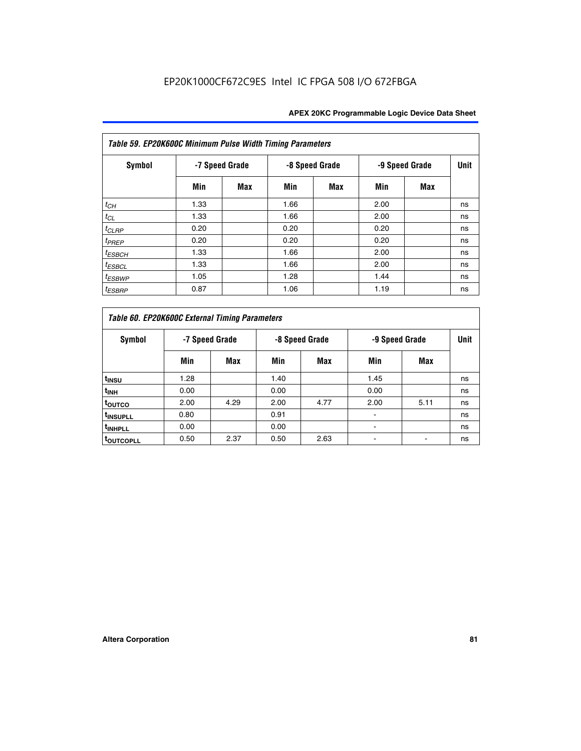| Table 59. EP20K600C Minimum Pulse Width Timing Parameters |                |     |                |     |      |                |      |  |  |  |  |
|-----------------------------------------------------------|----------------|-----|----------------|-----|------|----------------|------|--|--|--|--|
| Symbol                                                    | -7 Speed Grade |     | -8 Speed Grade |     |      | -9 Speed Grade | Unit |  |  |  |  |
|                                                           | Min            | Max | Min            | Max | Min  | Max            |      |  |  |  |  |
| $t_{CH}$                                                  | 1.33           |     | 1.66           |     | 2.00 |                | ns   |  |  |  |  |
| $t_{CL}$                                                  | 1.33           |     | 1.66           |     | 2.00 |                | ns   |  |  |  |  |
| $t_{CLRP}$                                                | 0.20           |     | 0.20           |     | 0.20 |                | ns   |  |  |  |  |
| $t_{PREF}$                                                | 0.20           |     | 0.20           |     | 0.20 |                | ns   |  |  |  |  |
| $t_{ESBCH}$                                               | 1.33           |     | 1.66           |     | 2.00 |                | ns   |  |  |  |  |
| $t_{ESBCL}$                                               | 1.33           |     | 1.66           |     | 2.00 |                | ns   |  |  |  |  |
| <sup>t</sup> ESBWP                                        | 1.05           |     | 1.28           |     | 1.44 |                | ns   |  |  |  |  |
| <sup>t</sup> ESBRP                                        | 0.87           |     | 1.06           |     | 1.19 |                | ns   |  |  |  |  |

|                      | Table 60. EP20K600C External Timing Parameters |                |                |      |                          |                |    |  |  |  |  |  |  |
|----------------------|------------------------------------------------|----------------|----------------|------|--------------------------|----------------|----|--|--|--|--|--|--|
| Symbol               |                                                | -7 Speed Grade | -8 Speed Grade |      |                          | -9 Speed Grade |    |  |  |  |  |  |  |
|                      | Min                                            | Max            | Min            | Max  | Min                      | Max            |    |  |  |  |  |  |  |
| t <sub>insu</sub>    | 1.28                                           |                | 1.40           |      | 1.45                     |                | ns |  |  |  |  |  |  |
| <sup>t</sup> INH     | 0.00                                           |                | 0.00           |      | 0.00                     |                | ns |  |  |  |  |  |  |
| toutco               | 2.00                                           | 4.29           | 2.00           | 4.77 | 2.00                     | 5.11           | ns |  |  |  |  |  |  |
| <sup>t</sup> INSUPLL | 0.80                                           |                | 0.91           |      | ٠                        |                | ns |  |  |  |  |  |  |
| <sup>t</sup> INHPLL  | 0.00                                           |                | 0.00           |      | $\overline{\phantom{a}}$ |                | ns |  |  |  |  |  |  |
| <b>TOUTCOPLL</b>     | 0.50                                           | 2.37           | 0.50           | 2.63 |                          | ۰              | ns |  |  |  |  |  |  |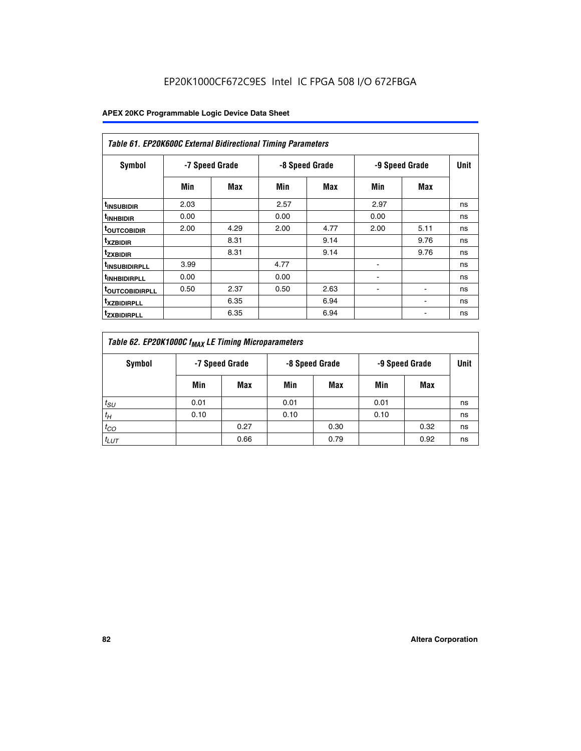|                               | <b>Table 61. EP20K600C External Bidirectional Timing Parameters</b> |      |      |                |      |                |             |  |  |  |  |  |  |
|-------------------------------|---------------------------------------------------------------------|------|------|----------------|------|----------------|-------------|--|--|--|--|--|--|
| <b>Symbol</b>                 | -7 Speed Grade                                                      |      |      | -8 Speed Grade |      | -9 Speed Grade | <b>Unit</b> |  |  |  |  |  |  |
|                               | Min                                                                 | Max  | Min  | Max            | Min  | Max            |             |  |  |  |  |  |  |
| <sup>t</sup> INSUBIDIR        | 2.03                                                                |      | 2.57 |                | 2.97 |                | ns          |  |  |  |  |  |  |
| <sup>t</sup> INHBIDIR         | 0.00                                                                |      | 0.00 |                | 0.00 |                | ns          |  |  |  |  |  |  |
| <b><sup>t</sup>OUTCOBIDIR</b> | 2.00                                                                | 4.29 | 2.00 | 4.77           | 2.00 | 5.11           | ns          |  |  |  |  |  |  |
| <sup>t</sup> xzbidir          |                                                                     | 8.31 |      | 9.14           |      | 9.76           | ns          |  |  |  |  |  |  |
| <sup>t</sup> zxbidir          |                                                                     | 8.31 |      | 9.14           |      | 9.76           | ns          |  |  |  |  |  |  |
| <sup>t</sup> insubidirpll     | 3.99                                                                |      | 4.77 |                |      |                | ns          |  |  |  |  |  |  |
| <sup>t</sup> INHBIDIRPLL      | 0.00                                                                |      | 0.00 |                |      |                | ns          |  |  |  |  |  |  |
| <sup>T</sup> OUTCOBIDIRPLL    | 0.50                                                                | 2.37 | 0.50 | 2.63           | ۰    | ۰              | ns          |  |  |  |  |  |  |
| <sup>t</sup> xzbidirpll       |                                                                     | 6.35 |      | 6.94           |      |                | ns          |  |  |  |  |  |  |
| <sup>I</sup> ZXBIDIRPLL       |                                                                     | 6.35 |      | 6.94           |      |                | ns          |  |  |  |  |  |  |

| Table 62. EP20K1000C f <sub>MAX</sub> LE Timing Microparameters |                                                    |      |      |      |      |      |             |  |  |  |  |
|-----------------------------------------------------------------|----------------------------------------------------|------|------|------|------|------|-------------|--|--|--|--|
| Symbol                                                          | -7 Speed Grade<br>-8 Speed Grade<br>-9 Speed Grade |      |      |      |      |      | <b>Unit</b> |  |  |  |  |
|                                                                 | Min                                                | Max  | Min  | Max  | Min  | Max  |             |  |  |  |  |
| $t_{SU}$                                                        | 0.01                                               |      | 0.01 |      | 0.01 |      | ns          |  |  |  |  |
| $t_H$                                                           | 0.10                                               |      | 0.10 |      | 0.10 |      | ns          |  |  |  |  |
| $t_{CO}$                                                        |                                                    | 0.27 |      | 0.30 |      | 0.32 | ns          |  |  |  |  |
| $t_{LUT}$                                                       |                                                    | 0.66 |      | 0.79 |      | 0.92 | ns          |  |  |  |  |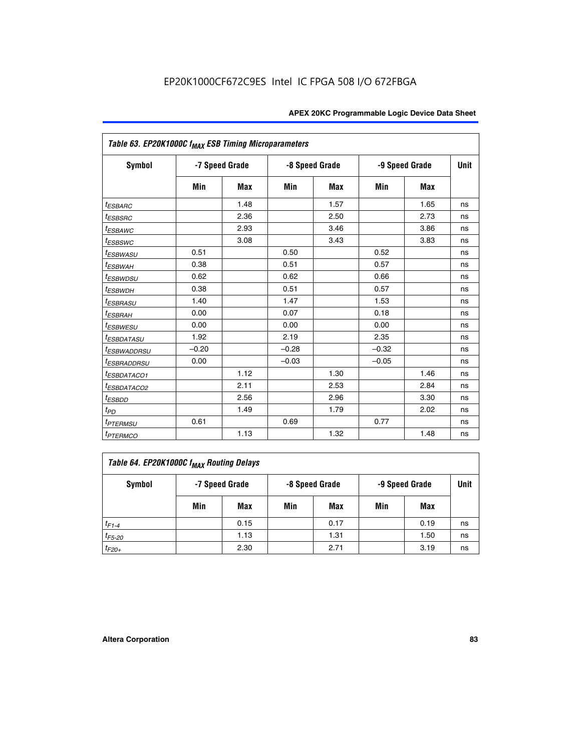| Table 63. EP20K1000C f <sub>MAX</sub> ESB Timing Microparameters |                |            |                |            |                |      |             |
|------------------------------------------------------------------|----------------|------------|----------------|------------|----------------|------|-------------|
| <b>Symbol</b>                                                    | -7 Speed Grade |            | -8 Speed Grade |            | -9 Speed Grade |      | <b>Unit</b> |
|                                                                  | Min            | <b>Max</b> | Min            | <b>Max</b> | Min            | Max  |             |
| <sup>t</sup> ESBARC                                              |                | 1.48       |                | 1.57       |                | 1.65 | ns          |
| t <sub>ESBSRC</sub>                                              |                | 2.36       |                | 2.50       |                | 2.73 | ns          |
| <sup>t</sup> ESBAWC                                              |                | 2.93       |                | 3.46       |                | 3.86 | ns          |
| t <sub>ESBSWC</sub>                                              |                | 3.08       |                | 3.43       |                | 3.83 | ns          |
| <sup>t</sup> ESBWASU                                             | 0.51           |            | 0.50           |            | 0.52           |      | ns          |
| <sup>t</sup> ESBWAH                                              | 0.38           |            | 0.51           |            | 0.57           |      | ns          |
| <sup>t</sup> ESBWDSU                                             | 0.62           |            | 0.62           |            | 0.66           |      | ns          |
| <sup>t</sup> ESBWDH                                              | 0.38           |            | 0.51           |            | 0.57           |      | ns          |
| <i><b>ESBRASU</b></i>                                            | 1.40           |            | 1.47           |            | 1.53           |      | ns          |
| <sup>t</sup> ESBRAH                                              | 0.00           |            | 0.07           |            | 0.18           |      | ns          |
| <i>t<sub>ESBWESU</sub></i>                                       | 0.00           |            | 0.00           |            | 0.00           |      | ns          |
| <i><b>ESBDATASU</b></i>                                          | 1.92           |            | 2.19           |            | 2.35           |      | ns          |
| <sup>t</sup> ESBWADDRSU                                          | $-0.20$        |            | $-0.28$        |            | $-0.32$        |      | ns          |
| <sup>t</sup> ESBRADDRSU                                          | 0.00           |            | $-0.03$        |            | $-0.05$        |      | ns          |
| <sup>t</sup> ESBDATACO1                                          |                | 1.12       |                | 1.30       |                | 1.46 | ns          |
| <sup>t</sup> ESBDATACO2                                          |                | 2.11       |                | 2.53       |                | 2.84 | ns          |
| $t_{ESBDD}$                                                      |                | 2.56       |                | 2.96       |                | 3.30 | ns          |
| $t_{PD}$                                                         |                | 1.49       |                | 1.79       |                | 2.02 | ns          |
| t <sub>PTERMSU</sub>                                             | 0.61           |            | 0.69           |            | 0.77           |      | ns          |
| <b>t</b> <sub>PTERMCO</sub>                                      |                | 1.13       |                | 1.32       |                | 1.48 | ns          |

| Table 64. EP20K1000C f <sub>MAX</sub> Routing Delays |     |                |     |                |     |                |    |  |  |  |
|------------------------------------------------------|-----|----------------|-----|----------------|-----|----------------|----|--|--|--|
| Symbol                                               |     | -7 Speed Grade |     | -8 Speed Grade |     | -9 Speed Grade |    |  |  |  |
|                                                      | Min | Max            | Min | Max            | Min | Max            |    |  |  |  |
| $t_{F1-4}$                                           |     | 0.15           |     | 0.17           |     | 0.19           | ns |  |  |  |
| $t_{F5-20}$                                          |     | 1.13           |     | 1.31           |     | 1.50           | ns |  |  |  |
| $t_{F20+}$                                           |     | 2.30           |     | 2.71           |     | 3.19           | ns |  |  |  |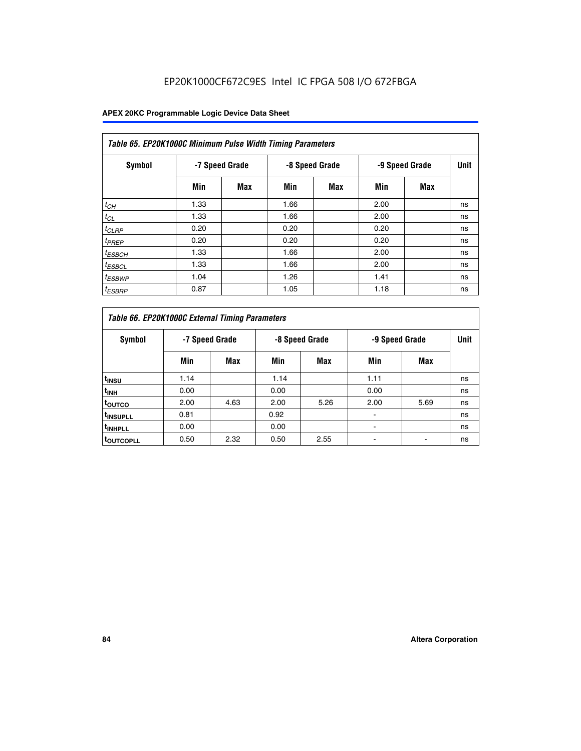| Table 65. EP20K1000C Minimum Pulse Width Timing Parameters |                |            |                |            |      |                |             |  |  |  |  |
|------------------------------------------------------------|----------------|------------|----------------|------------|------|----------------|-------------|--|--|--|--|
| Symbol                                                     | -7 Speed Grade |            | -8 Speed Grade |            |      | -9 Speed Grade | <b>Unit</b> |  |  |  |  |
|                                                            | Min            | <b>Max</b> | Min            | <b>Max</b> | Min  | <b>Max</b>     |             |  |  |  |  |
| $t_{CH}$                                                   | 1.33           |            | 1.66           |            | 2.00 |                | ns          |  |  |  |  |
| $t_{CL}$                                                   | 1.33           |            | 1.66           |            | 2.00 |                | ns          |  |  |  |  |
| $t_{CLRP}$                                                 | 0.20           |            | 0.20           |            | 0.20 |                | ns          |  |  |  |  |
| $t_{PREF}$                                                 | 0.20           |            | 0.20           |            | 0.20 |                | ns          |  |  |  |  |
| <sup>t</sup> ESBCH                                         | 1.33           |            | 1.66           |            | 2.00 |                | ns          |  |  |  |  |
| <sup>t</sup> ESBCL                                         | 1.33           |            | 1.66           |            | 2.00 |                | ns          |  |  |  |  |
| $t_{ESBWP}$                                                | 1.04           |            | 1.26           |            | 1.41 |                | ns          |  |  |  |  |
| <sup>t</sup> ESBRP                                         | 0.87           |            | 1.05           |            | 1.18 |                | ns          |  |  |  |  |

| Table 66. EP20K1000C External Timing Parameters |                |      |                |      |                |      |             |
|-------------------------------------------------|----------------|------|----------------|------|----------------|------|-------------|
| Symbol                                          | -7 Speed Grade |      | -8 Speed Grade |      | -9 Speed Grade |      | <b>Unit</b> |
|                                                 | Min            | Max  | Min            | Max  | Min            | Max  |             |
| t <sub>INSU</sub>                               | 1.14           |      | 1.14           |      | 1.11           |      | ns          |
| $t_{\text{INH}}$                                | 0.00           |      | 0.00           |      | 0.00           |      | ns          |
| toutco                                          | 2.00           | 4.63 | 2.00           | 5.26 | 2.00           | 5.69 | ns          |
| <sup>t</sup> INSUPLL                            | 0.81           |      | 0.92           |      |                |      | ns          |
| <sup>t</sup> INHPLL                             | 0.00           |      | 0.00           |      |                |      | ns          |
| <sup>I</sup> OUTCOPLL                           | 0.50           | 2.32 | 0.50           | 2.55 |                |      | ns          |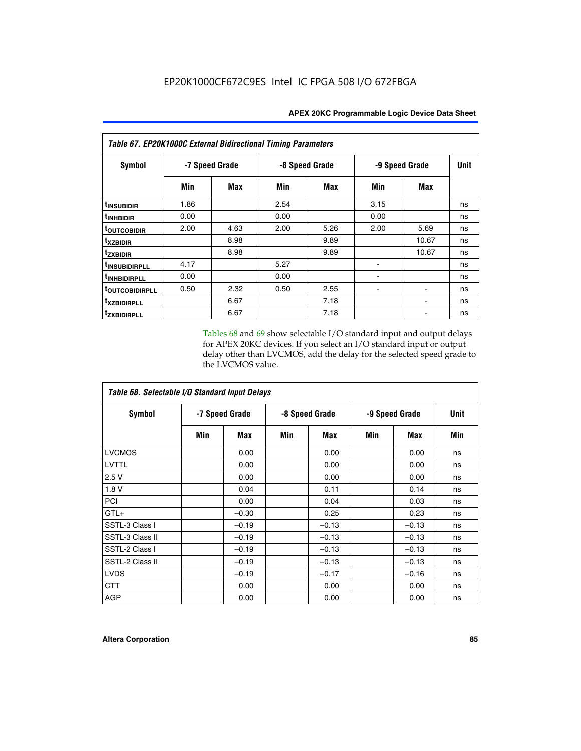| Table 67. EP20K1000C External Bidirectional Timing Parameters |                |      |                |      |                |       |             |
|---------------------------------------------------------------|----------------|------|----------------|------|----------------|-------|-------------|
| Symbol                                                        | -7 Speed Grade |      | -8 Speed Grade |      | -9 Speed Grade |       | <b>Unit</b> |
|                                                               | Min            | Max  | Min            | Max  | Min            | Max   |             |
| t <sub>INSUBIDIR</sub>                                        | 1.86           |      | 2.54           |      | 3.15           |       | ns          |
| <sup>t</sup> INHBIDIR                                         | 0.00           |      | 0.00           |      | 0.00           |       | ns          |
| <sup>t</sup> OUTCOBIDIR                                       | 2.00           | 4.63 | 2.00           | 5.26 | 2.00           | 5.69  | ns          |
| txzbidir                                                      |                | 8.98 |                | 9.89 |                | 10.67 | ns          |
| tzxbidir                                                      |                | 8.98 |                | 9.89 |                | 10.67 | ns          |
| <sup>t</sup> INSUBIDIRPLL                                     | 4.17           |      | 5.27           |      |                |       | ns          |
| <sup>t</sup> INHBIDIRPLL                                      | 0.00           |      | 0.00           |      |                |       | ns          |
| <b>TOUTCOBIDIRPLL</b>                                         | 0.50           | 2.32 | 0.50           | 2.55 |                |       | ns          |
| txzBIDIRPLL                                                   |                | 6.67 |                | 7.18 |                |       | ns          |
| tzxbidirpll                                                   |                | 6.67 |                | 7.18 |                |       | ns          |

Tables 68 and 69 show selectable I/O standard input and output delays for APEX 20KC devices. If you select an I/O standard input or output delay other than LVCMOS, add the delay for the selected speed grade to the LVCMOS value.

| Table 68. Selectable I/O Standard Input Delays |                |         |                |         |                |         |             |  |
|------------------------------------------------|----------------|---------|----------------|---------|----------------|---------|-------------|--|
| <b>Symbol</b>                                  | -7 Speed Grade |         | -8 Speed Grade |         | -9 Speed Grade |         | <b>Unit</b> |  |
|                                                | Min            | Max     | Min            | Max     | Min            | Max     | Min         |  |
| <b>LVCMOS</b>                                  |                | 0.00    |                | 0.00    |                | 0.00    | ns          |  |
| <b>LVTTL</b>                                   |                | 0.00    |                | 0.00    |                | 0.00    | ns          |  |
| 2.5V                                           |                | 0.00    |                | 0.00    |                | 0.00    | ns          |  |
| 1.8 V                                          |                | 0.04    |                | 0.11    |                | 0.14    | ns          |  |
| PCI                                            |                | 0.00    |                | 0.04    |                | 0.03    | ns          |  |
| $GTL+$                                         |                | $-0.30$ |                | 0.25    |                | 0.23    | ns          |  |
| SSTL-3 Class I                                 |                | $-0.19$ |                | $-0.13$ |                | $-0.13$ | ns          |  |
| SSTL-3 Class II                                |                | $-0.19$ |                | $-0.13$ |                | $-0.13$ | ns          |  |
| SSTL-2 Class I                                 |                | $-0.19$ |                | $-0.13$ |                | $-0.13$ | ns          |  |
| SSTL-2 Class II                                |                | $-0.19$ |                | $-0.13$ |                | $-0.13$ | ns          |  |
| <b>LVDS</b>                                    |                | $-0.19$ |                | $-0.17$ |                | $-0.16$ | ns          |  |
| <b>CTT</b>                                     |                | 0.00    |                | 0.00    |                | 0.00    | ns          |  |
| <b>AGP</b>                                     |                | 0.00    |                | 0.00    |                | 0.00    | ns          |  |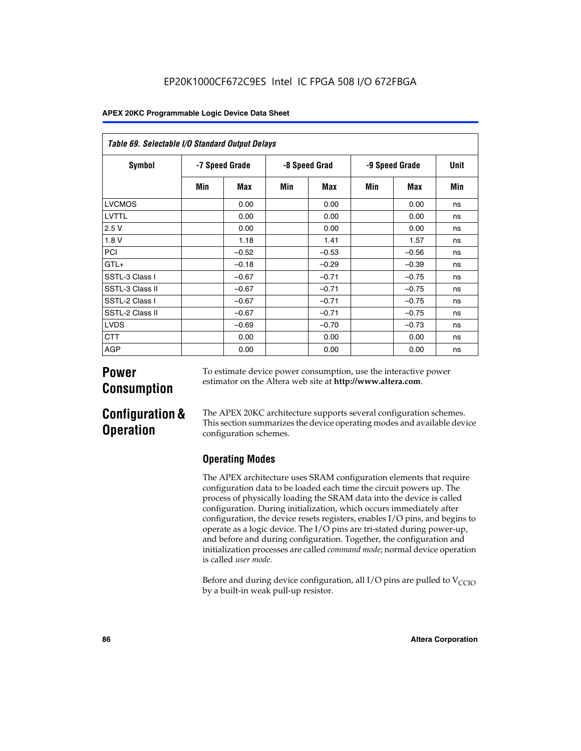| Table 69. Selectable I/O Standard Output Delays |                |         |               |         |                |            |      |
|-------------------------------------------------|----------------|---------|---------------|---------|----------------|------------|------|
| <b>Symbol</b>                                   | -7 Speed Grade |         | -8 Speed Grad |         | -9 Speed Grade |            | Unit |
|                                                 | Min            | Max     | Min           | Max     | Min            | <b>Max</b> | Min  |
| <b>LVCMOS</b>                                   |                | 0.00    |               | 0.00    |                | 0.00       | ns   |
| LVTTL                                           |                | 0.00    |               | 0.00    |                | 0.00       | ns   |
| 2.5V                                            |                | 0.00    |               | 0.00    |                | 0.00       | ns   |
| 1.8V                                            |                | 1.18    |               | 1.41    |                | 1.57       | ns   |
| PCI                                             |                | $-0.52$ |               | $-0.53$ |                | $-0.56$    | ns   |
| $GTL+$                                          |                | $-0.18$ |               | $-0.29$ |                | $-0.39$    | ns   |
| SSTL-3 Class I                                  |                | $-0.67$ |               | $-0.71$ |                | $-0.75$    | ns   |
| SSTL-3 Class II                                 |                | $-0.67$ |               | $-0.71$ |                | $-0.75$    | ns   |
| SSTL-2 Class I                                  |                | $-0.67$ |               | $-0.71$ |                | $-0.75$    | ns   |
| SSTL-2 Class II                                 |                | $-0.67$ |               | $-0.71$ |                | $-0.75$    | ns   |
| <b>LVDS</b>                                     |                | $-0.69$ |               | $-0.70$ |                | $-0.73$    | ns   |
| <b>CTT</b>                                      |                | 0.00    |               | 0.00    |                | 0.00       | ns   |
| AGP                                             |                | 0.00    |               | 0.00    |                | 0.00       | ns   |

# **Power Consumption**

To estimate device power consumption, use the interactive power estimator on the Altera web site at **http://www.altera.com**.

# **Configuration & Operation**

The APEX 20KC architecture supports several configuration schemes. This section summarizes the device operating modes and available device configuration schemes.

# **Operating Modes**

The APEX architecture uses SRAM configuration elements that require configuration data to be loaded each time the circuit powers up. The process of physically loading the SRAM data into the device is called configuration. During initialization, which occurs immediately after configuration, the device resets registers, enables I/O pins, and begins to operate as a logic device. The I/O pins are tri-stated during power-up, and before and during configuration. Together, the configuration and initialization processes are called *command mode*; normal device operation is called *user mode*.

Before and during device configuration, all I/O pins are pulled to  $V_{CCIO}$ by a built-in weak pull-up resistor.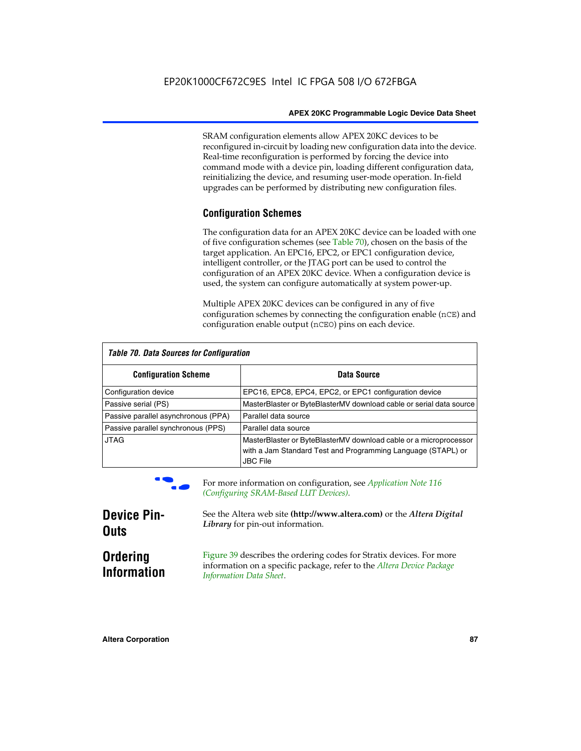SRAM configuration elements allow APEX 20KC devices to be reconfigured in-circuit by loading new configuration data into the device. Real-time reconfiguration is performed by forcing the device into command mode with a device pin, loading different configuration data, reinitializing the device, and resuming user-mode operation. In-field upgrades can be performed by distributing new configuration files.

# **Configuration Schemes**

The configuration data for an APEX 20KC device can be loaded with one of five configuration schemes (see Table 70), chosen on the basis of the target application. An EPC16, EPC2, or EPC1 configuration device, intelligent controller, or the JTAG port can be used to control the configuration of an APEX 20KC device. When a configuration device is used, the system can configure automatically at system power-up.

Multiple APEX 20KC devices can be configured in any of five configuration schemes by connecting the configuration enable (nCE) and configuration enable output (nCEO) pins on each device.

| Table 70. Data Sources for Configuration |                                                                                                                                                      |  |  |  |  |
|------------------------------------------|------------------------------------------------------------------------------------------------------------------------------------------------------|--|--|--|--|
| <b>Configuration Scheme</b>              | Data Source                                                                                                                                          |  |  |  |  |
| Configuration device                     | EPC16, EPC8, EPC4, EPC2, or EPC1 configuration device                                                                                                |  |  |  |  |
| Passive serial (PS)                      | MasterBlaster or ByteBlasterMV download cable or serial data source                                                                                  |  |  |  |  |
| Passive parallel asynchronous (PPA)      | Parallel data source                                                                                                                                 |  |  |  |  |
| Passive parallel synchronous (PPS)       | Parallel data source                                                                                                                                 |  |  |  |  |
| <b>JTAG</b>                              | MasterBlaster or ByteBlasterMV download cable or a microprocessor<br>with a Jam Standard Test and Programming Language (STAPL) or<br><b>JBC File</b> |  |  |  |  |



For more information on configuration, see *Application Note* 116 *(Configuring SRAM-Based LUT Devices).*

| <b>Device Pin-</b>                    | See the Altera web site (http://www.altera.com) or the Altera Digital                                                                                                    |
|---------------------------------------|--------------------------------------------------------------------------------------------------------------------------------------------------------------------------|
| <b>Outs</b>                           | Library for pin-out information.                                                                                                                                         |
| <b>Ordering</b><br><b>Information</b> | Figure 39 describes the ordering codes for Stratix devices. For more<br>information on a specific package, refer to the Altera Device Package<br>Information Data Sheet. |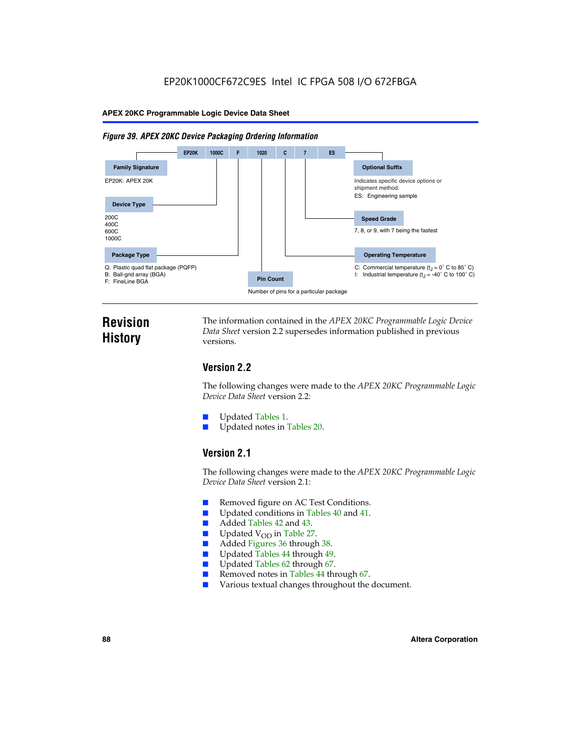#### *Figure 39. APEX 20KC Device Packaging Ordering Information*



# **Revision History**

The information contained in the *APEX 20KC Programmable Logic Device Data Sheet* version 2.2 supersedes information published in previous versions.

# **Version 2.2**

The following changes were made to the *APEX 20KC Programmable Logic Device Data Sheet* version 2.2:

- Updated Tables 1.
- Updated notes in Tables 20.

# **Version 2.1**

The following changes were made to the *APEX 20KC Programmable Logic Device Data Sheet* version 2.1:

- Removed figure on AC Test Conditions.
- Updated conditions in Tables 40 and 41.
- Added Tables 42 and 43.
- $\blacksquare$  Updated V<sub>OD</sub> in Table 27.<br>Added Figures 36 through
- Added Figures 36 through 38.
- Updated Tables 44 through 49.
- Updated Tables 62 through 67.
- Removed notes in Tables 44 through 67.
- Various textual changes throughout the document.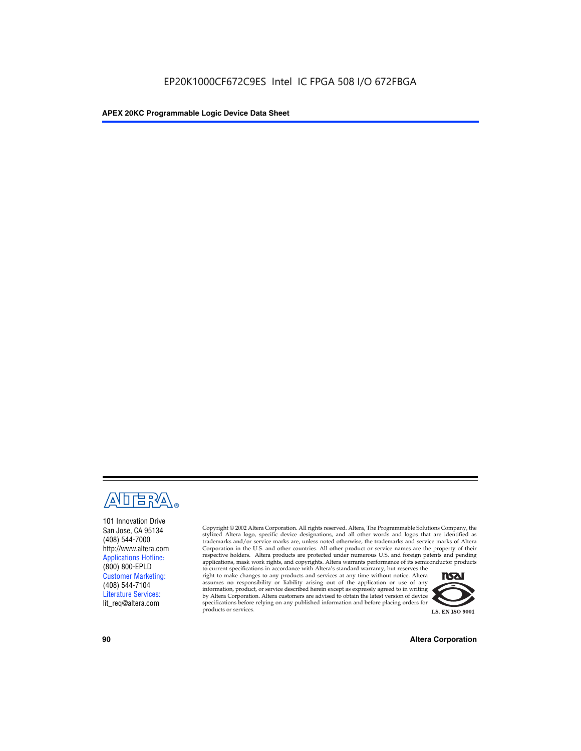

101 Innovation Drive San Jose, CA 95134 (408) 544-7000 http://www.altera.com Applications Hotline: (800) 800-EPLD Customer Marketing: (408) 544-7104 Literature Services: lit\_req@altera.com

Copyright © 2002 Altera Corporation. All rights reserved. Altera, The Programmable Solutions Company, the stylized Altera logo, specific device designations, and all other words and logos that are identified as trademarks and/or service marks are, unless noted otherwise, the trademarks and service marks of Altera Corporation in the U.S. and other countries. All other product or service names are the property of their respective holders. Altera products are protected under numerous U.S. and foreign patents and pending applications, mask work rights, and copyrights. Altera warrants performance of its semiconductor products

to current specifications in accordance with Altera's standard warranty, but reserves the right to make changes to any products and services at any time without notice. Altera assumes no responsibility or liability arising out of the application or use of any information, product, or service described herein except as expressly agreed to in writing by Altera Corporation. Altera customers are advised to obtain the latest version of device specifications before relying on any published information and before placing orders for products or services.



**90 Altera Corporation**